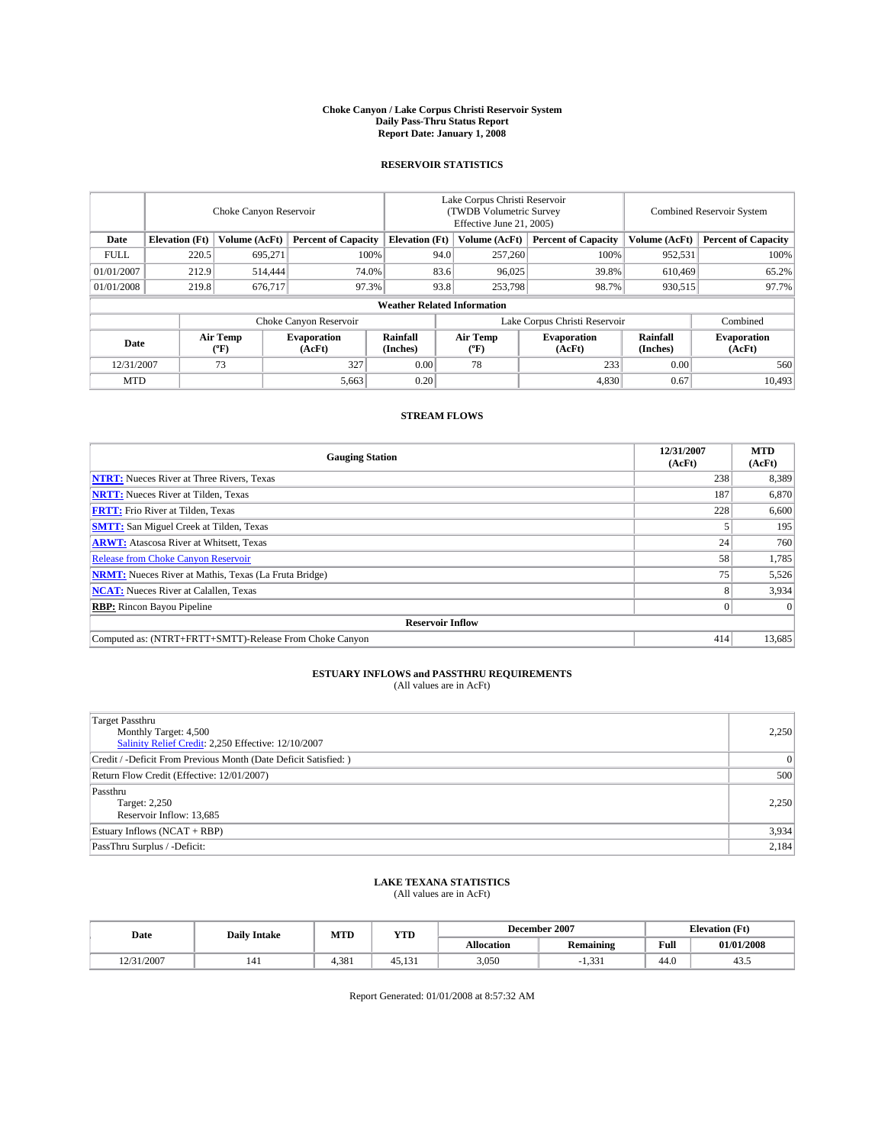### **Choke Canyon / Lake Corpus Christi Reservoir System Daily Pass-Thru Status Report Report Date: January 1, 2008**

### **RESERVOIR STATISTICS**

|             | Choke Canyon Reservoir             |                  |                              |                       | Lake Corpus Christi Reservoir<br>(TWDB Volumetric Survey<br>Effective June 21, 2005) |                  |                               | Combined Reservoir System |                              |  |
|-------------|------------------------------------|------------------|------------------------------|-----------------------|--------------------------------------------------------------------------------------|------------------|-------------------------------|---------------------------|------------------------------|--|
| Date        | <b>Elevation</b> (Ft)              | Volume (AcFt)    | <b>Percent of Capacity</b>   | <b>Elevation</b> (Ft) |                                                                                      | Volume (AcFt)    | <b>Percent of Capacity</b>    | Volume (AcFt)             | <b>Percent of Capacity</b>   |  |
| <b>FULL</b> | 220.5                              | 695,271          | 100%                         |                       | 94.0                                                                                 | 257,260          | 100%                          | 952,531                   | 100%                         |  |
| 01/01/2007  | 212.9                              | 514,444          | 74.0%                        |                       | 83.6                                                                                 | 96,025           | 39.8%                         | 610,469                   | 65.2%                        |  |
| 01/01/2008  | 219.8                              | 676,717          | 97.3%                        |                       | 93.8                                                                                 | 253,798          | 98.7%                         | 930,515                   | 97.7%                        |  |
|             | <b>Weather Related Information</b> |                  |                              |                       |                                                                                      |                  |                               |                           |                              |  |
|             |                                    |                  | Choke Canyon Reservoir       |                       |                                                                                      |                  | Lake Corpus Christi Reservoir |                           | Combined                     |  |
| Date        |                                    | Air Temp<br>(°F) | <b>Evaporation</b><br>(AcFt) | Rainfall<br>(Inches)  |                                                                                      | Air Temp<br>("F) | <b>Evaporation</b><br>(AcFt)  | Rainfall<br>(Inches)      | <b>Evaporation</b><br>(AcFt) |  |
| 12/31/2007  |                                    | 73               | 327                          | 0.00                  |                                                                                      | 78               | 233                           | 0.00                      | 560                          |  |
| <b>MTD</b>  |                                    |                  | 5,663                        | 0.20                  |                                                                                      |                  | 4,830                         | 0.67                      | 10,493                       |  |

## **STREAM FLOWS**

| <b>Gauging Station</b>                                       | 12/31/2007<br>(AcFt) | <b>MTD</b><br>(AcFt) |
|--------------------------------------------------------------|----------------------|----------------------|
| <b>NTRT:</b> Nueces River at Three Rivers, Texas             | 238                  | 8,389                |
| <b>NRTT:</b> Nueces River at Tilden, Texas                   | 187                  | 6,870                |
| <b>FRTT:</b> Frio River at Tilden, Texas                     | 228                  | 6,600                |
| <b>SMTT:</b> San Miguel Creek at Tilden, Texas               |                      | 195                  |
| <b>ARWT:</b> Atascosa River at Whitsett, Texas               | 24                   | 760                  |
| <b>Release from Choke Canyon Reservoir</b>                   | 58                   | 1,785                |
| <b>NRMT:</b> Nueces River at Mathis, Texas (La Fruta Bridge) | 75                   | 5,526                |
| <b>NCAT:</b> Nueces River at Calallen, Texas                 |                      | 3,934                |
| <b>RBP:</b> Rincon Bayou Pipeline                            |                      | $\Omega$             |
| <b>Reservoir Inflow</b>                                      |                      |                      |
| Computed as: (NTRT+FRTT+SMTT)-Release From Choke Canyon      | 414                  | 13,685               |

# **ESTUARY INFLOWS and PASSTHRU REQUIREMENTS**<br>(All values are in AcFt)

| Target Passthru<br>Monthly Target: 4,500<br>Salinity Relief Credit: 2,250 Effective: 12/10/2007 | 2,250          |
|-------------------------------------------------------------------------------------------------|----------------|
| Credit / -Deficit From Previous Month (Date Deficit Satisfied: )                                | $\overline{0}$ |
| Return Flow Credit (Effective: 12/01/2007)                                                      | 500            |
| Passthru<br>Target: 2,250<br>Reservoir Inflow: 13,685                                           | 2.250          |
| Estuary Inflows (NCAT + RBP)                                                                    | 3,934          |
| PassThru Surplus / -Deficit:                                                                    | 2,184          |

## **LAKE TEXANA STATISTICS** (All values are in AcFt)

| Date       | <b>Daily Intake</b> | MTD   | <b>YTD</b>         |                   | December 2007    | <b>Elevation</b> (Ft) |            |
|------------|---------------------|-------|--------------------|-------------------|------------------|-----------------------|------------|
|            |                     |       |                    | <b>Allocation</b> | <b>Remaining</b> | Full                  | 01/01/2008 |
| 12/31/2007 | 141                 | 1.381 | 45.13 <sub>1</sub> | 3,050             | 22<br>1.331      | 44.0                  | ب          |

Report Generated: 01/01/2008 at 8:57:32 AM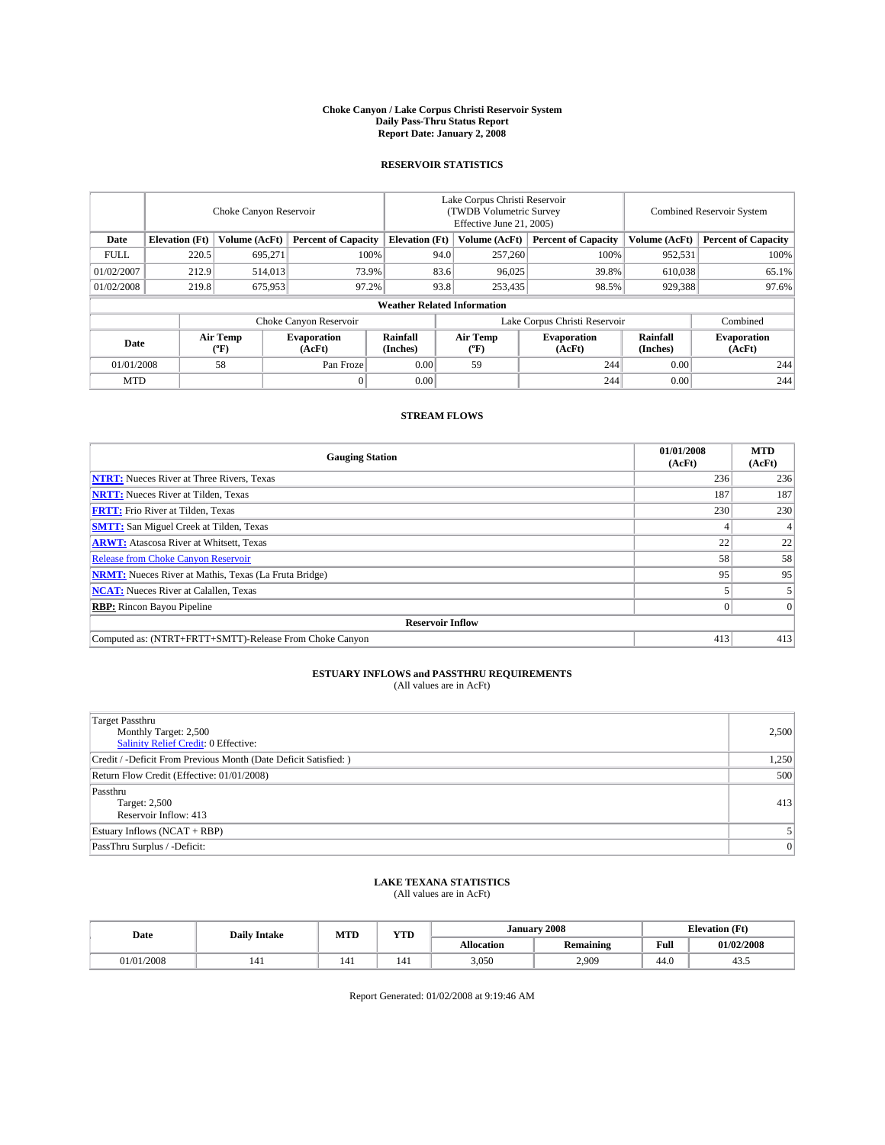### **Choke Canyon / Lake Corpus Christi Reservoir System Daily Pass-Thru Status Report Report Date: January 2, 2008**

### **RESERVOIR STATISTICS**

|             | Choke Canyon Reservoir |                  |                              |                                    | Lake Corpus Christi Reservoir<br>(TWDB Volumetric Survey<br>Effective June 21, 2005) |                  |                               |                      | <b>Combined Reservoir System</b> |  |  |
|-------------|------------------------|------------------|------------------------------|------------------------------------|--------------------------------------------------------------------------------------|------------------|-------------------------------|----------------------|----------------------------------|--|--|
| Date        | <b>Elevation</b> (Ft)  | Volume (AcFt)    | <b>Percent of Capacity</b>   | <b>Elevation</b> (Ft)              |                                                                                      | Volume (AcFt)    | <b>Percent of Capacity</b>    | Volume (AcFt)        | <b>Percent of Capacity</b>       |  |  |
| <b>FULL</b> | 220.5                  | 695.271          |                              | 100%                               | 94.0                                                                                 | 257,260          | 100%                          | 952,531              | 100%                             |  |  |
| 01/02/2007  | 212.9                  | 514,013          | 73.9%                        |                                    | 83.6                                                                                 | 96.025           | 39.8%                         | 610.038              | 65.1%                            |  |  |
| 01/02/2008  | 219.8                  | 675,953          | 97.2%                        |                                    | 93.8                                                                                 | 253,435          | 98.5%                         | 929,388              | 97.6%                            |  |  |
|             |                        |                  |                              | <b>Weather Related Information</b> |                                                                                      |                  |                               |                      |                                  |  |  |
|             |                        |                  | Choke Canyon Reservoir       |                                    |                                                                                      |                  | Lake Corpus Christi Reservoir |                      | Combined                         |  |  |
| Date        |                        | Air Temp<br>(°F) | <b>Evaporation</b><br>(AcFt) | Rainfall<br>(Inches)               |                                                                                      | Air Temp<br>("F) | <b>Evaporation</b><br>(AcFt)  | Rainfall<br>(Inches) | <b>Evaporation</b><br>(AcFt)     |  |  |
| 01/01/2008  |                        | 58               | Pan Froze                    | 0.00                               |                                                                                      | 59               | 244                           | 0.00                 | 244                              |  |  |
| <b>MTD</b>  |                        |                  |                              | 0.00                               |                                                                                      |                  | 244                           | 0.00                 | 244                              |  |  |

## **STREAM FLOWS**

| <b>Gauging Station</b>                                       | 01/01/2008<br>(AcFt) | <b>MTD</b><br>(AcFt) |
|--------------------------------------------------------------|----------------------|----------------------|
| <b>NTRT:</b> Nueces River at Three Rivers, Texas             | 236                  | 236                  |
| <b>NRTT:</b> Nueces River at Tilden, Texas                   | 187                  | 187                  |
| <b>FRTT:</b> Frio River at Tilden, Texas                     | 230                  | 230                  |
| <b>SMTT:</b> San Miguel Creek at Tilden, Texas               |                      |                      |
| <b>ARWT:</b> Atascosa River at Whitsett, Texas               | 22                   | 22                   |
| <b>Release from Choke Canyon Reservoir</b>                   | 58                   | 58                   |
| <b>NRMT:</b> Nueces River at Mathis, Texas (La Fruta Bridge) | 95                   | 95                   |
| <b>NCAT:</b> Nueces River at Calallen, Texas                 |                      |                      |
| <b>RBP:</b> Rincon Bayou Pipeline                            |                      | $\Omega$             |
| <b>Reservoir Inflow</b>                                      |                      |                      |
| Computed as: (NTRT+FRTT+SMTT)-Release From Choke Canyon      | 413                  | 413                  |

# **ESTUARY INFLOWS and PASSTHRU REQUIREMENTS**<br>(All values are in AcFt)

| <b>Target Passthru</b><br>Monthly Target: 2,500<br>Salinity Relief Credit: 0 Effective: | 2,500          |
|-----------------------------------------------------------------------------------------|----------------|
| Credit / -Deficit From Previous Month (Date Deficit Satisfied: )                        | 1,250          |
| Return Flow Credit (Effective: 01/01/2008)                                              | 500            |
| Passthru<br>Target: 2,500<br>Reservoir Inflow: 413                                      | 413            |
| Estuary Inflows (NCAT + RBP)                                                            |                |
| PassThru Surplus / -Deficit:                                                            | $\overline{0}$ |

## **LAKE TEXANA STATISTICS** (All values are in AcFt)

| Date       | <b>Daily Intake</b> | <b>MTD</b> | <b>WITH</b> | January           | 2008             |        | <b>Elevation</b> (Ft) |
|------------|---------------------|------------|-------------|-------------------|------------------|--------|-----------------------|
|            |                     | 1 I D      |             | <b>Allocation</b> | <b>Remaining</b> | Full   | 01/02/2008            |
| 01/01/2008 |                     | 141        | $1 + 1$     | 3,050             | 2,909            | - 44.u | 43.3                  |

Report Generated: 01/02/2008 at 9:19:46 AM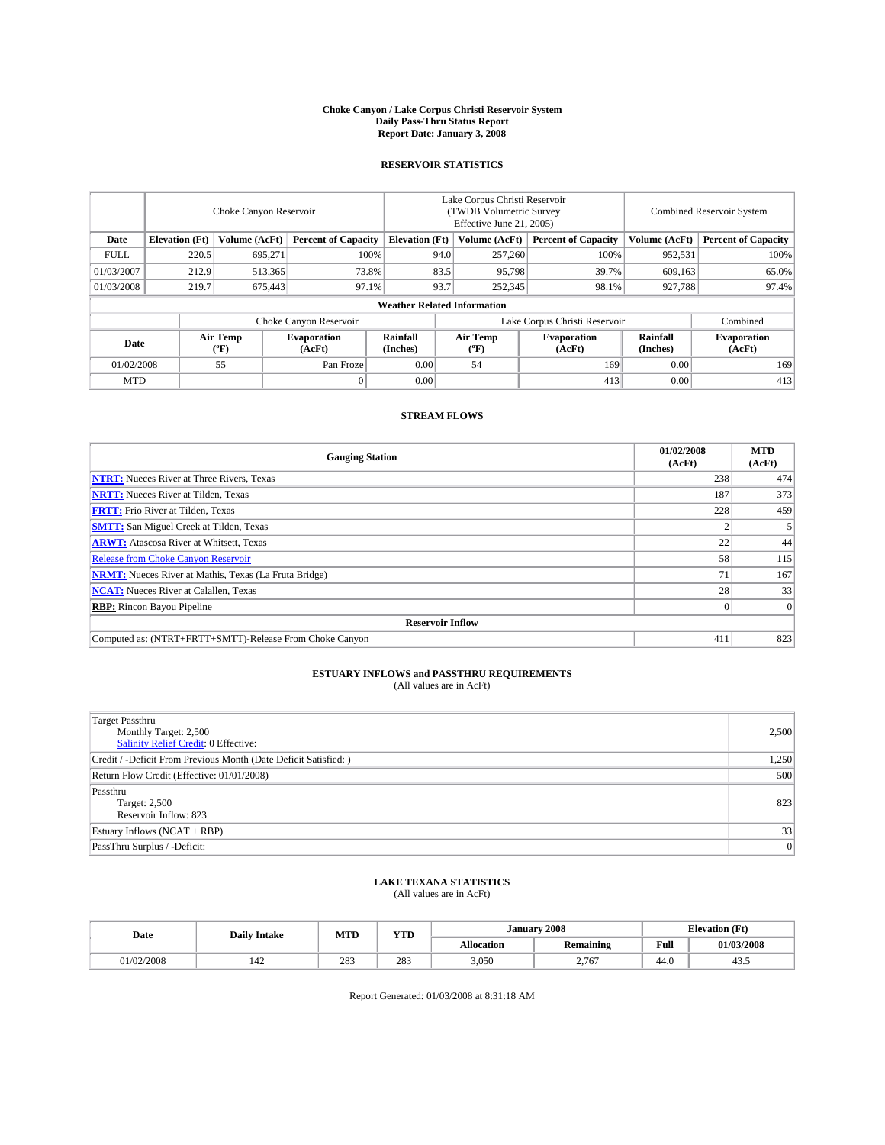### **Choke Canyon / Lake Corpus Christi Reservoir System Daily Pass-Thru Status Report Report Date: January 3, 2008**

### **RESERVOIR STATISTICS**

|             | Choke Canyon Reservoir |                  |                              |                                    | Lake Corpus Christi Reservoir<br>(TWDB Volumetric Survey<br>Effective June 21, 2005) |                  |                               |                            | <b>Combined Reservoir System</b> |  |  |
|-------------|------------------------|------------------|------------------------------|------------------------------------|--------------------------------------------------------------------------------------|------------------|-------------------------------|----------------------------|----------------------------------|--|--|
| Date        | <b>Elevation</b> (Ft)  | Volume (AcFt)    | <b>Percent of Capacity</b>   |                                    | <b>Percent of Capacity</b><br><b>Elevation</b> (Ft)<br>Volume (AcFt)                 |                  | Volume (AcFt)                 | <b>Percent of Capacity</b> |                                  |  |  |
| <b>FULL</b> | 220.5                  | 695.271          |                              | 100%                               | 94.0                                                                                 | 257,260          | 100%                          | 952,531                    | 100%                             |  |  |
| 01/03/2007  | 212.9                  | 513,365          | 73.8%                        |                                    | 83.5                                                                                 | 95,798           | 39.7%                         | 609.163                    | 65.0%                            |  |  |
| 01/03/2008  | 219.7                  | 675,443          | 97.1%                        |                                    | 93.7                                                                                 | 252,345          | 98.1%                         | 927.788                    | 97.4%                            |  |  |
|             |                        |                  |                              | <b>Weather Related Information</b> |                                                                                      |                  |                               |                            |                                  |  |  |
|             |                        |                  | Choke Canyon Reservoir       |                                    |                                                                                      |                  | Lake Corpus Christi Reservoir |                            | Combined                         |  |  |
| Date        |                        | Air Temp<br>(°F) | <b>Evaporation</b><br>(AcFt) | Rainfall<br>(Inches)               |                                                                                      | Air Temp<br>("F) | <b>Evaporation</b><br>(AcFt)  | Rainfall<br>(Inches)       | <b>Evaporation</b><br>(AcFt)     |  |  |
| 01/02/2008  |                        | 55               | Pan Froze                    | 0.00                               |                                                                                      | 54               | 169                           | 0.00                       | 169                              |  |  |
| <b>MTD</b>  |                        |                  |                              | 0.00                               |                                                                                      |                  | 413                           | 0.00                       | 413                              |  |  |

## **STREAM FLOWS**

| <b>Gauging Station</b>                                       | 01/02/2008<br>(AcFt) | <b>MTD</b><br>(AcFt) |
|--------------------------------------------------------------|----------------------|----------------------|
| <b>NTRT:</b> Nueces River at Three Rivers, Texas             | 238                  | 474                  |
| <b>NRTT:</b> Nueces River at Tilden, Texas                   | 187                  | 373                  |
| <b>FRTT:</b> Frio River at Tilden, Texas                     | 228                  | 459                  |
| <b>SMTT:</b> San Miguel Creek at Tilden, Texas               |                      |                      |
| <b>ARWT:</b> Atascosa River at Whitsett, Texas               | 22                   | 44                   |
| <b>Release from Choke Canyon Reservoir</b>                   | 58                   | 115                  |
| <b>NRMT:</b> Nueces River at Mathis, Texas (La Fruta Bridge) | 71                   | 167                  |
| <b>NCAT:</b> Nueces River at Calallen, Texas                 | 28                   | 33                   |
| <b>RBP:</b> Rincon Bayou Pipeline                            |                      | $\Omega$             |
| <b>Reservoir Inflow</b>                                      |                      |                      |
| Computed as: (NTRT+FRTT+SMTT)-Release From Choke Canyon      | 411                  | 823                  |

# **ESTUARY INFLOWS and PASSTHRU REQUIREMENTS**<br>(All values are in AcFt)

| <b>Target Passthru</b><br>Monthly Target: 2,500<br>Salinity Relief Credit: 0 Effective: | 2,500 |
|-----------------------------------------------------------------------------------------|-------|
| Credit / -Deficit From Previous Month (Date Deficit Satisfied: )                        | 1,250 |
| Return Flow Credit (Effective: 01/01/2008)                                              | 500   |
| Passthru<br>Target: 2,500<br>Reservoir Inflow: 823                                      | 823   |
| Estuary Inflows (NCAT + RBP)                                                            | 33    |
| PassThru Surplus / -Deficit:                                                            | 0     |

## **LAKE TEXANA STATISTICS** (All values are in AcFt)

| Date      | <b>Daily Intake</b> | <b>MTD</b> | T/TD<br>1 I D | <b>January</b> | 2008             |      | <b>Elevation</b> (Ft) |
|-----------|---------------------|------------|---------------|----------------|------------------|------|-----------------------|
|           |                     |            |               | Allocation     | <b>Remaining</b> | Full | 01/03/2008            |
| 1/02/2008 | ∸∠                  | 283        | 283           | 3,050          | 2,767            | 44.U | 43.5                  |

Report Generated: 01/03/2008 at 8:31:18 AM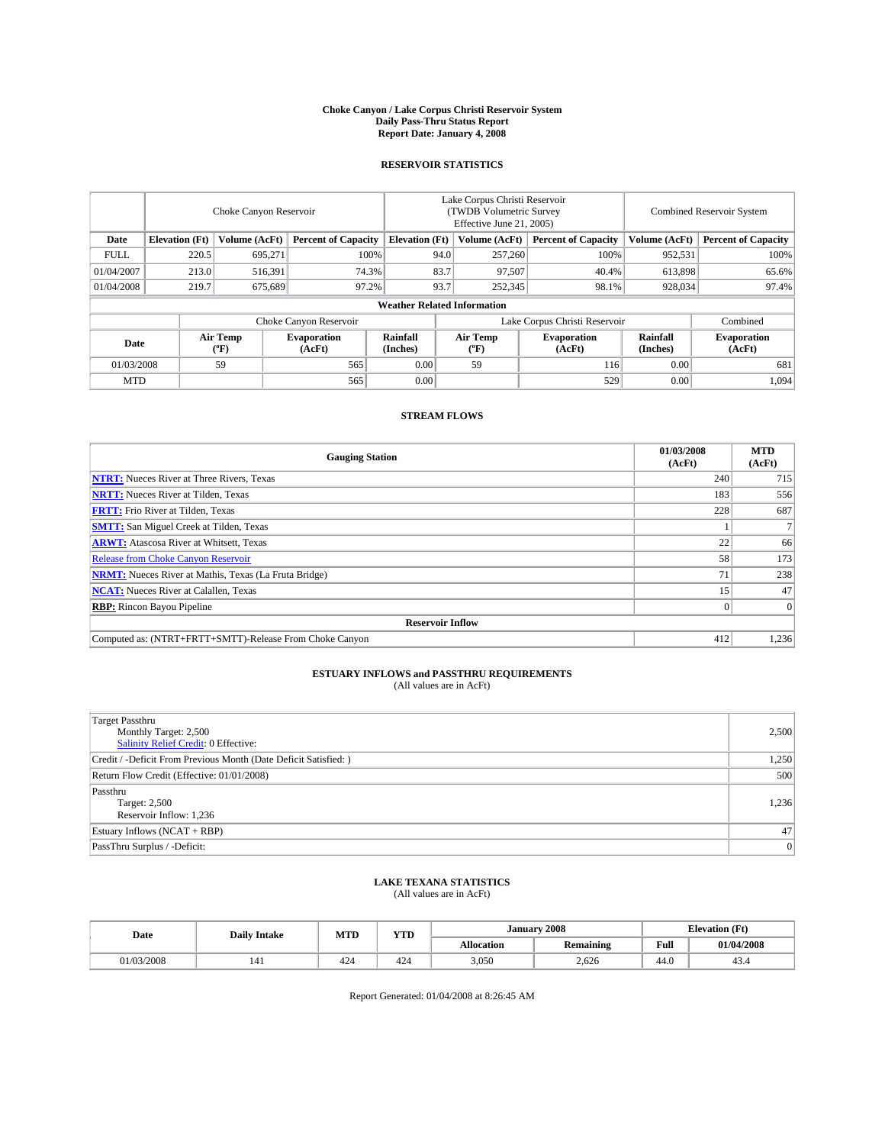### **Choke Canyon / Lake Corpus Christi Reservoir System Daily Pass-Thru Status Report Report Date: January 4, 2008**

### **RESERVOIR STATISTICS**

|             | Choke Canyon Reservoir             |                  |                              |                       | Lake Corpus Christi Reservoir<br>(TWDB Volumetric Survey<br>Effective June 21, 2005) |                  |                               | <b>Combined Reservoir System</b> |                              |  |
|-------------|------------------------------------|------------------|------------------------------|-----------------------|--------------------------------------------------------------------------------------|------------------|-------------------------------|----------------------------------|------------------------------|--|
| Date        | <b>Elevation</b> (Ft)              | Volume (AcFt)    | <b>Percent of Capacity</b>   | <b>Elevation</b> (Ft) |                                                                                      | Volume (AcFt)    | <b>Percent of Capacity</b>    | Volume (AcFt)                    | <b>Percent of Capacity</b>   |  |
| <b>FULL</b> | 220.5                              | 695.271          |                              | 100%                  | 94.0                                                                                 | 257,260          | 100%                          | 952,531                          | 100%                         |  |
| 01/04/2007  | 213.0                              | 516,391          | 74.3%                        |                       | 83.7                                                                                 | 97,507           | 40.4%                         | 613.898                          | 65.6%                        |  |
| 01/04/2008  | 219.7                              | 675,689          | 97.2%                        |                       | 93.7                                                                                 | 252,345          | 98.1%                         | 928,034                          | 97.4%                        |  |
|             | <b>Weather Related Information</b> |                  |                              |                       |                                                                                      |                  |                               |                                  |                              |  |
|             |                                    |                  | Choke Canyon Reservoir       |                       |                                                                                      |                  | Lake Corpus Christi Reservoir |                                  | Combined                     |  |
| Date        |                                    | Air Temp<br>(°F) | <b>Evaporation</b><br>(AcFt) | Rainfall<br>(Inches)  |                                                                                      | Air Temp<br>("F) | <b>Evaporation</b><br>(AcFt)  | Rainfall<br>(Inches)             | <b>Evaporation</b><br>(AcFt) |  |
| 01/03/2008  |                                    | 59               | 565                          | 0.00                  |                                                                                      | 59               | 116                           | 0.00                             | 681                          |  |
| <b>MTD</b>  |                                    |                  | 565                          | 0.00                  |                                                                                      |                  | 529                           | 0.00                             | 1,094                        |  |

## **STREAM FLOWS**

| <b>Gauging Station</b>                                       | 01/03/2008<br>(AcFt) | <b>MTD</b><br>(AcFt) |
|--------------------------------------------------------------|----------------------|----------------------|
| <b>NTRT:</b> Nueces River at Three Rivers, Texas             | 240                  | 715                  |
| <b>NRTT:</b> Nueces River at Tilden, Texas                   | 183                  | 556                  |
| <b>FRTT:</b> Frio River at Tilden, Texas                     | 228                  | 687                  |
| <b>SMTT:</b> San Miguel Creek at Tilden, Texas               |                      |                      |
| <b>ARWT:</b> Atascosa River at Whitsett, Texas               | 22                   | 66                   |
| <b>Release from Choke Canyon Reservoir</b>                   | 58                   | 173                  |
| <b>NRMT:</b> Nueces River at Mathis, Texas (La Fruta Bridge) | 71                   | 238                  |
| <b>NCAT:</b> Nueces River at Calallen, Texas                 | 15                   | 47                   |
| <b>RBP:</b> Rincon Bayou Pipeline                            |                      | $\Omega$             |
| <b>Reservoir Inflow</b>                                      |                      |                      |
| Computed as: (NTRT+FRTT+SMTT)-Release From Choke Canyon      | 412                  | 1,236                |

# **ESTUARY INFLOWS and PASSTHRU REQUIREMENTS**<br>(All values are in AcFt)

| Target Passthru<br>Monthly Target: 2,500<br><b>Salinity Relief Credit: 0 Effective:</b> | 2,500 |
|-----------------------------------------------------------------------------------------|-------|
| Credit / -Deficit From Previous Month (Date Deficit Satisfied: )                        | 1,250 |
| Return Flow Credit (Effective: 01/01/2008)                                              | 500   |
| Passthru<br>Target: 2,500<br>Reservoir Inflow: 1,236                                    | 1,236 |
| Estuary Inflows (NCAT + RBP)                                                            | 47    |
| PassThru Surplus / -Deficit:                                                            | 0     |

# **LAKE TEXANA STATISTICS** (All values are in AcFt)

| Date      | <b>Daily Intake</b> | <b>MTD</b> | T/TD<br>1 I D | 2008<br><b>January</b> |                  | <b>Elevation</b> (Ft) |            |
|-----------|---------------------|------------|---------------|------------------------|------------------|-----------------------|------------|
|           |                     |            |               | Allocation             | <b>Remaining</b> | Full                  | 01/04/2008 |
| 1/03/2008 |                     | 424        | -424          | 3,050                  | 2.626            | 44.U                  | 45.5       |

Report Generated: 01/04/2008 at 8:26:45 AM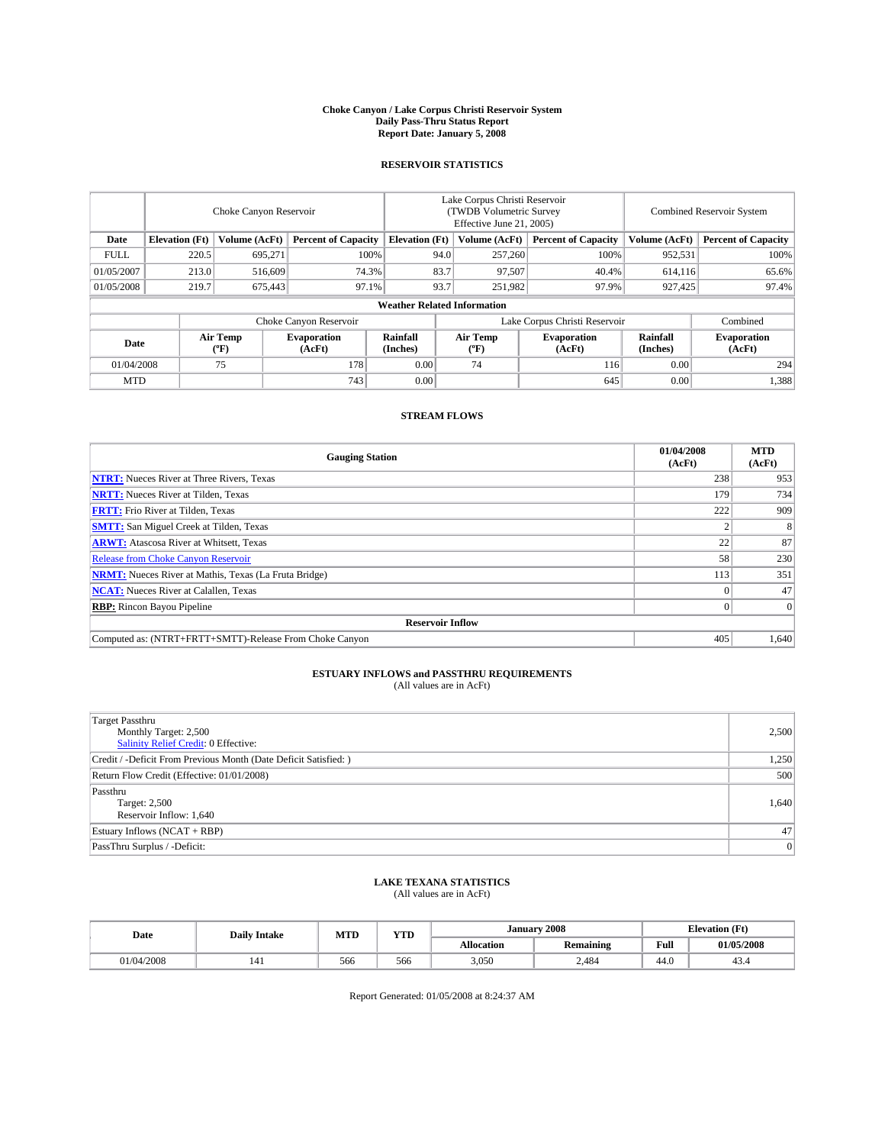### **Choke Canyon / Lake Corpus Christi Reservoir System Daily Pass-Thru Status Report Report Date: January 5, 2008**

### **RESERVOIR STATISTICS**

|             | Choke Canyon Reservoir |                  |                              |                                    | Lake Corpus Christi Reservoir<br>(TWDB Volumetric Survey<br>Effective June 21, 2005) |                  |                               | <b>Combined Reservoir System</b> |                              |  |
|-------------|------------------------|------------------|------------------------------|------------------------------------|--------------------------------------------------------------------------------------|------------------|-------------------------------|----------------------------------|------------------------------|--|
| Date        | <b>Elevation</b> (Ft)  | Volume (AcFt)    | <b>Percent of Capacity</b>   | <b>Elevation</b> (Ft)              |                                                                                      | Volume (AcFt)    | <b>Percent of Capacity</b>    | Volume (AcFt)                    | <b>Percent of Capacity</b>   |  |
| <b>FULL</b> | 220.5                  | 695.271          |                              | 100%                               | 94.0                                                                                 | 257,260          | 100%                          | 952,531                          | 100%                         |  |
| 01/05/2007  | 213.0                  | 516,609          | 74.3%                        |                                    | 83.7                                                                                 | 97,507           | 40.4%                         | 614,116                          | 65.6%                        |  |
| 01/05/2008  | 219.7                  | 675,443          | 97.1%                        |                                    | 93.7                                                                                 | 251,982          | 97.9%                         | 927,425                          | 97.4%                        |  |
|             |                        |                  |                              | <b>Weather Related Information</b> |                                                                                      |                  |                               |                                  |                              |  |
|             |                        |                  | Choke Canyon Reservoir       |                                    |                                                                                      |                  | Lake Corpus Christi Reservoir |                                  | Combined                     |  |
| Date        |                        | Air Temp<br>(°F) | <b>Evaporation</b><br>(AcFt) | Rainfall<br>(Inches)               |                                                                                      | Air Temp<br>("F) | <b>Evaporation</b><br>(AcFt)  | Rainfall<br>(Inches)             | <b>Evaporation</b><br>(AcFt) |  |
| 01/04/2008  |                        | 75               | 178                          | 0.00                               |                                                                                      | 74               | 116                           | 0.00                             | 294                          |  |
| <b>MTD</b>  |                        |                  | 743                          | 0.00                               |                                                                                      |                  | 645                           | 0.00                             | 1,388                        |  |

## **STREAM FLOWS**

| <b>Gauging Station</b>                                       | 01/04/2008<br>(AcFt) | <b>MTD</b><br>(AcFt) |
|--------------------------------------------------------------|----------------------|----------------------|
| <b>NTRT:</b> Nueces River at Three Rivers, Texas             | 238                  | 953                  |
| <b>NRTT:</b> Nueces River at Tilden, Texas                   | 179                  | 734                  |
| <b>FRTT:</b> Frio River at Tilden, Texas                     | 222                  | 909                  |
| <b>SMTT:</b> San Miguel Creek at Tilden, Texas               |                      | 8                    |
| <b>ARWT:</b> Atascosa River at Whitsett, Texas               | 22                   | 87                   |
| <b>Release from Choke Canyon Reservoir</b>                   | 58                   | 230                  |
| <b>NRMT:</b> Nueces River at Mathis, Texas (La Fruta Bridge) | 113                  | 351                  |
| <b>NCAT:</b> Nueces River at Calallen, Texas                 |                      | 47                   |
| <b>RBP:</b> Rincon Bayou Pipeline                            |                      | $\Omega$             |
| <b>Reservoir Inflow</b>                                      |                      |                      |
| Computed as: (NTRT+FRTT+SMTT)-Release From Choke Canyon      | 405                  | 1.640                |

# **ESTUARY INFLOWS and PASSTHRU REQUIREMENTS**<br>(All values are in AcFt)

| Target Passthru<br>Monthly Target: 2,500<br><b>Salinity Relief Credit: 0 Effective:</b> | 2,500          |
|-----------------------------------------------------------------------------------------|----------------|
| Credit / -Deficit From Previous Month (Date Deficit Satisfied: )                        | 1,250          |
| Return Flow Credit (Effective: 01/01/2008)                                              | 500            |
| Passthru<br>Target: 2,500<br>Reservoir Inflow: 1,640                                    | 1,640          |
| Estuary Inflows (NCAT + RBP)                                                            | 47             |
| PassThru Surplus / -Deficit:                                                            | $\overline{0}$ |

## **LAKE TEXANA STATISTICS** (All values are in AcFt)

| Date       | <b>Daily Intake</b> | MTD | VTT<br>1 I D | January           | 2008             |      | <b>Elevation</b> (Ft) |
|------------|---------------------|-----|--------------|-------------------|------------------|------|-----------------------|
|            |                     |     |              | <b>Allocation</b> | <b>Remaining</b> | Full | 01/05/2008            |
| 01/04/2008 |                     | 566 | 566          | 3,050             | 2.484            | 44.U | 45.٠                  |

Report Generated: 01/05/2008 at 8:24:37 AM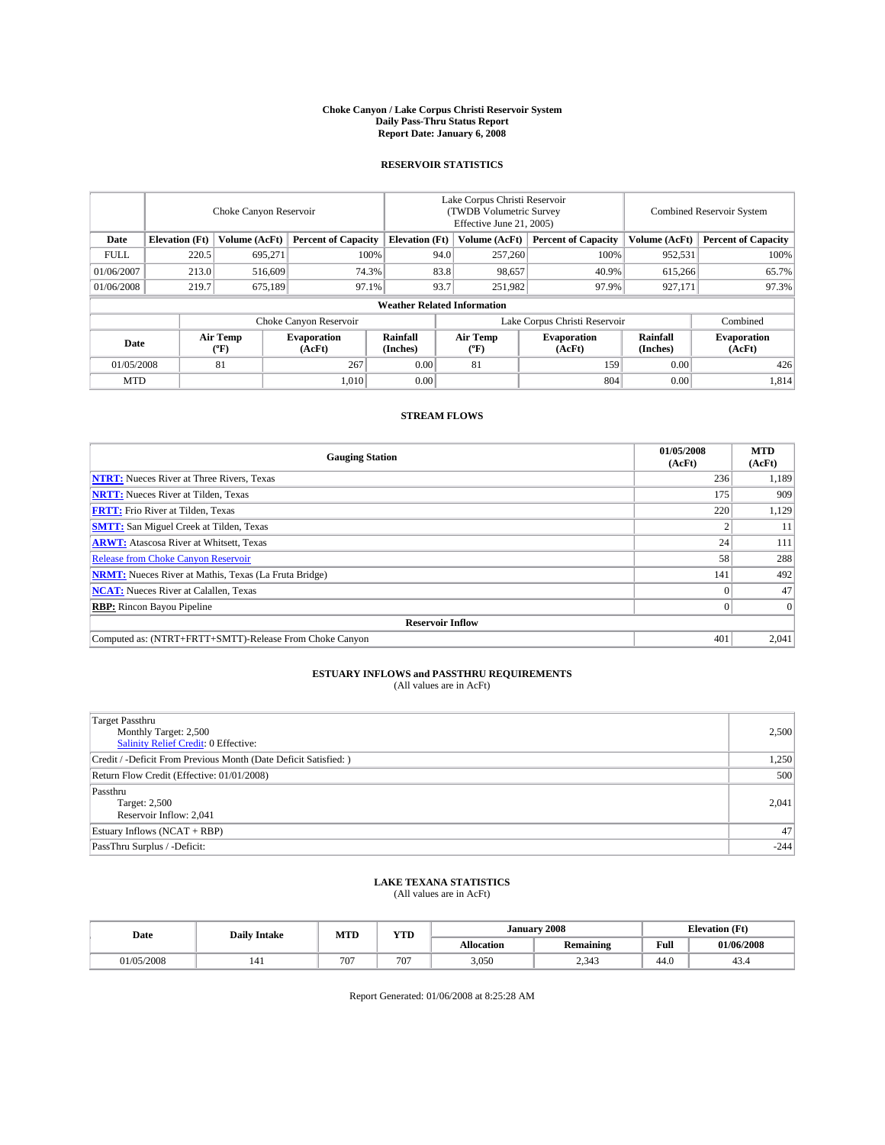### **Choke Canyon / Lake Corpus Christi Reservoir System Daily Pass-Thru Status Report Report Date: January 6, 2008**

### **RESERVOIR STATISTICS**

|             | Choke Canyon Reservoir |                  |                              |                                    | Lake Corpus Christi Reservoir<br>(TWDB Volumetric Survey<br>Effective June 21, 2005) |                  |                               | Combined Reservoir System |                              |  |
|-------------|------------------------|------------------|------------------------------|------------------------------------|--------------------------------------------------------------------------------------|------------------|-------------------------------|---------------------------|------------------------------|--|
| Date        | <b>Elevation</b> (Ft)  | Volume (AcFt)    | <b>Percent of Capacity</b>   | <b>Elevation</b> (Ft)              |                                                                                      | Volume (AcFt)    | <b>Percent of Capacity</b>    | Volume (AcFt)             | <b>Percent of Capacity</b>   |  |
| <b>FULL</b> | 220.5                  | 695,271          | 100%                         |                                    | 94.0                                                                                 | 257,260          | 100%                          | 952,531                   | 100%                         |  |
| 01/06/2007  | 213.0                  | 516,609          | 74.3%                        |                                    | 83.8                                                                                 | 98,657           | 40.9%                         | 615,266                   | 65.7%                        |  |
| 01/06/2008  | 219.7                  | 675,189          | 97.1%                        |                                    | 93.7                                                                                 | 251,982          | 97.9%                         | 927,171                   | 97.3%                        |  |
|             |                        |                  |                              | <b>Weather Related Information</b> |                                                                                      |                  |                               |                           |                              |  |
|             |                        |                  | Choke Canyon Reservoir       |                                    |                                                                                      |                  | Lake Corpus Christi Reservoir |                           | Combined                     |  |
| Date        |                        | Air Temp<br>(°F) | <b>Evaporation</b><br>(AcFt) | Rainfall<br>(Inches)               |                                                                                      | Air Temp<br>("F) | <b>Evaporation</b><br>(AcFt)  | Rainfall<br>(Inches)      | <b>Evaporation</b><br>(AcFt) |  |
| 01/05/2008  |                        | 81               | 267                          | 0.00                               |                                                                                      | 81               | 159                           | 0.00                      | 426                          |  |
| <b>MTD</b>  |                        |                  | 1,010                        | 0.00                               |                                                                                      |                  | 804                           | 0.00                      | 1,814                        |  |

## **STREAM FLOWS**

| <b>Gauging Station</b>                                       | 01/05/2008<br>(AcFt) | <b>MTD</b><br>(AcFt) |
|--------------------------------------------------------------|----------------------|----------------------|
| <b>NTRT:</b> Nueces River at Three Rivers, Texas             | 236                  | 1,189                |
| <b>NRTT:</b> Nueces River at Tilden, Texas                   | 175                  | 909                  |
| <b>FRTT:</b> Frio River at Tilden, Texas                     | 220                  | 1,129                |
| <b>SMTT:</b> San Miguel Creek at Tilden, Texas               |                      | 11                   |
| <b>ARWT:</b> Atascosa River at Whitsett, Texas               | 24                   | 111                  |
| <b>Release from Choke Canyon Reservoir</b>                   | 58                   | 288                  |
| <b>NRMT:</b> Nueces River at Mathis, Texas (La Fruta Bridge) | 141                  | 492                  |
| <b>NCAT:</b> Nueces River at Calallen, Texas                 |                      | 47                   |
| <b>RBP:</b> Rincon Bayou Pipeline                            |                      | $\overline{0}$       |
| <b>Reservoir Inflow</b>                                      |                      |                      |
| Computed as: (NTRT+FRTT+SMTT)-Release From Choke Canyon      | 401                  | 2,041                |

# **ESTUARY INFLOWS and PASSTHRU REQUIREMENTS**<br>(All values are in AcFt)

| <b>Target Passthru</b><br>Monthly Target: 2,500<br>Salinity Relief Credit: 0 Effective: | 2,500  |
|-----------------------------------------------------------------------------------------|--------|
| Credit / -Deficit From Previous Month (Date Deficit Satisfied: )                        | 1,250  |
| Return Flow Credit (Effective: 01/01/2008)                                              | 500    |
| Passthru<br>Target: 2,500<br>Reservoir Inflow: 2,041                                    | 2.041  |
| Estuary Inflows (NCAT + RBP)                                                            | 47     |
| PassThru Surplus / -Deficit:                                                            | $-244$ |

# **LAKE TEXANA STATISTICS** (All values are in AcFt)

| Date       | <b>MTD</b><br><b>WITH</b><br><b>Daily Intake</b><br>1 I D |     | January | 2008              | <b>Elevation</b> (Ft)   |        |            |
|------------|-----------------------------------------------------------|-----|---------|-------------------|-------------------------|--------|------------|
|            |                                                           |     |         | <b>Allocation</b> | . .<br><b>Remaining</b> | Full   | 01/06/2008 |
| 01/05/2008 |                                                           | 707 | 707     | 3,050             | 2,343                   | - 44.u | 45.۰       |

Report Generated: 01/06/2008 at 8:25:28 AM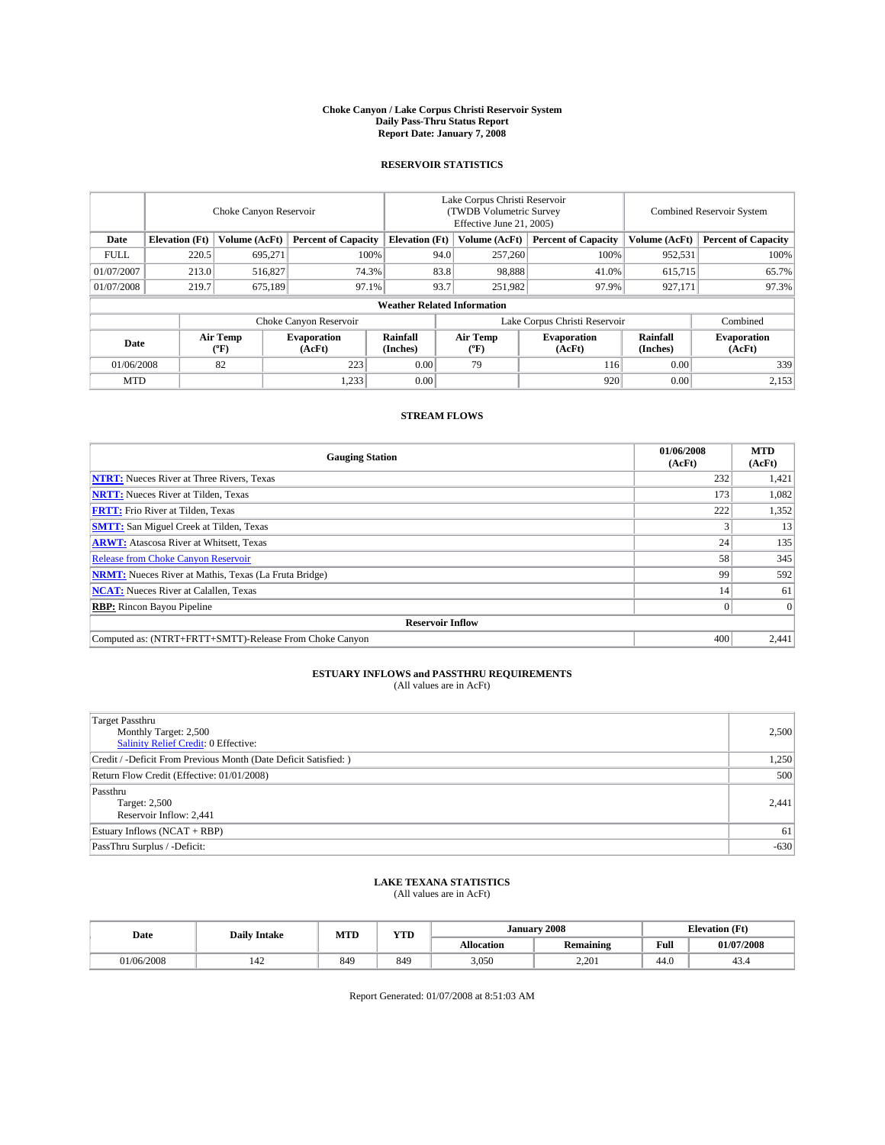### **Choke Canyon / Lake Corpus Christi Reservoir System Daily Pass-Thru Status Report Report Date: January 7, 2008**

### **RESERVOIR STATISTICS**

|             | Choke Canyon Reservoir             |                  |                              |                       | Lake Corpus Christi Reservoir<br>(TWDB Volumetric Survey<br>Effective June 21, 2005) |                  |                               | Combined Reservoir System |                              |  |
|-------------|------------------------------------|------------------|------------------------------|-----------------------|--------------------------------------------------------------------------------------|------------------|-------------------------------|---------------------------|------------------------------|--|
| Date        | <b>Elevation</b> (Ft)              | Volume (AcFt)    | <b>Percent of Capacity</b>   | <b>Elevation</b> (Ft) |                                                                                      | Volume (AcFt)    | <b>Percent of Capacity</b>    | Volume (AcFt)             | <b>Percent of Capacity</b>   |  |
| <b>FULL</b> | 220.5                              | 695,271          | 100%                         |                       | 94.0                                                                                 | 257,260          | 100%                          | 952,531                   | 100%                         |  |
| 01/07/2007  | 213.0                              | 516,827          | 74.3%                        |                       | 83.8                                                                                 | 98.888           | 41.0%                         | 615,715                   | 65.7%                        |  |
| 01/07/2008  | 219.7                              | 675,189          | 97.1%                        |                       | 93.7                                                                                 | 251,982          | 97.9%                         | 927,171                   | 97.3%                        |  |
|             | <b>Weather Related Information</b> |                  |                              |                       |                                                                                      |                  |                               |                           |                              |  |
|             |                                    |                  | Choke Canyon Reservoir       |                       |                                                                                      |                  | Lake Corpus Christi Reservoir |                           | Combined                     |  |
| Date        |                                    | Air Temp<br>(°F) | <b>Evaporation</b><br>(AcFt) | Rainfall<br>(Inches)  |                                                                                      | Air Temp<br>("F) | <b>Evaporation</b><br>(AcFt)  | Rainfall<br>(Inches)      | <b>Evaporation</b><br>(AcFt) |  |
| 01/06/2008  |                                    | 82               | 223                          | 0.00                  |                                                                                      | 79               | 116                           | 0.00                      | 339                          |  |
| <b>MTD</b>  |                                    |                  | 1,233                        | 0.00                  |                                                                                      |                  | 920                           | 0.00                      | 2,153                        |  |

## **STREAM FLOWS**

| <b>Gauging Station</b>                                       | 01/06/2008<br>(AcFt) | <b>MTD</b><br>(AcFt) |
|--------------------------------------------------------------|----------------------|----------------------|
| <b>NTRT:</b> Nueces River at Three Rivers, Texas             | 232                  | 1,421                |
| <b>NRTT:</b> Nueces River at Tilden, Texas                   | 173                  | 1,082                |
| <b>FRTT:</b> Frio River at Tilden, Texas                     | 222                  | 1,352                |
| <b>SMTT:</b> San Miguel Creek at Tilden, Texas               |                      | 13                   |
| <b>ARWT:</b> Atascosa River at Whitsett, Texas               | 24                   | 135                  |
| <b>Release from Choke Canyon Reservoir</b>                   | 58                   | 345                  |
| <b>NRMT:</b> Nueces River at Mathis, Texas (La Fruta Bridge) | 99                   | 592                  |
| <b>NCAT:</b> Nueces River at Calallen, Texas                 | 14                   | 61                   |
| <b>RBP:</b> Rincon Bayou Pipeline                            |                      | $\Omega$             |
| <b>Reservoir Inflow</b>                                      |                      |                      |
| Computed as: (NTRT+FRTT+SMTT)-Release From Choke Canyon      | 400                  | 2.441                |

# **ESTUARY INFLOWS and PASSTHRU REQUIREMENTS**<br>(All values are in AcFt)

| Target Passthru<br>Monthly Target: 2,500<br><b>Salinity Relief Credit: 0 Effective:</b> | 2,500  |
|-----------------------------------------------------------------------------------------|--------|
| Credit / -Deficit From Previous Month (Date Deficit Satisfied: )                        | 1,250  |
| Return Flow Credit (Effective: 01/01/2008)                                              | 500    |
| Passthru<br>Target: 2,500<br>Reservoir Inflow: 2,441                                    | 2,441  |
| Estuary Inflows (NCAT + RBP)                                                            | 61     |
| PassThru Surplus / -Deficit:                                                            | $-630$ |

## **LAKE TEXANA STATISTICS** (All values are in AcFt)

| Date       | <b>Daily Intake</b> | MTD | VTT<br>1 I D | January    | 2008             |      | <b>Elevation</b> (Ft) |
|------------|---------------------|-----|--------------|------------|------------------|------|-----------------------|
|            |                     |     |              | Allocation | <b>Remaining</b> | Full | 01/07/2008            |
| 01/06/2008 | $-1$                | 849 | 849          | 3,050      | 2.201            | 44.U | 45.۰                  |

Report Generated: 01/07/2008 at 8:51:03 AM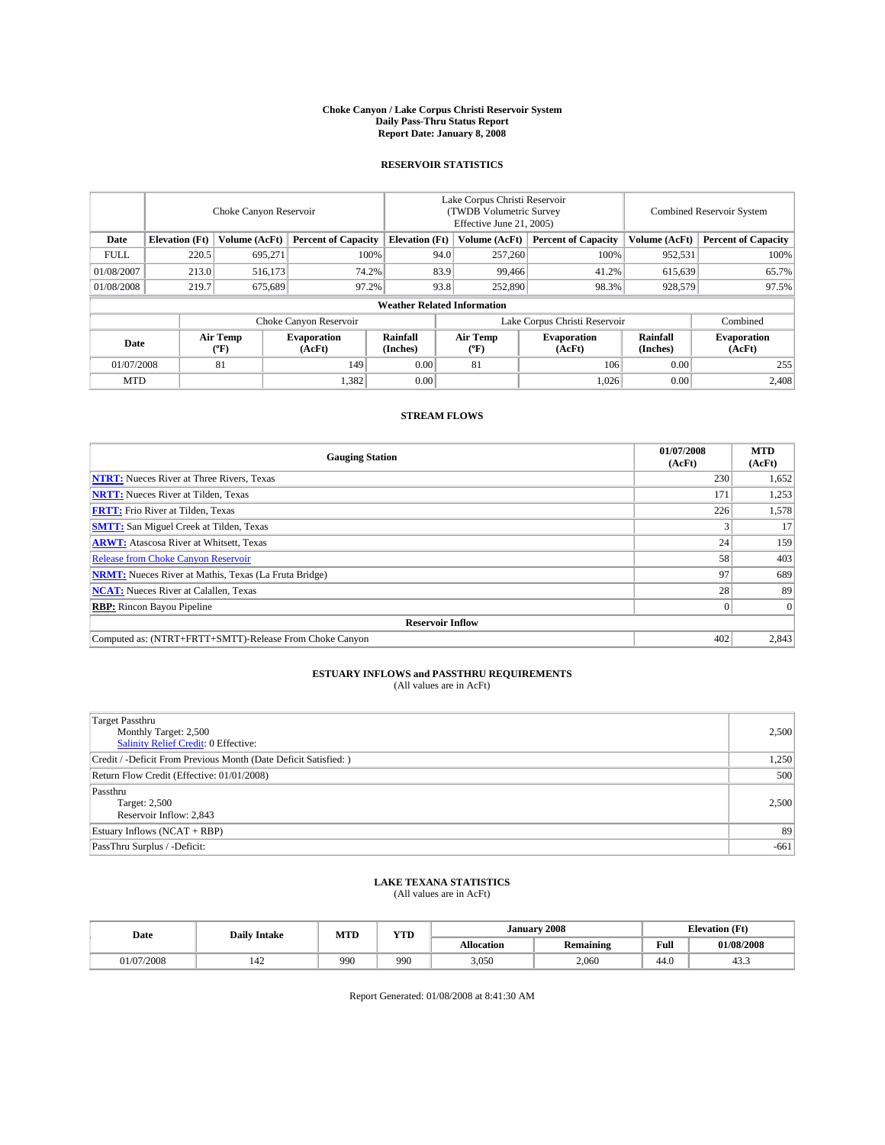### **Choke Canyon / Lake Corpus Christi Reservoir System Daily Pass-Thru Status Report Report Date: January 8, 2008**

### **RESERVOIR STATISTICS**

|             | Choke Canyon Reservoir             |                  |                              |                       | Lake Corpus Christi Reservoir<br>(TWDB Volumetric Survey<br>Effective June 21, 2005) |                  |                               |                      | Combined Reservoir System    |  |  |
|-------------|------------------------------------|------------------|------------------------------|-----------------------|--------------------------------------------------------------------------------------|------------------|-------------------------------|----------------------|------------------------------|--|--|
| Date        | <b>Elevation</b> (Ft)              | Volume (AcFt)    | <b>Percent of Capacity</b>   | <b>Elevation</b> (Ft) |                                                                                      | Volume (AcFt)    | <b>Percent of Capacity</b>    | Volume (AcFt)        | <b>Percent of Capacity</b>   |  |  |
| <b>FULL</b> | 220.5                              | 695,271          |                              | 100%                  | 94.0                                                                                 | 257,260          | 100%                          | 952,531              | 100%                         |  |  |
| 01/08/2007  | 213.0                              | 516,173          | 74.2%                        |                       | 83.9                                                                                 | 99,466           | 41.2%                         | 615,639              | 65.7%                        |  |  |
| 01/08/2008  | 219.7                              | 675,689          | 97.2%                        |                       | 93.8                                                                                 | 252,890          | 98.3%                         | 928,579              | 97.5%                        |  |  |
|             | <b>Weather Related Information</b> |                  |                              |                       |                                                                                      |                  |                               |                      |                              |  |  |
|             |                                    |                  | Choke Canyon Reservoir       |                       |                                                                                      |                  | Lake Corpus Christi Reservoir |                      | Combined                     |  |  |
| Date        |                                    | Air Temp<br>(°F) | <b>Evaporation</b><br>(AcFt) | Rainfall<br>(Inches)  |                                                                                      | Air Temp<br>("F) | <b>Evaporation</b><br>(AcFt)  | Rainfall<br>(Inches) | <b>Evaporation</b><br>(AcFt) |  |  |
| 01/07/2008  |                                    | 81               | 149                          | 0.00                  |                                                                                      | 81               | 106                           | 0.00                 | 255                          |  |  |
| <b>MTD</b>  |                                    |                  | 1,382                        | 0.00                  |                                                                                      |                  | 1,026                         | 0.00                 | 2,408                        |  |  |

### **STREAM FLOWS**

| <b>Gauging Station</b>                                       | 01/07/2008<br>(AcFt) | <b>MTD</b><br>(AcFt) |
|--------------------------------------------------------------|----------------------|----------------------|
| <b>NTRT:</b> Nueces River at Three Rivers, Texas             | 230                  | 1,652                |
| <b>NRTT:</b> Nueces River at Tilden, Texas                   | 171                  | 1,253                |
| <b>FRTT:</b> Frio River at Tilden, Texas                     | 226                  | 1,578                |
| <b>SMTT:</b> San Miguel Creek at Tilden, Texas               |                      | 17                   |
| <b>ARWT:</b> Atascosa River at Whitsett, Texas               | 24                   | 159                  |
| <b>Release from Choke Canyon Reservoir</b>                   | 58                   | 403                  |
| <b>NRMT:</b> Nueces River at Mathis, Texas (La Fruta Bridge) | 97                   | 689                  |
| <b>NCAT:</b> Nueces River at Calallen, Texas                 | 28                   | 89                   |
| <b>RBP:</b> Rincon Bayou Pipeline                            |                      | $\Omega$             |
| <b>Reservoir Inflow</b>                                      |                      |                      |
| Computed as: (NTRT+FRTT+SMTT)-Release From Choke Canyon      | 402                  | 2.843                |

# **ESTUARY INFLOWS and PASSTHRU REQUIREMENTS**<br>(All values are in AcFt)

| Target Passthru<br>Monthly Target: 2,500<br><b>Salinity Relief Credit: 0 Effective:</b> | 2,500  |
|-----------------------------------------------------------------------------------------|--------|
| Credit / -Deficit From Previous Month (Date Deficit Satisfied: )                        | 1,250  |
| Return Flow Credit (Effective: 01/01/2008)                                              | 500    |
| Passthru<br>Target: 2,500<br>Reservoir Inflow: 2,843                                    | 2,500  |
| Estuary Inflows (NCAT + RBP)                                                            | 89     |
| PassThru Surplus / -Deficit:                                                            | $-661$ |

## **LAKE TEXANA STATISTICS** (All values are in AcFt)

| Date       | <b>Daily Intake</b> | MTD | VTT   | January    | 2008                    | <b>Elevation</b> (Ft) |            |
|------------|---------------------|-----|-------|------------|-------------------------|-----------------------|------------|
|            |                     |     | 1 I D | Allocation | . .<br><b>Remaining</b> | Full                  | 01/08/2008 |
| 01/07/2008 | $-1$                | 990 | 990   | 3,050      | 2,060                   | 44.U                  | 43.3       |

Report Generated: 01/08/2008 at 8:41:30 AM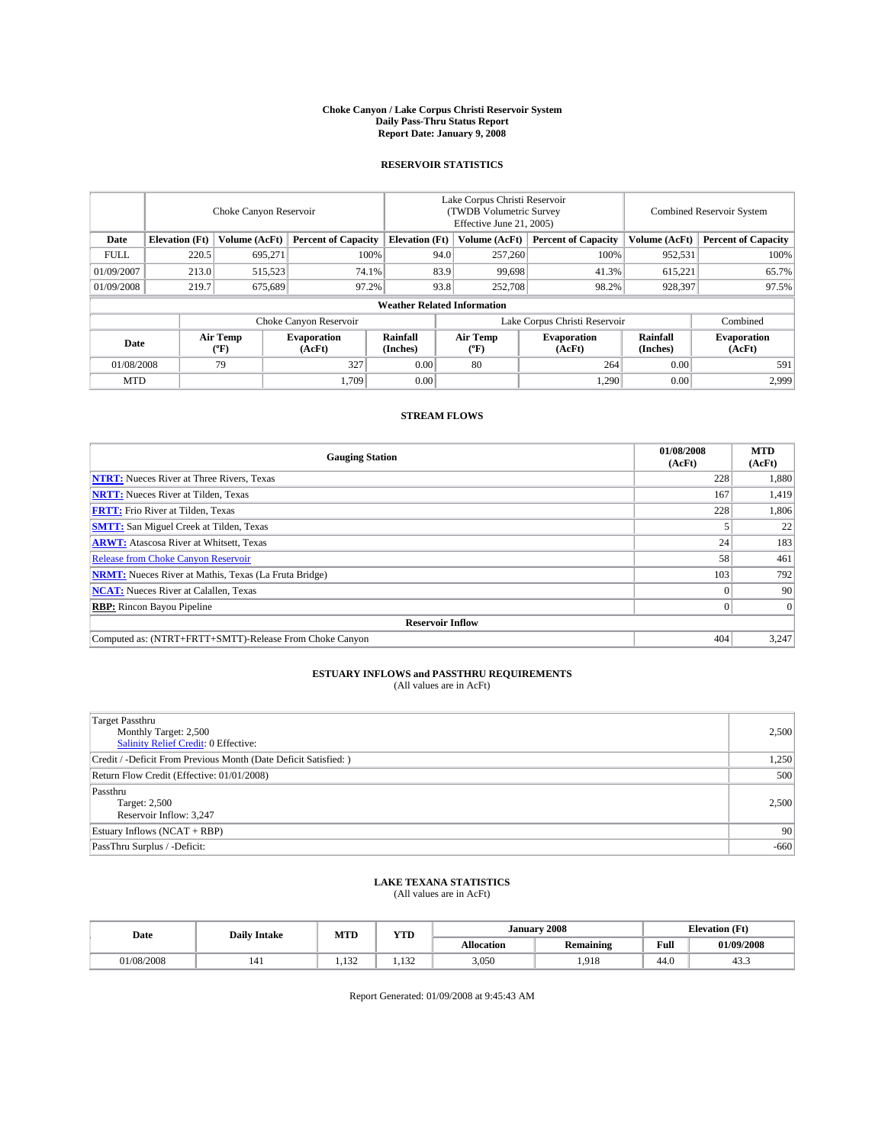### **Choke Canyon / Lake Corpus Christi Reservoir System Daily Pass-Thru Status Report Report Date: January 9, 2008**

### **RESERVOIR STATISTICS**

|             | Choke Canyon Reservoir             |                  |                              |                       | Lake Corpus Christi Reservoir<br>(TWDB Volumetric Survey<br>Effective June 21, 2005) |                  |                               |                      | Combined Reservoir System    |  |  |
|-------------|------------------------------------|------------------|------------------------------|-----------------------|--------------------------------------------------------------------------------------|------------------|-------------------------------|----------------------|------------------------------|--|--|
| Date        | <b>Elevation</b> (Ft)              | Volume (AcFt)    | <b>Percent of Capacity</b>   | <b>Elevation</b> (Ft) |                                                                                      | Volume (AcFt)    | <b>Percent of Capacity</b>    | Volume (AcFt)        | <b>Percent of Capacity</b>   |  |  |
| <b>FULL</b> | 220.5                              | 695,271          | 100%                         |                       | 94.0                                                                                 | 257,260          | 100%                          | 952,531              | 100%                         |  |  |
| 01/09/2007  | 213.0                              | 515,523          | 74.1%                        |                       | 83.9                                                                                 | 99.698           | 41.3%                         | 615.221              | 65.7%                        |  |  |
| 01/09/2008  | 219.7                              | 675,689          | 97.2%                        |                       | 93.8                                                                                 | 252,708          | 98.2%                         | 928,397              | 97.5%                        |  |  |
|             | <b>Weather Related Information</b> |                  |                              |                       |                                                                                      |                  |                               |                      |                              |  |  |
|             |                                    |                  | Choke Canyon Reservoir       |                       |                                                                                      |                  | Lake Corpus Christi Reservoir |                      | Combined                     |  |  |
| Date        |                                    | Air Temp<br>(°F) | <b>Evaporation</b><br>(AcFt) | Rainfall<br>(Inches)  |                                                                                      | Air Temp<br>("F) | <b>Evaporation</b><br>(AcFt)  | Rainfall<br>(Inches) | <b>Evaporation</b><br>(AcFt) |  |  |
| 01/08/2008  |                                    | 79               | 327                          | 0.00                  |                                                                                      | 80               | 264                           | 0.00                 | 591                          |  |  |
| <b>MTD</b>  |                                    |                  | 1.709                        | 0.00                  |                                                                                      |                  | 1,290                         | 0.00                 | 2,999                        |  |  |

## **STREAM FLOWS**

| <b>Gauging Station</b>                                       | 01/08/2008<br>(AcFt) | <b>MTD</b><br>(AcFt) |
|--------------------------------------------------------------|----------------------|----------------------|
| <b>NTRT:</b> Nueces River at Three Rivers, Texas             | 228                  | 1,880                |
| <b>NRTT:</b> Nueces River at Tilden, Texas                   | 167                  | 1,419                |
| <b>FRTT:</b> Frio River at Tilden, Texas                     | 228                  | 1,806                |
| <b>SMTT:</b> San Miguel Creek at Tilden, Texas               |                      | 22                   |
| <b>ARWT:</b> Atascosa River at Whitsett, Texas               | 24 <sub>1</sub>      | 183                  |
| <b>Release from Choke Canyon Reservoir</b>                   | 58                   | 461                  |
| <b>NRMT:</b> Nueces River at Mathis, Texas (La Fruta Bridge) | 103                  | 792                  |
| <b>NCAT:</b> Nueces River at Calallen, Texas                 |                      | 90                   |
| <b>RBP:</b> Rincon Bayou Pipeline                            |                      | $\Omega$             |
| <b>Reservoir Inflow</b>                                      |                      |                      |
| Computed as: (NTRT+FRTT+SMTT)-Release From Choke Canyon      | 404                  | 3.247                |

# **ESTUARY INFLOWS and PASSTHRU REQUIREMENTS**<br>(All values are in AcFt)

| <b>Target Passthru</b><br>Monthly Target: 2,500<br>Salinity Relief Credit: 0 Effective: | 2,500  |
|-----------------------------------------------------------------------------------------|--------|
| Credit / -Deficit From Previous Month (Date Deficit Satisfied: )                        | 1,250  |
| Return Flow Credit (Effective: 01/01/2008)                                              | 500    |
| Passthru<br>Target: 2,500<br>Reservoir Inflow: 3,247                                    | 2.500  |
| Estuary Inflows (NCAT + RBP)                                                            | 90     |
| PassThru Surplus / -Deficit:                                                            | $-660$ |

## **LAKE TEXANA STATISTICS** (All values are in AcFt)

| Date       | <b>Daily Intake</b> | <b>MTD</b>      | <b>YTD</b>       | January           | 2008      | <b>Elevation</b> (Ft) |            |  |
|------------|---------------------|-----------------|------------------|-------------------|-----------|-----------------------|------------|--|
|            |                     |                 |                  | <b>Allocation</b> | Remaining | Full                  | 01/09/2008 |  |
| 01/08/2008 |                     | $\sim$<br>1.132 | $\sim$<br>1.1.34 | 3,050             | 1.918     | 44.0                  | د.45       |  |

Report Generated: 01/09/2008 at 9:45:43 AM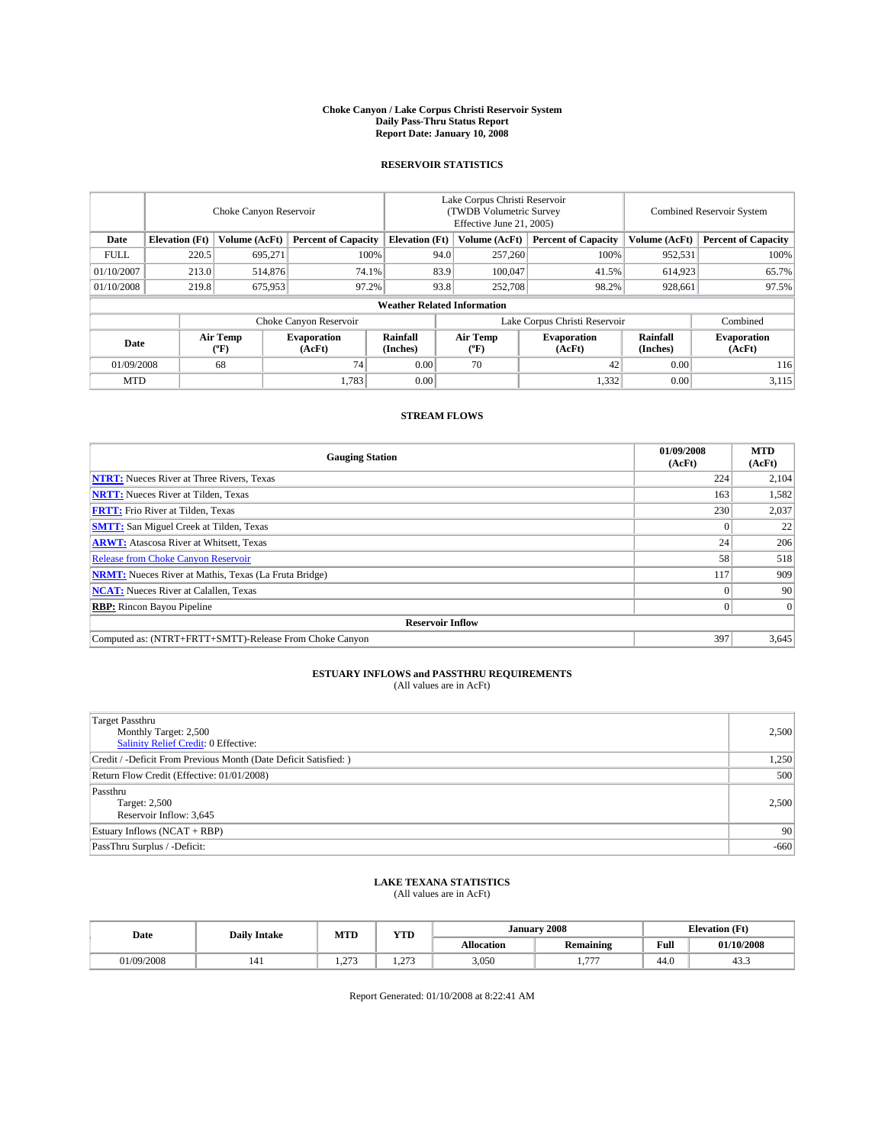### **Choke Canyon / Lake Corpus Christi Reservoir System Daily Pass-Thru Status Report Report Date: January 10, 2008**

### **RESERVOIR STATISTICS**

|             | Choke Canyon Reservoir             |                  |                              |                       | Lake Corpus Christi Reservoir<br>(TWDB Volumetric Survey<br>Effective June 21, 2005) |                  |                               |                      | Combined Reservoir System    |  |  |
|-------------|------------------------------------|------------------|------------------------------|-----------------------|--------------------------------------------------------------------------------------|------------------|-------------------------------|----------------------|------------------------------|--|--|
| Date        | <b>Elevation</b> (Ft)              | Volume (AcFt)    | <b>Percent of Capacity</b>   | <b>Elevation</b> (Ft) |                                                                                      | Volume (AcFt)    | <b>Percent of Capacity</b>    | Volume (AcFt)        | <b>Percent of Capacity</b>   |  |  |
| <b>FULL</b> | 220.5                              | 695,271          | 100%                         |                       | 94.0                                                                                 | 257,260          | 100%                          | 952,531              | 100%                         |  |  |
| 01/10/2007  | 213.0                              | 514,876          | 74.1%                        |                       | 83.9                                                                                 | 100,047          | 41.5%                         | 614,923              | 65.7%                        |  |  |
| 01/10/2008  | 219.8                              | 675,953          | 97.2%                        |                       | 93.8                                                                                 | 252,708          | 98.2%                         | 928,661              | 97.5%                        |  |  |
|             | <b>Weather Related Information</b> |                  |                              |                       |                                                                                      |                  |                               |                      |                              |  |  |
|             |                                    |                  | Choke Canyon Reservoir       |                       |                                                                                      |                  | Lake Corpus Christi Reservoir |                      | Combined                     |  |  |
| Date        |                                    | Air Temp<br>(°F) | <b>Evaporation</b><br>(AcFt) | Rainfall<br>(Inches)  |                                                                                      | Air Temp<br>("F) | <b>Evaporation</b><br>(AcFt)  | Rainfall<br>(Inches) | <b>Evaporation</b><br>(AcFt) |  |  |
| 01/09/2008  |                                    | 68               | 74                           | 0.00                  |                                                                                      | 70               | 42                            | 0.00                 | 116                          |  |  |
| <b>MTD</b>  |                                    |                  | 1,783                        | 0.00                  |                                                                                      |                  | 1,332                         | 0.00                 | 3,115                        |  |  |

## **STREAM FLOWS**

| <b>Gauging Station</b>                                       | 01/09/2008<br>(AcFt) | <b>MTD</b><br>(AcFt) |
|--------------------------------------------------------------|----------------------|----------------------|
| <b>NTRT:</b> Nueces River at Three Rivers, Texas             | 224                  | 2,104                |
| <b>NRTT:</b> Nueces River at Tilden, Texas                   | 163                  | 1,582                |
| <b>FRTT:</b> Frio River at Tilden, Texas                     | 230                  | 2,037                |
| <b>SMTT:</b> San Miguel Creek at Tilden, Texas               |                      | 22                   |
| <b>ARWT:</b> Atascosa River at Whitsett, Texas               | 24                   | 206                  |
| <b>Release from Choke Canyon Reservoir</b>                   | 58                   | 518                  |
| <b>NRMT:</b> Nueces River at Mathis, Texas (La Fruta Bridge) | 117                  | 909                  |
| <b>NCAT:</b> Nueces River at Calallen, Texas                 |                      | 90                   |
| <b>RBP:</b> Rincon Bayou Pipeline                            |                      | $\Omega$             |
| <b>Reservoir Inflow</b>                                      |                      |                      |
| Computed as: (NTRT+FRTT+SMTT)-Release From Choke Canyon      | 397                  | 3.645                |

# **ESTUARY INFLOWS and PASSTHRU REQUIREMENTS**<br>(All values are in AcFt)

| <b>Target Passthru</b><br>Monthly Target: 2,500<br>Salinity Relief Credit: 0 Effective: | 2,500  |
|-----------------------------------------------------------------------------------------|--------|
| Credit / -Deficit From Previous Month (Date Deficit Satisfied: )                        | 1,250  |
| Return Flow Credit (Effective: 01/01/2008)                                              | 500    |
| Passthru<br>Target: 2,500<br>Reservoir Inflow: 3,645                                    | 2.500  |
| Estuary Inflows (NCAT + RBP)                                                            | 90     |
| PassThru Surplus / -Deficit:                                                            | $-660$ |

## **LAKE TEXANA STATISTICS** (All values are in AcFt)

| Date       | <b>Daily Intake</b> | <b>MTD</b>         | <b>YTD</b>      | Januarv           | 2008      | <b>Elevation</b> (Ft) |            |
|------------|---------------------|--------------------|-----------------|-------------------|-----------|-----------------------|------------|
|            |                     |                    |                 | <b>Allocation</b> | Remaining | Full                  | 01/10/2008 |
| 01/09/2008 |                     | 272<br>ر ، ، ، ، ، | $\sim$<br>1.4 L | 3,050             | $- - -$   | 44.0                  | 43.5       |

Report Generated: 01/10/2008 at 8:22:41 AM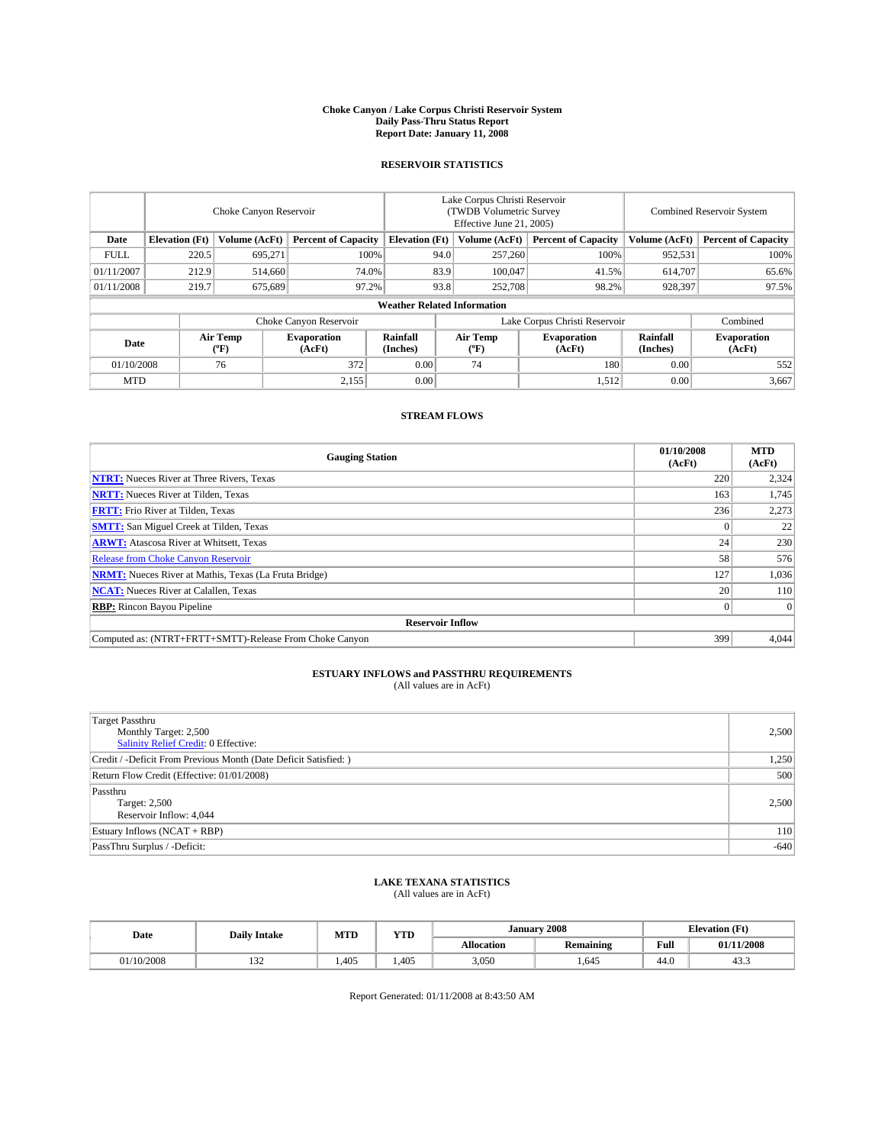### **Choke Canyon / Lake Corpus Christi Reservoir System Daily Pass-Thru Status Report Report Date: January 11, 2008**

### **RESERVOIR STATISTICS**

|             | Choke Canyon Reservoir             |                  |                              |                       | Lake Corpus Christi Reservoir<br>(TWDB Volumetric Survey<br>Effective June 21, 2005) |                  |                              |                      | Combined Reservoir System    |  |  |
|-------------|------------------------------------|------------------|------------------------------|-----------------------|--------------------------------------------------------------------------------------|------------------|------------------------------|----------------------|------------------------------|--|--|
| Date        | <b>Elevation</b> (Ft)              | Volume (AcFt)    | <b>Percent of Capacity</b>   | <b>Elevation</b> (Ft) |                                                                                      | Volume (AcFt)    | <b>Percent of Capacity</b>   | Volume (AcFt)        | <b>Percent of Capacity</b>   |  |  |
| <b>FULL</b> | 220.5                              | 695,271          | 100%                         |                       | 94.0                                                                                 | 257,260          | 100%                         | 952,531              | 100%                         |  |  |
| 01/11/2007  | 212.9                              | 514,660          | 74.0%                        |                       | 83.9                                                                                 | 100,047          | 41.5%                        | 614,707              | 65.6%                        |  |  |
| 01/11/2008  | 219.7                              | 675,689          | 97.2%                        |                       | 93.8                                                                                 | 252,708          | 98.2%                        | 928,397              | 97.5%                        |  |  |
|             | <b>Weather Related Information</b> |                  |                              |                       |                                                                                      |                  |                              |                      |                              |  |  |
|             |                                    |                  | Choke Canyon Reservoir       |                       | Lake Corpus Christi Reservoir                                                        |                  |                              |                      | Combined                     |  |  |
| Date        |                                    | Air Temp<br>(°F) | <b>Evaporation</b><br>(AcFt) | Rainfall<br>(Inches)  |                                                                                      | Air Temp<br>("F) | <b>Evaporation</b><br>(AcFt) | Rainfall<br>(Inches) | <b>Evaporation</b><br>(AcFt) |  |  |
| 01/10/2008  |                                    | 76               | 372                          | 0.00                  |                                                                                      | 74               | 180                          | 0.00                 | 552                          |  |  |
| <b>MTD</b>  |                                    |                  | 2,155                        | 0.00                  |                                                                                      |                  | 1,512                        | 0.00                 | 3,667                        |  |  |

## **STREAM FLOWS**

| <b>Gauging Station</b>                                       | 01/10/2008<br>(AcFt) | <b>MTD</b><br>(AcFt) |
|--------------------------------------------------------------|----------------------|----------------------|
| <b>NTRT:</b> Nueces River at Three Rivers, Texas             | 220                  | 2,324                |
| <b>NRTT:</b> Nueces River at Tilden, Texas                   | 163                  | 1,745                |
| <b>FRTT:</b> Frio River at Tilden, Texas                     | 236                  | 2,273                |
| <b>SMTT:</b> San Miguel Creek at Tilden, Texas               |                      | 22                   |
| <b>ARWT:</b> Atascosa River at Whitsett, Texas               | 24 <sub>1</sub>      | 230                  |
| <b>Release from Choke Canyon Reservoir</b>                   | 58                   | 576                  |
| <b>NRMT:</b> Nueces River at Mathis, Texas (La Fruta Bridge) | 127                  | 1,036                |
| <b>NCAT:</b> Nueces River at Calallen, Texas                 | 20 <sub>1</sub>      | 110                  |
| <b>RBP:</b> Rincon Bayou Pipeline                            |                      | $\Omega$             |
| <b>Reservoir Inflow</b>                                      |                      |                      |
| Computed as: (NTRT+FRTT+SMTT)-Release From Choke Canyon      | 399                  | 4.044                |

# **ESTUARY INFLOWS and PASSTHRU REQUIREMENTS**<br>(All values are in AcFt)

| <b>Target Passthru</b><br>Monthly Target: 2,500<br>Salinity Relief Credit: 0 Effective: | 2,500  |
|-----------------------------------------------------------------------------------------|--------|
| Credit / -Deficit From Previous Month (Date Deficit Satisfied: )                        | 1,250  |
| Return Flow Credit (Effective: 01/01/2008)                                              | 500    |
| Passthru<br>Target: 2,500<br>Reservoir Inflow: 4,044                                    | 2.500  |
| Estuary Inflows (NCAT + RBP)                                                            | 110    |
| PassThru Surplus / -Deficit:                                                            | $-640$ |

## **LAKE TEXANA STATISTICS** (All values are in AcFt)

| Date       | <b>Daily Intake</b>  | <b>MTD</b> | <b>YTD</b> | January           | 2008             | <b>Elevation</b> (Ft) |            |
|------------|----------------------|------------|------------|-------------------|------------------|-----------------------|------------|
|            |                      |            |            | <b>Allocation</b> | <b>Remaining</b> | Full                  | 01/11/2008 |
| 01/10/2008 | $\sim$<br>. <i>.</i> | 1,405      | 1.405      | 3,050             | 1.645            | 44.0                  | د.45       |

Report Generated: 01/11/2008 at 8:43:50 AM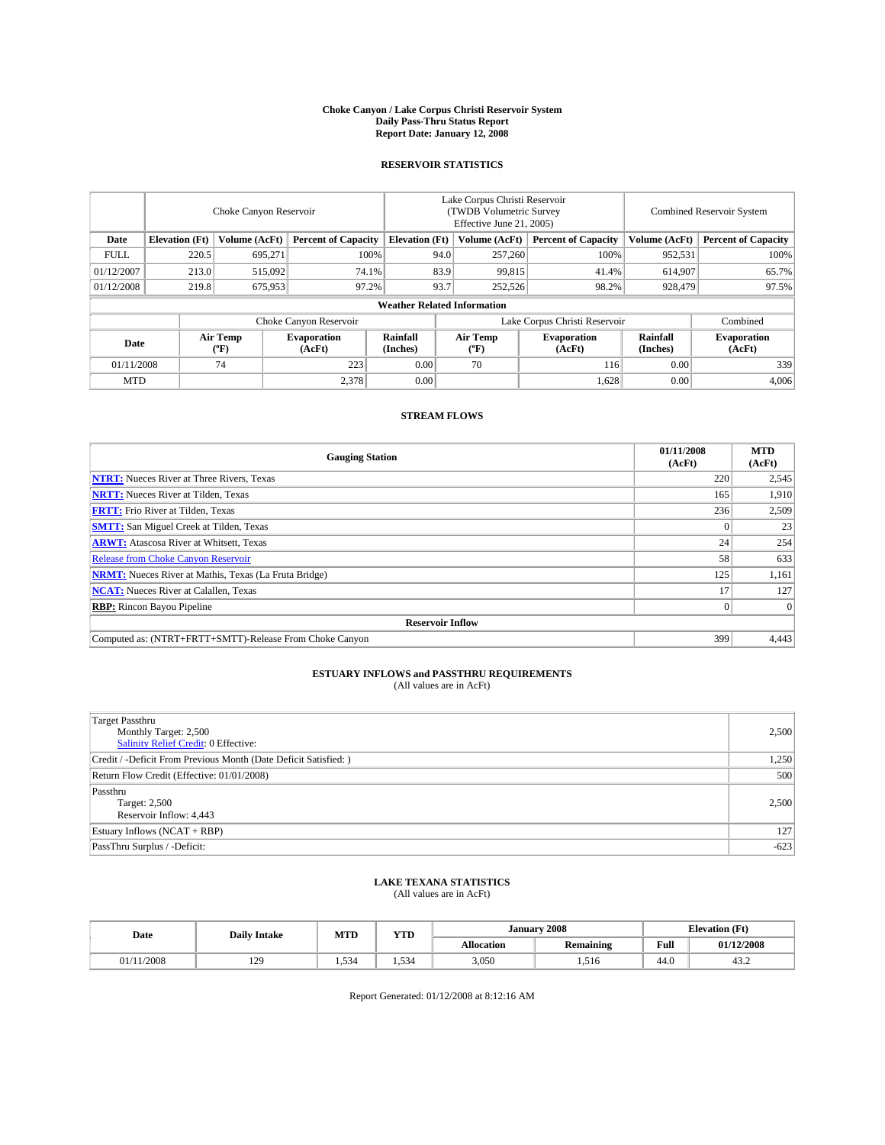### **Choke Canyon / Lake Corpus Christi Reservoir System Daily Pass-Thru Status Report Report Date: January 12, 2008**

### **RESERVOIR STATISTICS**

|             | Choke Canyon Reservoir             |                  |                              |                       | Lake Corpus Christi Reservoir<br>(TWDB Volumetric Survey<br>Effective June 21, 2005) |                  |                              |                      | <b>Combined Reservoir System</b> |  |  |
|-------------|------------------------------------|------------------|------------------------------|-----------------------|--------------------------------------------------------------------------------------|------------------|------------------------------|----------------------|----------------------------------|--|--|
| Date        | <b>Elevation</b> (Ft)              | Volume (AcFt)    | <b>Percent of Capacity</b>   | <b>Elevation</b> (Ft) |                                                                                      | Volume (AcFt)    | <b>Percent of Capacity</b>   | Volume (AcFt)        | <b>Percent of Capacity</b>       |  |  |
| <b>FULL</b> | 220.5                              | 695.271          |                              | 100%                  | 94.0                                                                                 | 257,260          | 100%                         | 952,531              | 100%                             |  |  |
| 01/12/2007  | 213.0                              | 515,092          |                              | 74.1%                 | 83.9                                                                                 | 99.815           | 41.4%                        | 614.907              | 65.7%                            |  |  |
| 01/12/2008  | 219.8                              | 675,953          | 97.2%                        |                       | 93.7                                                                                 | 252,526          | 98.2%                        | 928,479              | 97.5%                            |  |  |
|             | <b>Weather Related Information</b> |                  |                              |                       |                                                                                      |                  |                              |                      |                                  |  |  |
|             |                                    |                  | Choke Canyon Reservoir       |                       | Lake Corpus Christi Reservoir                                                        |                  |                              |                      | Combined                         |  |  |
| Date        |                                    | Air Temp<br>(°F) | <b>Evaporation</b><br>(AcFt) | Rainfall<br>(Inches)  |                                                                                      | Air Temp<br>("F) | <b>Evaporation</b><br>(AcFt) | Rainfall<br>(Inches) | <b>Evaporation</b><br>(AcFt)     |  |  |
| 01/11/2008  |                                    | 74               | 223                          | 0.00                  |                                                                                      | 70               | 116                          | 0.00                 | 339                              |  |  |
| <b>MTD</b>  |                                    |                  | 2,378                        | 0.00                  |                                                                                      |                  | 1,628                        | 0.00                 | 4,006                            |  |  |

## **STREAM FLOWS**

| <b>Gauging Station</b>                                       | 01/11/2008<br>(AcFt) | <b>MTD</b><br>(AcFt) |
|--------------------------------------------------------------|----------------------|----------------------|
| <b>NTRT:</b> Nueces River at Three Rivers, Texas             | 220                  | 2,545                |
| <b>NRTT:</b> Nueces River at Tilden, Texas                   | 165                  | 1.910                |
| <b>FRTT:</b> Frio River at Tilden, Texas                     | 236                  | 2,509                |
| <b>SMTT:</b> San Miguel Creek at Tilden, Texas               |                      | 23                   |
| <b>ARWT:</b> Atascosa River at Whitsett, Texas               | 24 <sub>1</sub>      | 254                  |
| <b>Release from Choke Canyon Reservoir</b>                   | 58                   | 633                  |
| <b>NRMT:</b> Nueces River at Mathis, Texas (La Fruta Bridge) | 125                  | 1,161                |
| <b>NCAT:</b> Nueces River at Calallen, Texas                 |                      | 127                  |
| <b>RBP:</b> Rincon Bayou Pipeline                            |                      | $\Omega$             |
| <b>Reservoir Inflow</b>                                      |                      |                      |
| Computed as: (NTRT+FRTT+SMTT)-Release From Choke Canyon      | 399                  | 4.443                |

# **ESTUARY INFLOWS and PASSTHRU REQUIREMENTS**<br>(All values are in AcFt)

| <b>Target Passthru</b><br>Monthly Target: 2,500<br>Salinity Relief Credit: 0 Effective: | 2,500  |
|-----------------------------------------------------------------------------------------|--------|
| Credit / -Deficit From Previous Month (Date Deficit Satisfied: )                        | 1,250  |
| Return Flow Credit (Effective: 01/01/2008)                                              | 500    |
| Passthru<br>Target: 2,500<br>Reservoir Inflow: 4,443                                    | 2.500  |
| Estuary Inflows (NCAT + RBP)                                                            | 127    |
| PassThru Surplus / -Deficit:                                                            | $-623$ |

## **LAKE TEXANA STATISTICS** (All values are in AcFt)

| Date       | <b>Daily Intake</b>   | <b>MTD</b>           | <b>YTD</b> | <b>January</b>    | 2008             | <b>Elevation</b> (Ft) |            |
|------------|-----------------------|----------------------|------------|-------------------|------------------|-----------------------|------------|
|            |                       |                      |            | <b>Allocation</b> | <b>Remaining</b> | Full                  | 01/12/2008 |
| 01/11/2008 | 120<br>$\overline{1}$ | $\sim$<br>534<br>ر ب | 1.534      | 3,050             | 1.516            | 44.0                  | 43.2       |

Report Generated: 01/12/2008 at 8:12:16 AM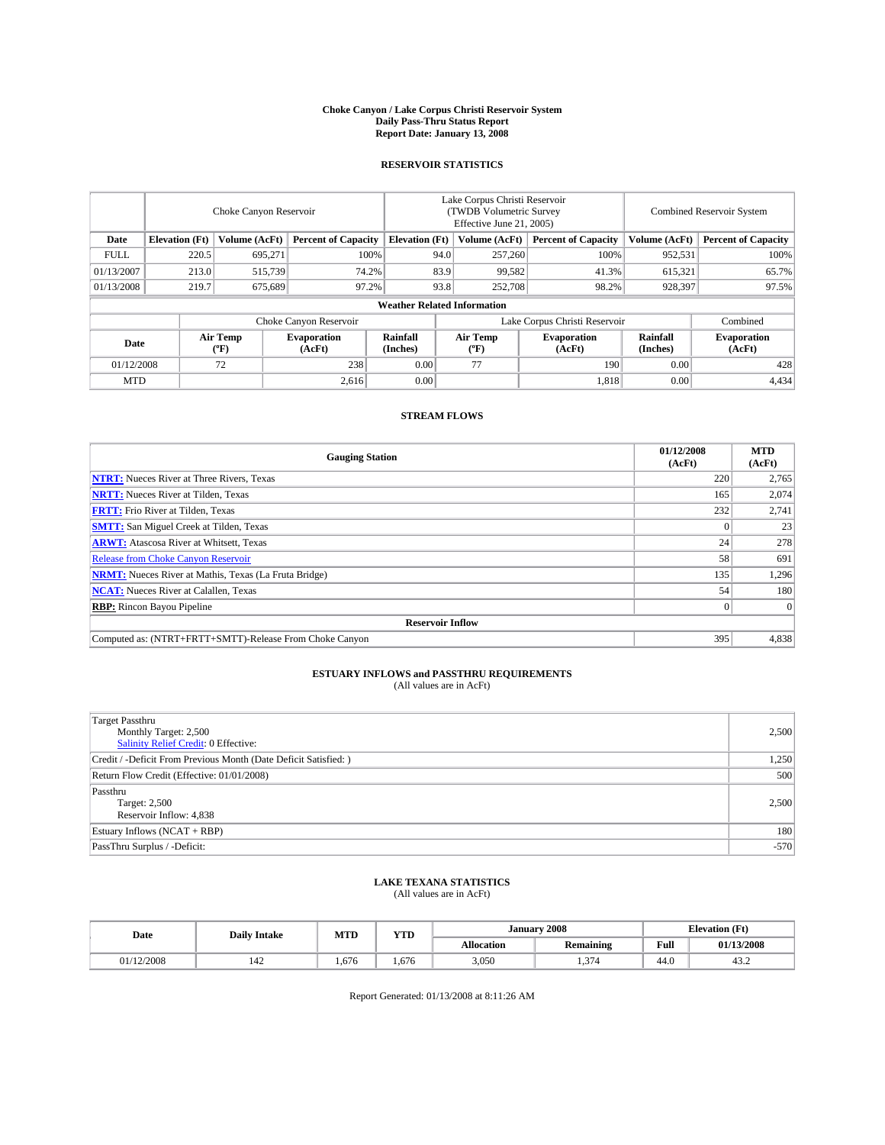### **Choke Canyon / Lake Corpus Christi Reservoir System Daily Pass-Thru Status Report Report Date: January 13, 2008**

### **RESERVOIR STATISTICS**

|             | Choke Canyon Reservoir             |                  |                              |                       | Lake Corpus Christi Reservoir<br>(TWDB Volumetric Survey<br>Effective June 21, 2005) |                  |                               | Combined Reservoir System |                              |  |
|-------------|------------------------------------|------------------|------------------------------|-----------------------|--------------------------------------------------------------------------------------|------------------|-------------------------------|---------------------------|------------------------------|--|
| Date        | <b>Elevation</b> (Ft)              | Volume (AcFt)    | <b>Percent of Capacity</b>   | <b>Elevation</b> (Ft) |                                                                                      | Volume (AcFt)    | <b>Percent of Capacity</b>    | Volume (AcFt)             | <b>Percent of Capacity</b>   |  |
| <b>FULL</b> | 220.5                              | 695,271          | 100%                         |                       | 94.0                                                                                 | 257,260          | 100%                          | 952,531                   | 100%                         |  |
| 01/13/2007  | 213.0                              | 515,739          | 74.2%                        |                       | 83.9                                                                                 | 99,582           | 41.3%                         | 615,321                   | 65.7%                        |  |
| 01/13/2008  | 219.7                              | 675,689          | 97.2%                        |                       | 93.8                                                                                 | 252,708          | 98.2%                         | 928,397                   | 97.5%                        |  |
|             | <b>Weather Related Information</b> |                  |                              |                       |                                                                                      |                  |                               |                           |                              |  |
|             |                                    |                  | Choke Canyon Reservoir       |                       |                                                                                      |                  | Lake Corpus Christi Reservoir |                           | Combined                     |  |
| Date        |                                    | Air Temp<br>(°F) | <b>Evaporation</b><br>(AcFt) | Rainfall<br>(Inches)  |                                                                                      | Air Temp<br>("F) | <b>Evaporation</b><br>(AcFt)  | Rainfall<br>(Inches)      | <b>Evaporation</b><br>(AcFt) |  |
| 01/12/2008  |                                    | 72               | 238                          | 0.00                  |                                                                                      | 77               | 190                           | 0.00                      | 428                          |  |
| <b>MTD</b>  |                                    |                  | 2,616                        | 0.00                  |                                                                                      |                  | 1,818                         | 0.00                      | 4,434                        |  |

## **STREAM FLOWS**

| <b>Gauging Station</b>                                       | 01/12/2008<br>(AcFt) | <b>MTD</b><br>(AcFt) |
|--------------------------------------------------------------|----------------------|----------------------|
| <b>NTRT:</b> Nueces River at Three Rivers, Texas             | 220                  | 2,765                |
| <b>NRTT:</b> Nueces River at Tilden, Texas                   | 165                  | 2,074                |
| <b>FRTT:</b> Frio River at Tilden, Texas                     | 232                  | 2,741                |
| <b>SMTT:</b> San Miguel Creek at Tilden, Texas               |                      | 23                   |
| <b>ARWT:</b> Atascosa River at Whitsett, Texas               | 24 <sub>1</sub>      | 278                  |
| <b>Release from Choke Canyon Reservoir</b>                   | 58                   | 691                  |
| <b>NRMT:</b> Nueces River at Mathis, Texas (La Fruta Bridge) | 135                  | 1,296                |
| <b>NCAT:</b> Nueces River at Calallen, Texas                 | 54                   | 180                  |
| <b>RBP:</b> Rincon Bayou Pipeline                            |                      | $\Omega$             |
| <b>Reservoir Inflow</b>                                      |                      |                      |
| Computed as: (NTRT+FRTT+SMTT)-Release From Choke Canyon      | 395                  | 4.838                |

# **ESTUARY INFLOWS and PASSTHRU REQUIREMENTS**<br>(All values are in AcFt)

| <b>Target Passthru</b><br>Monthly Target: 2,500<br>Salinity Relief Credit: 0 Effective: | 2,500  |
|-----------------------------------------------------------------------------------------|--------|
| Credit / -Deficit From Previous Month (Date Deficit Satisfied: )                        | 1,250  |
| Return Flow Credit (Effective: 01/01/2008)                                              | 500    |
| Passthru<br>Target: 2,500<br>Reservoir Inflow: 4,838                                    | 2.500  |
| Estuary Inflows (NCAT + RBP)                                                            | 180    |
| PassThru Surplus / -Deficit:                                                            | $-570$ |

# **LAKE TEXANA STATISTICS** (All values are in AcFt)

| Date       | <b>Daily Intake</b> | <b>MTD</b> | <b>YTD</b> | <b>January</b>    | 2008             |      | <b>Elevation</b> (Ft) |
|------------|---------------------|------------|------------|-------------------|------------------|------|-----------------------|
|            |                     |            |            | <b>Allocation</b> | <b>Remaining</b> | Full | 01/13/2008            |
| 01/12/2008 | - 44                | .676       | . 676      | 3,050             | .374             | 44.0 | 43.2                  |

Report Generated: 01/13/2008 at 8:11:26 AM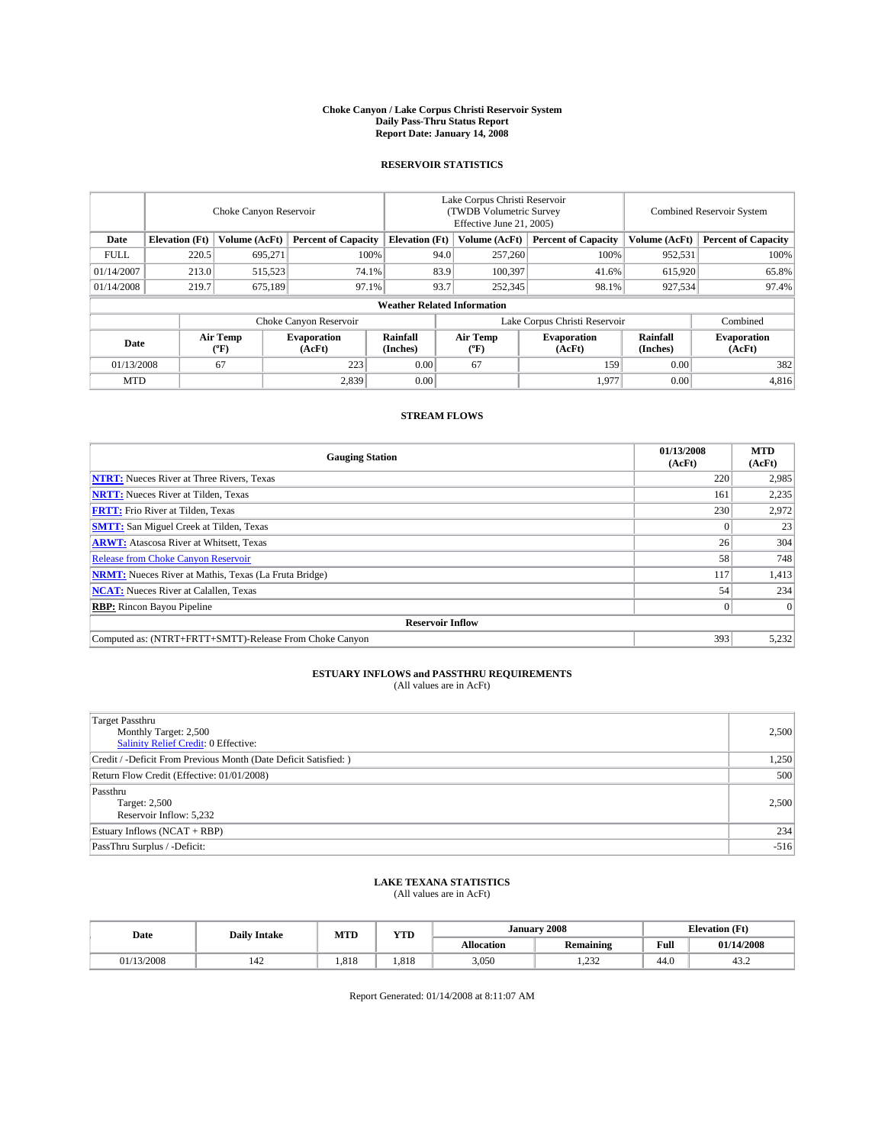### **Choke Canyon / Lake Corpus Christi Reservoir System Daily Pass-Thru Status Report Report Date: January 14, 2008**

### **RESERVOIR STATISTICS**

|             | Choke Canyon Reservoir             |                  |                              |                       | Lake Corpus Christi Reservoir<br>(TWDB Volumetric Survey<br>Effective June 21, 2005) |                                           |                               |                      | Combined Reservoir System    |  |  |
|-------------|------------------------------------|------------------|------------------------------|-----------------------|--------------------------------------------------------------------------------------|-------------------------------------------|-------------------------------|----------------------|------------------------------|--|--|
| Date        | <b>Elevation</b> (Ft)              | Volume (AcFt)    | <b>Percent of Capacity</b>   | <b>Elevation</b> (Ft) |                                                                                      | Volume (AcFt)                             | <b>Percent of Capacity</b>    | Volume (AcFt)        | <b>Percent of Capacity</b>   |  |  |
| <b>FULL</b> | 220.5                              | 695,271          | 100%                         |                       | 94.0                                                                                 | 257,260                                   | 100%                          | 952,531              | 100%                         |  |  |
| 01/14/2007  | 213.0                              | 515,523          | 74.1%                        |                       | 83.9                                                                                 | 100.397                                   | 41.6%                         | 615,920              | 65.8%                        |  |  |
| 01/14/2008  | 219.7                              | 675,189          | 97.1%                        |                       | 93.7                                                                                 | 252,345                                   | 98.1%                         | 927,534              | 97.4%                        |  |  |
|             | <b>Weather Related Information</b> |                  |                              |                       |                                                                                      |                                           |                               |                      |                              |  |  |
|             |                                    |                  | Choke Canyon Reservoir       |                       |                                                                                      |                                           | Lake Corpus Christi Reservoir |                      | Combined                     |  |  |
| Date        |                                    | Air Temp<br>(°F) | <b>Evaporation</b><br>(AcFt) | Rainfall<br>(Inches)  |                                                                                      | Air Temp<br>$({}^{\mathrm{o}}\mathrm{F})$ | <b>Evaporation</b><br>(AcFt)  | Rainfall<br>(Inches) | <b>Evaporation</b><br>(AcFt) |  |  |
| 01/13/2008  |                                    | 67               | 223                          | 0.00                  |                                                                                      | 67                                        | 159                           | 0.00                 | 382                          |  |  |
| <b>MTD</b>  |                                    |                  | 2,839                        | 0.00                  |                                                                                      |                                           | 1.977                         | 0.00                 | 4,816                        |  |  |

## **STREAM FLOWS**

| <b>Gauging Station</b>                                       | 01/13/2008<br>(AcFt) | <b>MTD</b><br>(AcFt) |
|--------------------------------------------------------------|----------------------|----------------------|
| <b>NTRT:</b> Nueces River at Three Rivers, Texas             | 220                  | 2,985                |
| <b>NRTT:</b> Nueces River at Tilden, Texas                   | 161                  | 2,235                |
| <b>FRTT:</b> Frio River at Tilden, Texas                     | 230                  | 2,972                |
| <b>SMTT:</b> San Miguel Creek at Tilden, Texas               |                      | 23                   |
| <b>ARWT:</b> Atascosa River at Whitsett, Texas               | 26                   | 304                  |
| <b>Release from Choke Canyon Reservoir</b>                   | 58                   | 748                  |
| <b>NRMT:</b> Nueces River at Mathis, Texas (La Fruta Bridge) | 117                  | 1,413                |
| <b>NCAT:</b> Nueces River at Calallen, Texas                 | 54                   | 234                  |
| <b>RBP:</b> Rincon Bayou Pipeline                            |                      | $\Omega$             |
| <b>Reservoir Inflow</b>                                      |                      |                      |
| Computed as: (NTRT+FRTT+SMTT)-Release From Choke Canyon      | 393                  | 5,232                |

# **ESTUARY INFLOWS and PASSTHRU REQUIREMENTS**<br>(All values are in AcFt)

| <b>Target Passthru</b><br>Monthly Target: 2,500<br>Salinity Relief Credit: 0 Effective: | 2,500  |
|-----------------------------------------------------------------------------------------|--------|
| Credit / -Deficit From Previous Month (Date Deficit Satisfied: )                        | 1,250  |
| Return Flow Credit (Effective: 01/01/2008)                                              | 500    |
| Passthru<br>Target: 2,500<br>Reservoir Inflow: 5,232                                    | 2.500  |
| Estuary Inflows (NCAT + RBP)                                                            | 234    |
| PassThru Surplus / -Deficit:                                                            | $-516$ |

# **LAKE TEXANA STATISTICS** (All values are in AcFt)

| Date       | <b>Daily Intake</b> | <b>MTD</b> | $\mathbf{v}$<br>1 I D | January           | 12008            | <b>Elevation</b> (Ft) |            |  |
|------------|---------------------|------------|-----------------------|-------------------|------------------|-----------------------|------------|--|
|            |                     |            |                       | <b>Allocation</b> | <b>Remaining</b> | Full                  | 01/14/2008 |  |
| 01/13/2008 | 144                 | .818       | 1.818                 | 3,050             | 222<br>1.232     | 44.0                  | 43.2       |  |

Report Generated: 01/14/2008 at 8:11:07 AM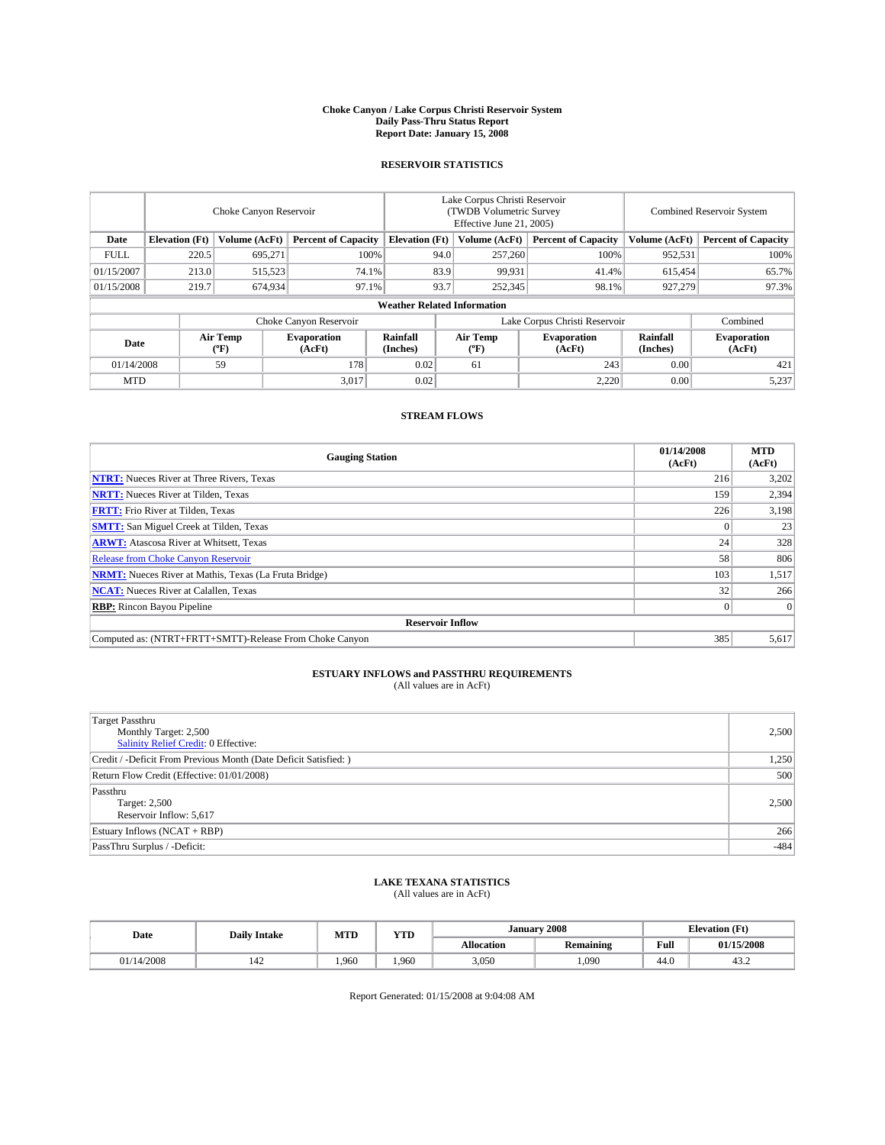### **Choke Canyon / Lake Corpus Christi Reservoir System Daily Pass-Thru Status Report Report Date: January 15, 2008**

### **RESERVOIR STATISTICS**

|             | Choke Canyon Reservoir             |                  |                              |                       | Lake Corpus Christi Reservoir<br>(TWDB Volumetric Survey<br>Effective June 21, 2005) |                           |                               |                      | Combined Reservoir System    |  |  |
|-------------|------------------------------------|------------------|------------------------------|-----------------------|--------------------------------------------------------------------------------------|---------------------------|-------------------------------|----------------------|------------------------------|--|--|
| Date        | <b>Elevation</b> (Ft)              | Volume (AcFt)    | <b>Percent of Capacity</b>   | <b>Elevation</b> (Ft) |                                                                                      | Volume (AcFt)             | <b>Percent of Capacity</b>    | Volume (AcFt)        | <b>Percent of Capacity</b>   |  |  |
| <b>FULL</b> | 220.5                              | 695,271          | 100%                         |                       | 94.0                                                                                 | 257,260                   | 100%                          | 952,531              | 100%                         |  |  |
| 01/15/2007  | 213.0                              | 515,523          | 74.1%                        |                       | 83.9                                                                                 | 99,931                    | 41.4%                         | 615,454              | 65.7%                        |  |  |
| 01/15/2008  | 219.7                              | 674,934          | 97.1%                        |                       | 93.7                                                                                 | 252,345                   | 98.1%                         | 927.279              | 97.3%                        |  |  |
|             | <b>Weather Related Information</b> |                  |                              |                       |                                                                                      |                           |                               |                      |                              |  |  |
|             |                                    |                  | Choke Canyon Reservoir       |                       |                                                                                      |                           | Lake Corpus Christi Reservoir |                      | Combined                     |  |  |
| Date        |                                    | Air Temp<br>(°F) | <b>Evaporation</b><br>(AcFt) | Rainfall<br>(Inches)  |                                                                                      | Air Temp<br>$^{\circ}$ F) | <b>Evaporation</b><br>(AcFt)  | Rainfall<br>(Inches) | <b>Evaporation</b><br>(AcFt) |  |  |
| 01/14/2008  |                                    | 59               | 178                          | 0.02                  |                                                                                      | 61                        | 243                           | 0.00                 | 421                          |  |  |
| <b>MTD</b>  |                                    |                  | 3,017                        | 0.02                  |                                                                                      |                           | 2,220                         | 0.00                 | 5,237                        |  |  |

## **STREAM FLOWS**

| <b>Gauging Station</b>                                       | 01/14/2008<br>(AcFt) | <b>MTD</b><br>(AcFt) |
|--------------------------------------------------------------|----------------------|----------------------|
| <b>NTRT:</b> Nueces River at Three Rivers, Texas             | 216                  | 3,202                |
| <b>NRTT:</b> Nueces River at Tilden, Texas                   | 159                  | 2,394                |
| <b>FRTT:</b> Frio River at Tilden, Texas                     | 226                  | 3,198                |
| <b>SMTT:</b> San Miguel Creek at Tilden, Texas               |                      | 23                   |
| <b>ARWT:</b> Atascosa River at Whitsett, Texas               | 24                   | 328                  |
| <b>Release from Choke Canyon Reservoir</b>                   | 58                   | 806                  |
| <b>NRMT:</b> Nueces River at Mathis, Texas (La Fruta Bridge) | 103                  | 1,517                |
| <b>NCAT:</b> Nueces River at Calallen, Texas                 | 32                   | 266                  |
| <b>RBP:</b> Rincon Bayou Pipeline                            |                      | $\Omega$             |
| <b>Reservoir Inflow</b>                                      |                      |                      |
| Computed as: (NTRT+FRTT+SMTT)-Release From Choke Canyon      | 385                  | 5,617                |

# **ESTUARY INFLOWS and PASSTHRU REQUIREMENTS**<br>(All values are in AcFt)

| Target Passthru<br>Monthly Target: 2,500<br><b>Salinity Relief Credit: 0 Effective:</b> | 2,500  |
|-----------------------------------------------------------------------------------------|--------|
| Credit / -Deficit From Previous Month (Date Deficit Satisfied: )                        | 1,250  |
| Return Flow Credit (Effective: 01/01/2008)                                              | 500    |
| Passthru<br>Target: 2,500<br>Reservoir Inflow: 5,617                                    | 2,500  |
| Estuary Inflows (NCAT + RBP)                                                            | 266    |
| PassThru Surplus / -Deficit:                                                            | $-484$ |

## **LAKE TEXANA STATISTICS** (All values are in AcFt)

| Date       | <b>Daily Intake</b> | <b>MTD</b> | YTD   | <b>January</b>    | 2008             |      | <b>Elevation</b> (Ft) |
|------------|---------------------|------------|-------|-------------------|------------------|------|-----------------------|
|            |                     |            |       | <b>Allocation</b> | <b>Remaining</b> | Full | 01/15/2008            |
| 01/14/2008 | 144                 | l.960      | 1.960 | 3,050             | 1,090            | 44.0 | 43.2                  |

Report Generated: 01/15/2008 at 9:04:08 AM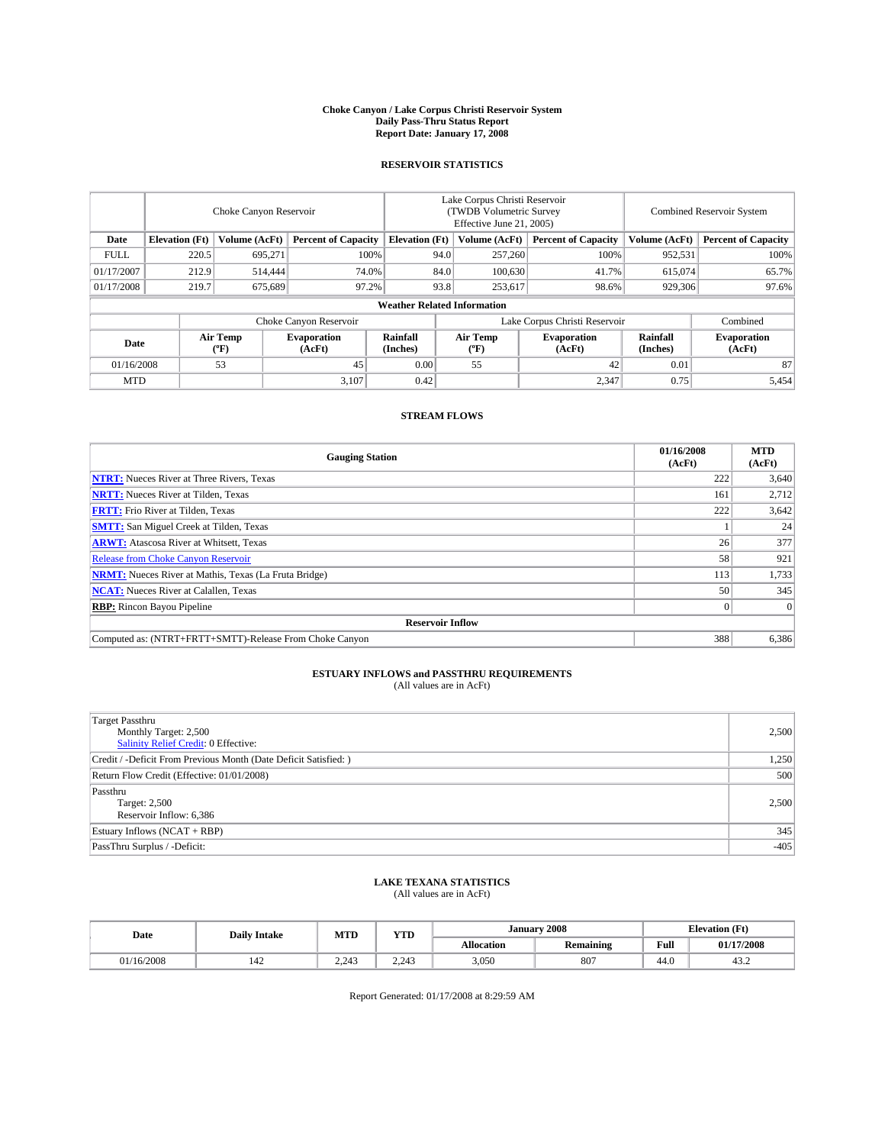### **Choke Canyon / Lake Corpus Christi Reservoir System Daily Pass-Thru Status Report Report Date: January 17, 2008**

### **RESERVOIR STATISTICS**

|             | Choke Canyon Reservoir             |                  |                              |                       | Lake Corpus Christi Reservoir<br>(TWDB Volumetric Survey<br>Effective June 21, 2005) |                  |                               |                      | <b>Combined Reservoir System</b> |  |  |
|-------------|------------------------------------|------------------|------------------------------|-----------------------|--------------------------------------------------------------------------------------|------------------|-------------------------------|----------------------|----------------------------------|--|--|
| Date        | <b>Elevation</b> (Ft)              | Volume (AcFt)    | <b>Percent of Capacity</b>   | <b>Elevation</b> (Ft) |                                                                                      | Volume (AcFt)    | <b>Percent of Capacity</b>    | Volume (AcFt)        | <b>Percent of Capacity</b>       |  |  |
| <b>FULL</b> | 220.5                              | 695,271          | 100%                         |                       | 94.0                                                                                 | 257,260          | 100%                          | 952,531              | 100%                             |  |  |
| 01/17/2007  | 212.9                              | 514,444          | 74.0%                        |                       | 84.0                                                                                 | 100,630          | 41.7%                         | 615,074              | 65.7%                            |  |  |
| 01/17/2008  | 219.7                              | 675,689          | 97.2%                        |                       | 93.8                                                                                 | 253,617          | 98.6%                         | 929,306              | 97.6%                            |  |  |
|             | <b>Weather Related Information</b> |                  |                              |                       |                                                                                      |                  |                               |                      |                                  |  |  |
|             |                                    |                  | Choke Canyon Reservoir       |                       |                                                                                      |                  | Lake Corpus Christi Reservoir |                      | Combined                         |  |  |
| Date        |                                    | Air Temp<br>(°F) | <b>Evaporation</b><br>(AcFt) | Rainfall<br>(Inches)  |                                                                                      | Air Temp<br>("F) | <b>Evaporation</b><br>(AcFt)  | Rainfall<br>(Inches) | <b>Evaporation</b><br>(AcFt)     |  |  |
| 01/16/2008  |                                    | 53               | 45                           | 0.00                  |                                                                                      | 55               | 42                            | 0.01                 | 87                               |  |  |
| <b>MTD</b>  |                                    |                  | 3.107                        | 0.42                  |                                                                                      |                  | 2,347                         | 0.75                 | 5,454                            |  |  |

## **STREAM FLOWS**

| <b>Gauging Station</b>                                       | 01/16/2008<br>(AcFt) | <b>MTD</b><br>(AcFt) |
|--------------------------------------------------------------|----------------------|----------------------|
| <b>NTRT:</b> Nueces River at Three Rivers, Texas             | 222                  | 3,640                |
| <b>NRTT:</b> Nueces River at Tilden, Texas                   | 161                  | 2,712                |
| <b>FRTT:</b> Frio River at Tilden, Texas                     | 222                  | 3,642                |
| <b>SMTT:</b> San Miguel Creek at Tilden, Texas               |                      | 24                   |
| <b>ARWT:</b> Atascosa River at Whitsett, Texas               | 26                   | 377                  |
| <b>Release from Choke Canyon Reservoir</b>                   | 58                   | 921                  |
| <b>NRMT:</b> Nueces River at Mathis, Texas (La Fruta Bridge) | 113                  | 1,733                |
| <b>NCAT:</b> Nueces River at Calallen, Texas                 | 50                   | 345                  |
| <b>RBP:</b> Rincon Bayou Pipeline                            |                      | $\Omega$             |
| <b>Reservoir Inflow</b>                                      |                      |                      |
| Computed as: (NTRT+FRTT+SMTT)-Release From Choke Canyon      | 388                  | 6.386                |

# **ESTUARY INFLOWS and PASSTHRU REQUIREMENTS**<br>(All values are in AcFt)

| <b>Target Passthru</b><br>Monthly Target: 2,500<br>Salinity Relief Credit: 0 Effective: | 2,500  |
|-----------------------------------------------------------------------------------------|--------|
| Credit / -Deficit From Previous Month (Date Deficit Satisfied: )                        | 1,250  |
| Return Flow Credit (Effective: 01/01/2008)                                              | 500    |
| Passthru<br>Target: 2,500<br>Reservoir Inflow: 6,386                                    | 2.500  |
| Estuary Inflows (NCAT + RBP)                                                            | 345    |
| PassThru Surplus / -Deficit:                                                            | $-405$ |

# **LAKE TEXANA STATISTICS** (All values are in AcFt)

| Date       | <b>Daily Intake</b> | MTD   | WTD<br>1 I D   | January           | 2008             | <b>Elevation</b> (Ft) |                |
|------------|---------------------|-------|----------------|-------------------|------------------|-----------------------|----------------|
|            |                     |       |                | <b>Allocation</b> | <b>Remaining</b> | Full                  | 01/17/2008     |
| 01/16/2008 | $1 + 4$             | 2.243 | 2.212<br>2.24J | 3.050             | 807              | 44.0                  | $\sim$<br>43.2 |

Report Generated: 01/17/2008 at 8:29:59 AM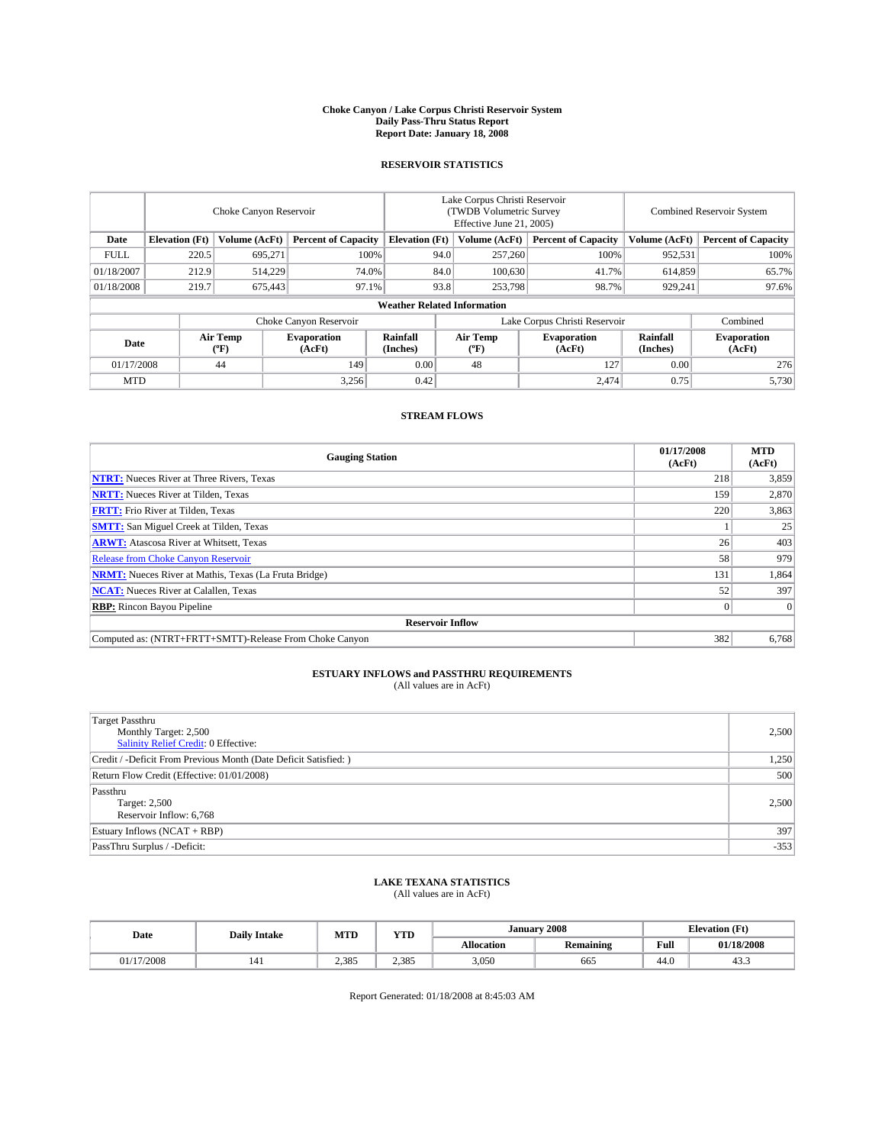### **Choke Canyon / Lake Corpus Christi Reservoir System Daily Pass-Thru Status Report Report Date: January 18, 2008**

### **RESERVOIR STATISTICS**

|             | Choke Canyon Reservoir             |                               |                              |                       | Lake Corpus Christi Reservoir<br>(TWDB Volumetric Survey<br>Effective June 21, 2005) |                                           |                              |                      | Combined Reservoir System    |  |  |
|-------------|------------------------------------|-------------------------------|------------------------------|-----------------------|--------------------------------------------------------------------------------------|-------------------------------------------|------------------------------|----------------------|------------------------------|--|--|
| Date        | <b>Elevation</b> (Ft)              | Volume (AcFt)                 | <b>Percent of Capacity</b>   | <b>Elevation</b> (Ft) |                                                                                      | Volume (AcFt)                             | <b>Percent of Capacity</b>   | Volume (AcFt)        | <b>Percent of Capacity</b>   |  |  |
| <b>FULL</b> | 220.5                              | 695,271                       | 100%                         |                       | 94.0                                                                                 | 257,260                                   | 100%                         | 952,531              | 100%                         |  |  |
| 01/18/2007  | 212.9                              | 514.229                       | 74.0%                        |                       | 84.0                                                                                 | 100.630                                   | 41.7%                        | 614,859              | 65.7%                        |  |  |
| 01/18/2008  | 219.7                              | 675,443                       | 97.1%                        |                       | 93.8                                                                                 | 253,798                                   | 98.7%                        | 929,241              | 97.6%                        |  |  |
|             | <b>Weather Related Information</b> |                               |                              |                       |                                                                                      |                                           |                              |                      |                              |  |  |
|             |                                    | Lake Corpus Christi Reservoir |                              |                       |                                                                                      | Combined                                  |                              |                      |                              |  |  |
| Date        |                                    | Air Temp<br>(°F)              | <b>Evaporation</b><br>(AcFt) | Rainfall<br>(Inches)  |                                                                                      | Air Temp<br>$({}^{\mathrm{o}}\mathrm{F})$ | <b>Evaporation</b><br>(AcFt) | Rainfall<br>(Inches) | <b>Evaporation</b><br>(AcFt) |  |  |
| 01/17/2008  |                                    | 44                            | 149                          | 0.00                  |                                                                                      | 48                                        | 127                          | 0.00                 | 276                          |  |  |
| <b>MTD</b>  |                                    |                               | 3,256                        | 0.42                  |                                                                                      |                                           | 2,474                        | 0.75                 | 5,730                        |  |  |

## **STREAM FLOWS**

| <b>Gauging Station</b>                                       | 01/17/2008<br>(AcFt) | <b>MTD</b><br>(AcFt) |
|--------------------------------------------------------------|----------------------|----------------------|
| <b>NTRT:</b> Nueces River at Three Rivers, Texas             | 218                  | 3,859                |
| <b>NRTT:</b> Nueces River at Tilden, Texas                   | 159                  | 2,870                |
| <b>FRTT:</b> Frio River at Tilden, Texas                     | 220                  | 3,863                |
| <b>SMTT:</b> San Miguel Creek at Tilden, Texas               |                      | 25                   |
| <b>ARWT:</b> Atascosa River at Whitsett, Texas               | 26                   | 403                  |
| <b>Release from Choke Canyon Reservoir</b>                   | 58                   | 979                  |
| <b>NRMT:</b> Nueces River at Mathis, Texas (La Fruta Bridge) | 131                  | 1,864                |
| <b>NCAT:</b> Nueces River at Calallen, Texas                 | 52                   | 397                  |
| <b>RBP:</b> Rincon Bayou Pipeline                            |                      | $\Omega$             |
| <b>Reservoir Inflow</b>                                      |                      |                      |
| Computed as: (NTRT+FRTT+SMTT)-Release From Choke Canyon      | 382                  | 6.768                |

# **ESTUARY INFLOWS and PASSTHRU REQUIREMENTS**<br>(All values are in AcFt)

| Target Passthru<br>Monthly Target: 2,500<br><b>Salinity Relief Credit: 0 Effective:</b> | 2,500  |
|-----------------------------------------------------------------------------------------|--------|
| Credit / -Deficit From Previous Month (Date Deficit Satisfied: )                        | 1,250  |
| Return Flow Credit (Effective: 01/01/2008)                                              | 500    |
| Passthru<br>Target: 2,500<br>Reservoir Inflow: 6,768                                    | 2,500  |
| Estuary Inflows (NCAT + RBP)                                                            | 397    |
| PassThru Surplus / -Deficit:                                                            | $-353$ |

## **LAKE TEXANA STATISTICS** (All values are in AcFt)

| Date     | <b>Daily Intake</b> | <b>MTD</b> | YTD   | January           | 2008             |      | <b>Elevation</b> (Ft) |
|----------|---------------------|------------|-------|-------------------|------------------|------|-----------------------|
|          |                     |            |       | <b>Allocation</b> | <b>Remaining</b> | Full | 01/18/2008            |
| /17/2008 |                     | 2.385      | 2.385 | 3,050             | 665              | 44.0 | د.45                  |

Report Generated: 01/18/2008 at 8:45:03 AM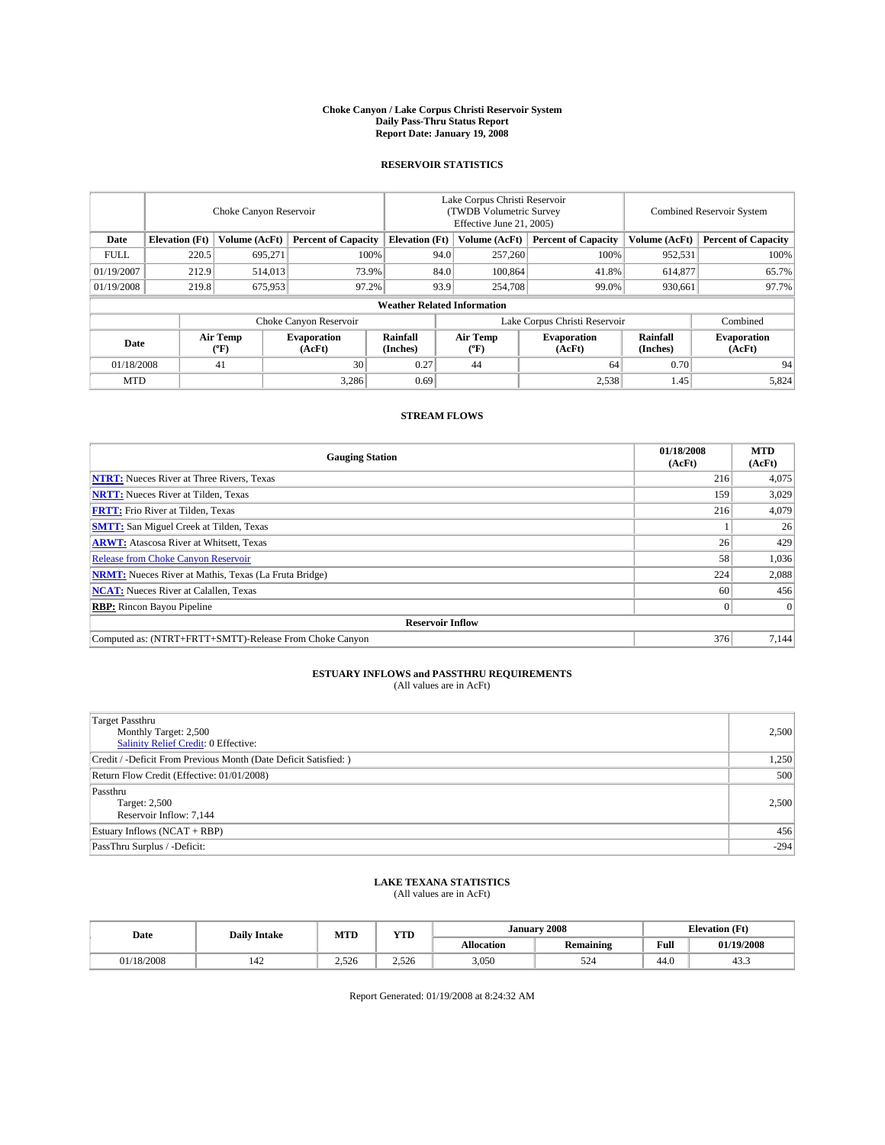### **Choke Canyon / Lake Corpus Christi Reservoir System Daily Pass-Thru Status Report Report Date: January 19, 2008**

### **RESERVOIR STATISTICS**

|                        | Choke Canyon Reservoir             |                  |                              |                       | Lake Corpus Christi Reservoir<br>(TWDB Volumetric Survey<br>Effective June 21, 2005) |                                           |                               | Combined Reservoir System |                              |  |
|------------------------|------------------------------------|------------------|------------------------------|-----------------------|--------------------------------------------------------------------------------------|-------------------------------------------|-------------------------------|---------------------------|------------------------------|--|
| Date                   | <b>Elevation</b> (Ft)              | Volume (AcFt)    | <b>Percent of Capacity</b>   | <b>Elevation</b> (Ft) |                                                                                      | Volume (AcFt)                             | <b>Percent of Capacity</b>    | Volume (AcFt)             | <b>Percent of Capacity</b>   |  |
| <b>FULL</b>            | 220.5                              | 695,271          |                              | 100%                  | 94.0                                                                                 | 257,260                                   | 100%                          | 952,531                   | 100%                         |  |
| 01/19/2007             | 212.9                              | 514,013          |                              | 73.9%                 | 84.0                                                                                 | 100.864                                   | 41.8%                         | 614,877                   | 65.7%                        |  |
| 01/19/2008             | 219.8                              | 675,953          | 97.2%                        |                       | 93.9                                                                                 | 254,708                                   | 99.0%                         | 930.661                   | 97.7%                        |  |
|                        | <b>Weather Related Information</b> |                  |                              |                       |                                                                                      |                                           |                               |                           |                              |  |
| Choke Canyon Reservoir |                                    |                  |                              |                       |                                                                                      |                                           | Lake Corpus Christi Reservoir |                           | Combined                     |  |
| Date                   |                                    | Air Temp<br>(°F) | <b>Evaporation</b><br>(AcFt) | Rainfall<br>(Inches)  |                                                                                      | Air Temp<br>$({}^{\mathrm{o}}\mathrm{F})$ | <b>Evaporation</b><br>(AcFt)  | Rainfall<br>(Inches)      | <b>Evaporation</b><br>(AcFt) |  |
| 01/18/2008             |                                    | 41               | 30                           | 0.27                  |                                                                                      | 44                                        | 64                            | 0.70                      | 94                           |  |
| <b>MTD</b>             |                                    |                  | 3.286                        | 0.69                  |                                                                                      |                                           | 2,538                         | 1.45                      | 5,824                        |  |

## **STREAM FLOWS**

| <b>Gauging Station</b>                                       | 01/18/2008<br>(AcFt) | <b>MTD</b><br>(AcFt) |
|--------------------------------------------------------------|----------------------|----------------------|
| <b>NTRT:</b> Nueces River at Three Rivers, Texas             | 216                  | 4,075                |
| <b>NRTT:</b> Nueces River at Tilden, Texas                   | 159                  | 3,029                |
| <b>FRTT:</b> Frio River at Tilden, Texas                     | 216                  | 4,079                |
| <b>SMTT:</b> San Miguel Creek at Tilden, Texas               |                      | 26                   |
| <b>ARWT:</b> Atascosa River at Whitsett, Texas               | 26                   | 429                  |
| <b>Release from Choke Canyon Reservoir</b>                   | 58                   | 1,036                |
| <b>NRMT:</b> Nueces River at Mathis, Texas (La Fruta Bridge) | 224                  | 2,088                |
| <b>NCAT:</b> Nueces River at Calallen, Texas                 | 60                   | 456                  |
| <b>RBP:</b> Rincon Bayou Pipeline                            |                      | $\Omega$             |
| <b>Reservoir Inflow</b>                                      |                      |                      |
| Computed as: (NTRT+FRTT+SMTT)-Release From Choke Canyon      | 376                  | 7,144                |

# **ESTUARY INFLOWS and PASSTHRU REQUIREMENTS**<br>(All values are in AcFt)

| <b>Target Passthru</b><br>Monthly Target: 2,500<br>Salinity Relief Credit: 0 Effective: | 2,500  |
|-----------------------------------------------------------------------------------------|--------|
| Credit / -Deficit From Previous Month (Date Deficit Satisfied: )                        | 1,250  |
| Return Flow Credit (Effective: 01/01/2008)                                              | 500    |
| Passthru<br>Target: 2,500<br>Reservoir Inflow: 7,144                                    | 2.500  |
| Estuary Inflows (NCAT + RBP)                                                            | 456    |
| PassThru Surplus / -Deficit:                                                            | $-294$ |

## **LAKE TEXANA STATISTICS** (All values are in AcFt)

| Date       | <b>Daily Intake</b> |       | YTD<br>MTD |                   | January          | 2008 | <b>Elevation</b> (Ft) |  |  |
|------------|---------------------|-------|------------|-------------------|------------------|------|-----------------------|--|--|
|            |                     |       |            | <b>Allocation</b> | <b>Remaining</b> | Full | 01/19/2008            |  |  |
| 01/18/2008 | - 74                | 2.526 | 2.526      | 3,050             | $\sim$<br>م د    | 44.0 | د.45                  |  |  |

Report Generated: 01/19/2008 at 8:24:32 AM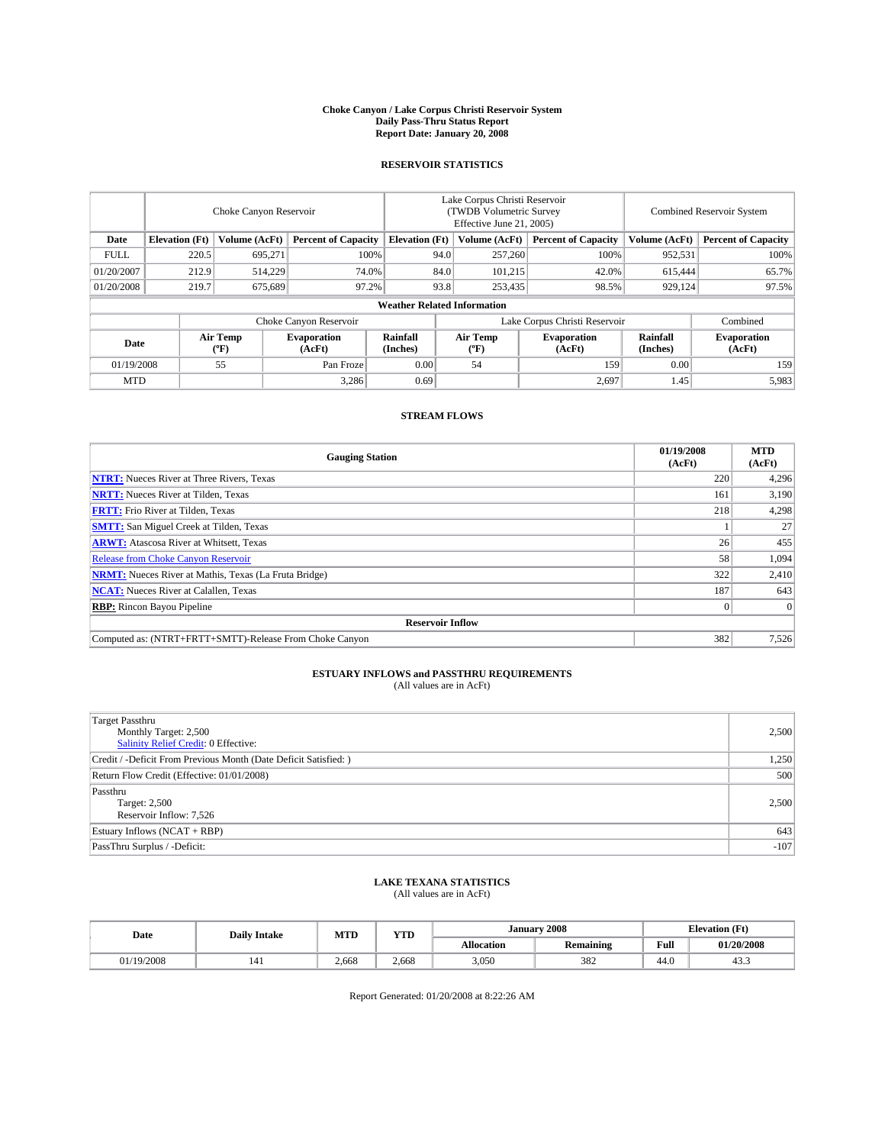### **Choke Canyon / Lake Corpus Christi Reservoir System Daily Pass-Thru Status Report Report Date: January 20, 2008**

### **RESERVOIR STATISTICS**

|             | Choke Canyon Reservoir             |                  |                              |                       | Lake Corpus Christi Reservoir<br>(TWDB Volumetric Survey<br>Effective June 21, 2005) |                                           |                               | Combined Reservoir System |                              |  |
|-------------|------------------------------------|------------------|------------------------------|-----------------------|--------------------------------------------------------------------------------------|-------------------------------------------|-------------------------------|---------------------------|------------------------------|--|
| Date        | <b>Elevation</b> (Ft)              | Volume (AcFt)    | <b>Percent of Capacity</b>   | <b>Elevation</b> (Ft) |                                                                                      | Volume (AcFt)                             | <b>Percent of Capacity</b>    | Volume (AcFt)             | <b>Percent of Capacity</b>   |  |
| <b>FULL</b> | 220.5                              | 695,271          | 100%                         |                       | 94.0                                                                                 | 257,260                                   | 100%                          | 952,531                   | 100%                         |  |
| 01/20/2007  | 212.9                              | 514,229          | 74.0%                        |                       | 84.0                                                                                 | 101,215                                   | 42.0%                         | 615,444                   | 65.7%                        |  |
| 01/20/2008  | 219.7                              | 675,689          | 97.2%                        |                       | 93.8                                                                                 | 253,435                                   | 98.5%                         | 929,124                   | 97.5%                        |  |
|             | <b>Weather Related Information</b> |                  |                              |                       |                                                                                      |                                           |                               |                           |                              |  |
|             |                                    |                  | Choke Canyon Reservoir       |                       |                                                                                      |                                           | Lake Corpus Christi Reservoir |                           | Combined                     |  |
| Date        |                                    | Air Temp<br>(°F) | <b>Evaporation</b><br>(AcFt) | Rainfall<br>(Inches)  |                                                                                      | Air Temp<br>$({}^{\mathrm{o}}\mathrm{F})$ | <b>Evaporation</b><br>(AcFt)  | Rainfall<br>(Inches)      | <b>Evaporation</b><br>(AcFt) |  |
| 01/19/2008  |                                    | 55               | Pan Froze                    | 0.00                  |                                                                                      | 54                                        | 159                           | 0.00                      | 159                          |  |
| <b>MTD</b>  |                                    |                  | 3,286                        | 0.69                  |                                                                                      |                                           | 2,697                         | 1.45                      | 5,983                        |  |

## **STREAM FLOWS**

| <b>Gauging Station</b>                                       | 01/19/2008<br>(AcFt) | <b>MTD</b><br>(AcFt) |
|--------------------------------------------------------------|----------------------|----------------------|
| <b>NTRT:</b> Nueces River at Three Rivers, Texas             | 220                  | 4,296                |
| <b>NRTT:</b> Nueces River at Tilden, Texas                   | 161                  | 3,190                |
| <b>FRTT:</b> Frio River at Tilden, Texas                     | 218                  | 4,298                |
| <b>SMTT:</b> San Miguel Creek at Tilden, Texas               |                      | 27                   |
| <b>ARWT:</b> Atascosa River at Whitsett, Texas               | 26                   | 455                  |
| <b>Release from Choke Canyon Reservoir</b>                   | 58                   | 1,094                |
| <b>NRMT:</b> Nueces River at Mathis, Texas (La Fruta Bridge) | 322                  | 2,410                |
| <b>NCAT:</b> Nueces River at Calallen, Texas                 | 187                  | 643                  |
| <b>RBP:</b> Rincon Bayou Pipeline                            |                      | $\Omega$             |
| <b>Reservoir Inflow</b>                                      |                      |                      |
| Computed as: (NTRT+FRTT+SMTT)-Release From Choke Canyon      | 382                  | 7,526                |

# **ESTUARY INFLOWS and PASSTHRU REQUIREMENTS**<br>(All values are in AcFt)

| Target Passthru<br>Monthly Target: 2,500<br><b>Salinity Relief Credit: 0 Effective:</b> | 2,500  |
|-----------------------------------------------------------------------------------------|--------|
| Credit / -Deficit From Previous Month (Date Deficit Satisfied: )                        | 1,250  |
| Return Flow Credit (Effective: 01/01/2008)                                              | 500    |
| Passthru<br>Target: 2,500<br>Reservoir Inflow: 7,526                                    | 2,500  |
| Estuary Inflows (NCAT + RBP)                                                            | 643    |
| PassThru Surplus / -Deficit:                                                            | $-107$ |

## **LAKE TEXANA STATISTICS** (All values are in AcFt)

| Date       | <b>Daily Intake</b> | MTD   | YTD   | January           | 2008             |      | <b>Elevation</b> (Ft) |
|------------|---------------------|-------|-------|-------------------|------------------|------|-----------------------|
|            |                     |       |       | <b>Allocation</b> | <b>Remaining</b> | Full | 01/20/2008            |
| 01/19/2008 |                     | 2.668 | 2.668 | 3,050             | 382              | 44.0 | 43.5                  |

Report Generated: 01/20/2008 at 8:22:26 AM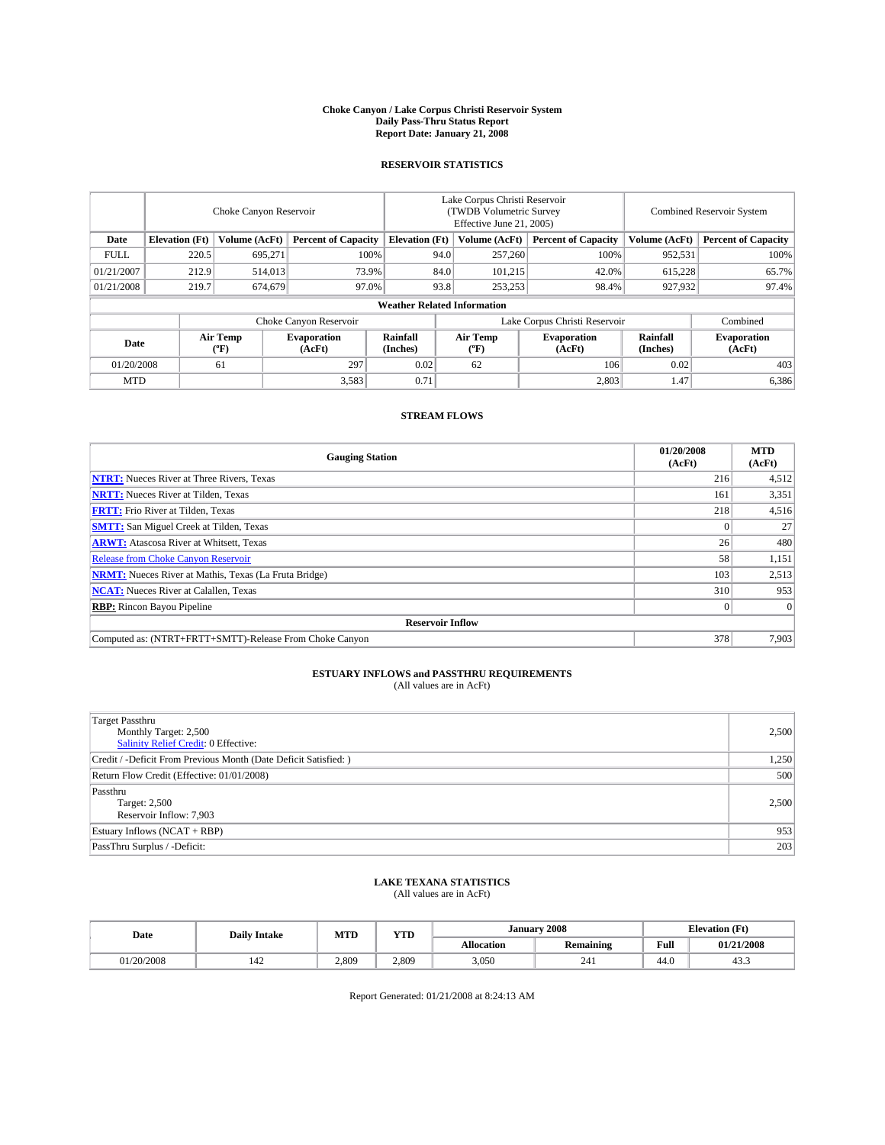### **Choke Canyon / Lake Corpus Christi Reservoir System Daily Pass-Thru Status Report Report Date: January 21, 2008**

### **RESERVOIR STATISTICS**

|             | Choke Canyon Reservoir |                  |                              |                                    | Lake Corpus Christi Reservoir<br>(TWDB Volumetric Survey<br>Effective June 21, 2005) |                           |                               |                      | Combined Reservoir System    |  |  |
|-------------|------------------------|------------------|------------------------------|------------------------------------|--------------------------------------------------------------------------------------|---------------------------|-------------------------------|----------------------|------------------------------|--|--|
| Date        | <b>Elevation</b> (Ft)  | Volume (AcFt)    | <b>Percent of Capacity</b>   | <b>Elevation</b> (Ft)              |                                                                                      | Volume (AcFt)             | <b>Percent of Capacity</b>    | Volume (AcFt)        | <b>Percent of Capacity</b>   |  |  |
| <b>FULL</b> | 220.5                  | 695,271          | 100%                         |                                    | 94.0                                                                                 | 257,260                   | 100%                          | 952,531              | 100%                         |  |  |
| 01/21/2007  | 212.9                  | 514,013          | 73.9%                        |                                    | 84.0                                                                                 | 101,215                   | 42.0%                         | 615,228              | 65.7%                        |  |  |
| 01/21/2008  | 219.7                  | 674,679          | 97.0%                        |                                    | 93.8                                                                                 | 253,253                   | 98.4%                         | 927,932              | 97.4%                        |  |  |
|             |                        |                  |                              | <b>Weather Related Information</b> |                                                                                      |                           |                               |                      |                              |  |  |
|             |                        |                  | Choke Canyon Reservoir       |                                    |                                                                                      |                           | Lake Corpus Christi Reservoir |                      | Combined                     |  |  |
| Date        |                        | Air Temp<br>(°F) | <b>Evaporation</b><br>(AcFt) | Rainfall<br>(Inches)               |                                                                                      | Air Temp<br>$^{\circ}$ F) | <b>Evaporation</b><br>(AcFt)  | Rainfall<br>(Inches) | <b>Evaporation</b><br>(AcFt) |  |  |
| 01/20/2008  |                        | 61               | 297                          | 0.02                               |                                                                                      | 62                        | 106                           | 0.02                 | 403                          |  |  |
| <b>MTD</b>  |                        |                  | 3,583                        | 0.71                               |                                                                                      |                           | 2,803                         | 1.47                 | 6,386                        |  |  |

## **STREAM FLOWS**

| <b>Gauging Station</b>                                       | 01/20/2008<br>(AcFt) | <b>MTD</b><br>(AcFt) |
|--------------------------------------------------------------|----------------------|----------------------|
| <b>NTRT:</b> Nueces River at Three Rivers, Texas             | 216                  | 4,512                |
| <b>NRTT:</b> Nueces River at Tilden, Texas                   | 161                  | 3,351                |
| <b>FRTT:</b> Frio River at Tilden, Texas                     | 218                  | 4,516                |
| <b>SMTT:</b> San Miguel Creek at Tilden, Texas               |                      | 27                   |
| <b>ARWT:</b> Atascosa River at Whitsett, Texas               | 26                   | 480                  |
| <b>Release from Choke Canyon Reservoir</b>                   | 58                   | 1,151                |
| <b>NRMT:</b> Nueces River at Mathis, Texas (La Fruta Bridge) | 103                  | 2,513                |
| <b>NCAT:</b> Nueces River at Calallen, Texas                 | 310                  | 953                  |
| <b>RBP:</b> Rincon Bayou Pipeline                            |                      | $\Omega$             |
| <b>Reservoir Inflow</b>                                      |                      |                      |
| Computed as: (NTRT+FRTT+SMTT)-Release From Choke Canyon      | 378                  | 7.903                |

# **ESTUARY INFLOWS and PASSTHRU REQUIREMENTS**<br>(All values are in AcFt)

| <b>Target Passthru</b><br>Monthly Target: 2,500<br>Salinity Relief Credit: 0 Effective: | 2,500 |
|-----------------------------------------------------------------------------------------|-------|
| Credit / -Deficit From Previous Month (Date Deficit Satisfied: )                        | 1,250 |
| Return Flow Credit (Effective: 01/01/2008)                                              | 500   |
| Passthru<br>Target: 2,500<br>Reservoir Inflow: 7,903                                    | 2.500 |
| Estuary Inflows (NCAT + RBP)                                                            | 953   |
| PassThru Surplus / -Deficit:                                                            | 203   |

# **LAKE TEXANA STATISTICS** (All values are in AcFt)

| Date       | <b>Daily Intake</b> | MTD   | YTD   | January           | 2008             |      | <b>Elevation</b> (Ft) |
|------------|---------------------|-------|-------|-------------------|------------------|------|-----------------------|
|            |                     |       |       | <b>Allocation</b> | <b>Remaining</b> | Full | 01/21/2008            |
| 01/20/2008 | ∸∠                  | 2.809 | 2.809 | 3,050             | 241              | 44.0 | 43.5                  |

Report Generated: 01/21/2008 at 8:24:13 AM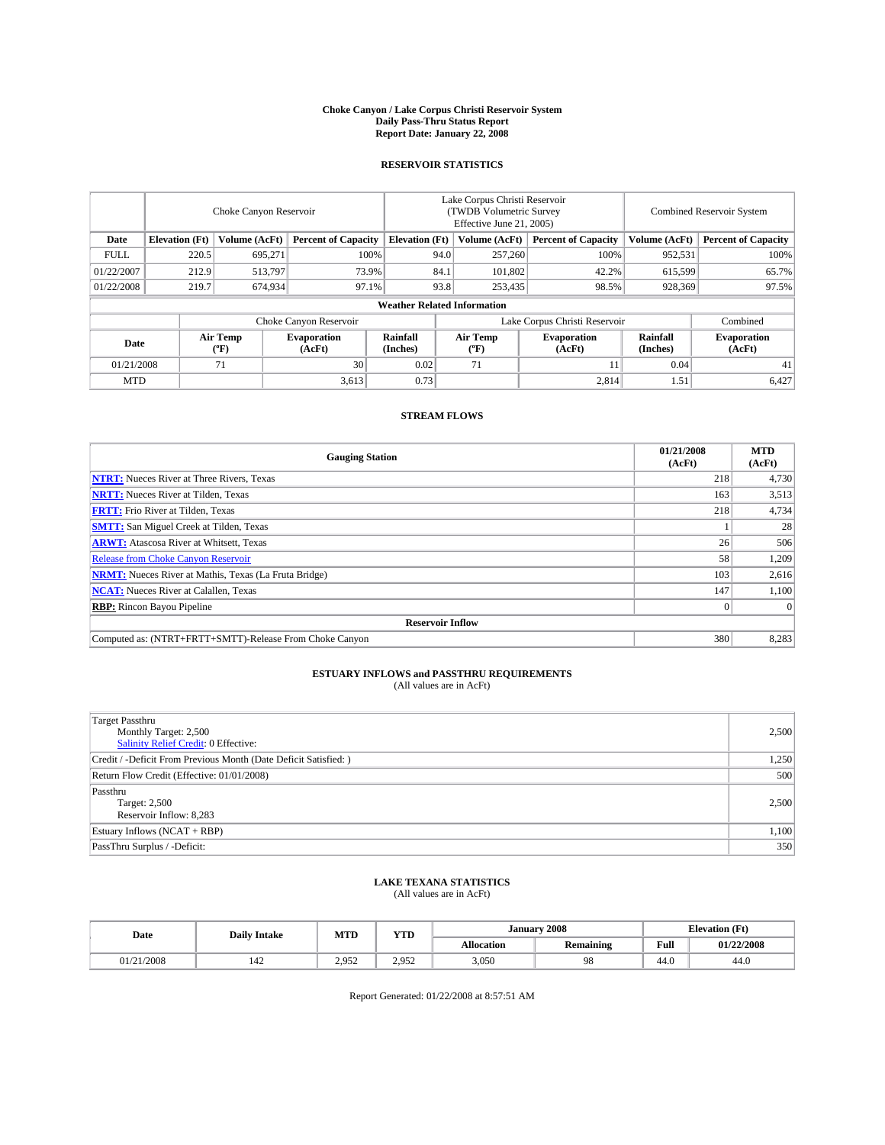### **Choke Canyon / Lake Corpus Christi Reservoir System Daily Pass-Thru Status Report Report Date: January 22, 2008**

### **RESERVOIR STATISTICS**

|             | Choke Canyon Reservoir             |                  |                              |                       | Lake Corpus Christi Reservoir<br>(TWDB Volumetric Survey<br>Effective June 21, 2005) |                  |                               | <b>Combined Reservoir System</b> |                              |  |
|-------------|------------------------------------|------------------|------------------------------|-----------------------|--------------------------------------------------------------------------------------|------------------|-------------------------------|----------------------------------|------------------------------|--|
| Date        | <b>Elevation</b> (Ft)              | Volume (AcFt)    | <b>Percent of Capacity</b>   | <b>Elevation</b> (Ft) |                                                                                      | Volume (AcFt)    | <b>Percent of Capacity</b>    | Volume (AcFt)                    | <b>Percent of Capacity</b>   |  |
| <b>FULL</b> | 220.5                              | 695.271          |                              | 100%                  | 94.0                                                                                 | 257,260          | 100%                          | 952,531                          | 100%                         |  |
| 01/22/2007  | 212.9                              | 513,797          | 73.9%                        |                       | 84.1                                                                                 | 101.802          | 42.2%                         | 615.599                          | 65.7%                        |  |
| 01/22/2008  | 219.7                              | 674,934          | 97.1%                        |                       | 93.8                                                                                 | 253,435          | 98.5%                         | 928,369                          | 97.5%                        |  |
|             | <b>Weather Related Information</b> |                  |                              |                       |                                                                                      |                  |                               |                                  |                              |  |
|             |                                    |                  | Choke Canyon Reservoir       |                       |                                                                                      |                  | Lake Corpus Christi Reservoir |                                  | Combined                     |  |
| Date        |                                    | Air Temp<br>(°F) | <b>Evaporation</b><br>(AcFt) | Rainfall<br>(Inches)  |                                                                                      | Air Temp<br>("F) | <b>Evaporation</b><br>(AcFt)  | Rainfall<br>(Inches)             | <b>Evaporation</b><br>(AcFt) |  |
| 01/21/2008  |                                    | 71               | 30                           | 0.02                  |                                                                                      | 71               | 11                            | 0.04                             | 41                           |  |
| <b>MTD</b>  |                                    |                  | 3,613                        | 0.73                  |                                                                                      |                  | 2,814                         | 1.51                             | 6,427                        |  |

## **STREAM FLOWS**

| <b>Gauging Station</b>                                       | 01/21/2008<br>(AcFt) | <b>MTD</b><br>(AcFt) |
|--------------------------------------------------------------|----------------------|----------------------|
| <b>NTRT:</b> Nueces River at Three Rivers, Texas             | 218                  | 4,730                |
| <b>NRTT:</b> Nueces River at Tilden, Texas                   | 163                  | 3,513                |
| <b>FRTT:</b> Frio River at Tilden, Texas                     | 218                  | 4,734                |
| <b>SMTT:</b> San Miguel Creek at Tilden, Texas               |                      | 28                   |
| <b>ARWT:</b> Atascosa River at Whitsett, Texas               | 26                   | 506                  |
| <b>Release from Choke Canyon Reservoir</b>                   | 58                   | 1,209                |
| <b>NRMT:</b> Nueces River at Mathis, Texas (La Fruta Bridge) | 103                  | 2,616                |
| <b>NCAT:</b> Nueces River at Calallen, Texas                 | 147                  | 1,100                |
| <b>RBP:</b> Rincon Bayou Pipeline                            |                      | $\Omega$             |
| <b>Reservoir Inflow</b>                                      |                      |                      |
| Computed as: (NTRT+FRTT+SMTT)-Release From Choke Canyon      | 380                  | 8,283                |

# **ESTUARY INFLOWS and PASSTHRU REQUIREMENTS**<br>(All values are in AcFt)

| <b>Target Passthru</b><br>Monthly Target: 2,500<br>Salinity Relief Credit: 0 Effective: | 2,500 |
|-----------------------------------------------------------------------------------------|-------|
| Credit / -Deficit From Previous Month (Date Deficit Satisfied: )                        | 1,250 |
| Return Flow Credit (Effective: 01/01/2008)                                              | 500   |
| Passthru<br>Target: 2,500<br>Reservoir Inflow: 8,283                                    | 2.500 |
| Estuary Inflows (NCAT + RBP)                                                            | 1,100 |
| PassThru Surplus / -Deficit:                                                            | 350   |

# **LAKE TEXANA STATISTICS** (All values are in AcFt)

| Date       | <b>Daily Intake</b> | MTD             | WTD<br>1 I D   | January           | 2008             | <b>Elevation</b> (Ft) |            |
|------------|---------------------|-----------------|----------------|-------------------|------------------|-----------------------|------------|
|            |                     |                 |                | <b>Allocation</b> | <b>Remaining</b> | Full                  | 01/22/2008 |
| 01/21/2008 | $1 + 2$             | 2.952<br>ے رودے | 2.952<br>ے ورب | 3.050             | 98               | 44.0                  | 44.0       |

Report Generated: 01/22/2008 at 8:57:51 AM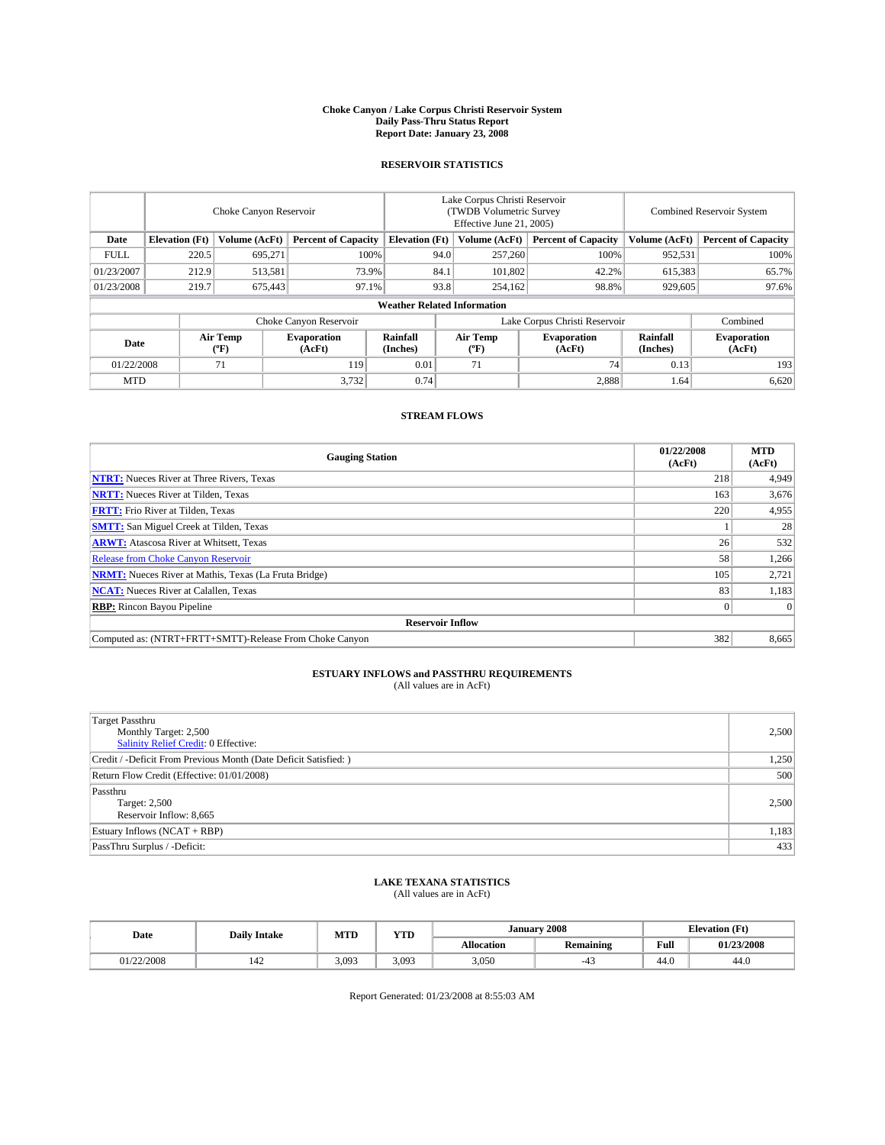### **Choke Canyon / Lake Corpus Christi Reservoir System Daily Pass-Thru Status Report Report Date: January 23, 2008**

### **RESERVOIR STATISTICS**

|             | Choke Canyon Reservoir             |                  |                              |                       | Lake Corpus Christi Reservoir<br>(TWDB Volumetric Survey<br>Effective June 21, 2005) |                  |                               |                      | Combined Reservoir System    |  |  |
|-------------|------------------------------------|------------------|------------------------------|-----------------------|--------------------------------------------------------------------------------------|------------------|-------------------------------|----------------------|------------------------------|--|--|
| Date        | <b>Elevation</b> (Ft)              | Volume (AcFt)    | <b>Percent of Capacity</b>   | <b>Elevation</b> (Ft) |                                                                                      | Volume (AcFt)    | <b>Percent of Capacity</b>    | Volume (AcFt)        | <b>Percent of Capacity</b>   |  |  |
| <b>FULL</b> | 220.5                              | 695,271          | 100%                         |                       | 94.0                                                                                 | 257,260          | 100%                          | 952,531              | 100%                         |  |  |
| 01/23/2007  | 212.9                              | 513,581          | 73.9%                        |                       | 84.1                                                                                 | 101,802          | 42.2%                         | 615,383              | 65.7%                        |  |  |
| 01/23/2008  | 219.7                              | 675,443          | 97.1%                        |                       | 93.8                                                                                 | 254,162          | 98.8%                         | 929,605              | 97.6%                        |  |  |
|             | <b>Weather Related Information</b> |                  |                              |                       |                                                                                      |                  |                               |                      |                              |  |  |
|             |                                    |                  | Choke Canyon Reservoir       |                       |                                                                                      |                  | Lake Corpus Christi Reservoir |                      | Combined                     |  |  |
| Date        |                                    | Air Temp<br>(°F) | <b>Evaporation</b><br>(AcFt) | Rainfall<br>(Inches)  |                                                                                      | Air Temp<br>("F) | <b>Evaporation</b><br>(AcFt)  | Rainfall<br>(Inches) | <b>Evaporation</b><br>(AcFt) |  |  |
| 01/22/2008  |                                    | 71               | 119                          | 0.01                  |                                                                                      | 71               | 74                            | 0.13                 | 193                          |  |  |
| <b>MTD</b>  |                                    |                  | 3,732                        | 0.74                  |                                                                                      |                  | 2,888                         | 1.64                 | 6,620                        |  |  |

### **STREAM FLOWS**

| <b>Gauging Station</b>                                       | 01/22/2008<br>(AcFt) | <b>MTD</b><br>(AcFt) |
|--------------------------------------------------------------|----------------------|----------------------|
| <b>NTRT:</b> Nueces River at Three Rivers, Texas             | 218                  | 4,949                |
| <b>NRTT:</b> Nueces River at Tilden, Texas                   | 163                  | 3,676                |
| <b>FRTT:</b> Frio River at Tilden, Texas                     | 220                  | 4,955                |
| <b>SMTT:</b> San Miguel Creek at Tilden, Texas               |                      | 28                   |
| <b>ARWT:</b> Atascosa River at Whitsett, Texas               | 26                   | 532                  |
| <b>Release from Choke Canyon Reservoir</b>                   | 58                   | 1,266                |
| <b>NRMT:</b> Nueces River at Mathis, Texas (La Fruta Bridge) | 105                  | 2,721                |
| <b>NCAT:</b> Nueces River at Calallen, Texas                 | 83                   | 1,183                |
| <b>RBP:</b> Rincon Bayou Pipeline                            |                      | $\Omega$             |
| <b>Reservoir Inflow</b>                                      |                      |                      |
| Computed as: (NTRT+FRTT+SMTT)-Release From Choke Canyon      | 382                  | 8,665                |

# **ESTUARY INFLOWS and PASSTHRU REQUIREMENTS**<br>(All values are in AcFt)

| <b>Target Passthru</b><br>Monthly Target: 2,500<br>Salinity Relief Credit: 0 Effective: | 2,500 |
|-----------------------------------------------------------------------------------------|-------|
| Credit / -Deficit From Previous Month (Date Deficit Satisfied: )                        | 1,250 |
| Return Flow Credit (Effective: 01/01/2008)                                              | 500   |
| Passthru<br>Target: 2,500<br>Reservoir Inflow: 8,665                                    | 2.500 |
| Estuary Inflows (NCAT + RBP)                                                            | 1,183 |
| PassThru Surplus / -Deficit:                                                            | 433   |

# **LAKE TEXANA STATISTICS** (All values are in AcFt)

| Date      | <b>Daily Intake</b> | MTD   | $\mathbf{v}$ |                   | January 2008     | <b>Elevation</b> (Ft) |            |  |
|-----------|---------------------|-------|--------------|-------------------|------------------|-----------------------|------------|--|
|           |                     |       | 1 I D        | <b>Allocation</b> | <b>Remaining</b> | Full                  | 01/23/2008 |  |
| 1/22/2008 | 142                 | 3.093 | 3.093        | 3,050             | $-4$             | AA<br>44.U            | 44.0       |  |

Report Generated: 01/23/2008 at 8:55:03 AM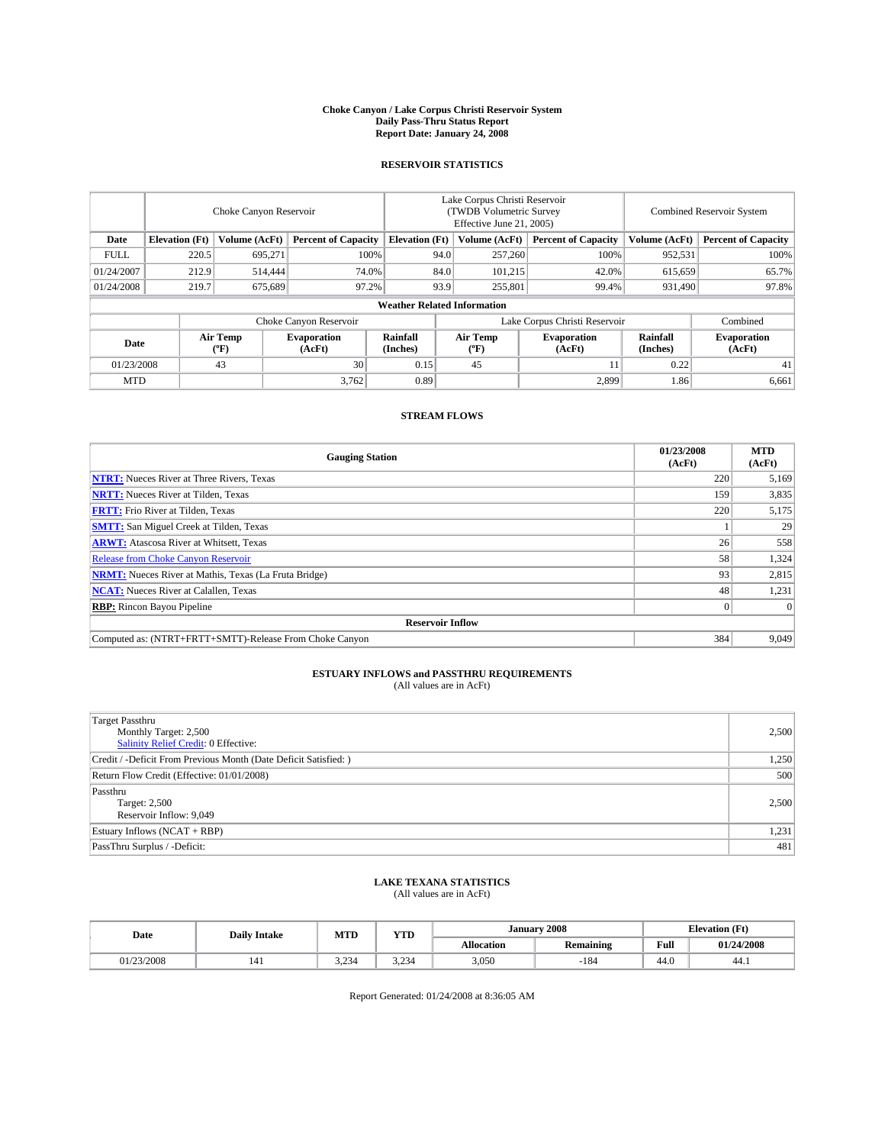### **Choke Canyon / Lake Corpus Christi Reservoir System Daily Pass-Thru Status Report Report Date: January 24, 2008**

### **RESERVOIR STATISTICS**

|             | Choke Canyon Reservoir             |                  |                              |                       | Lake Corpus Christi Reservoir<br>(TWDB Volumetric Survey<br>Effective June 21, 2005) |                               |                              | <b>Combined Reservoir System</b> |                              |  |
|-------------|------------------------------------|------------------|------------------------------|-----------------------|--------------------------------------------------------------------------------------|-------------------------------|------------------------------|----------------------------------|------------------------------|--|
| Date        | <b>Elevation</b> (Ft)              | Volume (AcFt)    | <b>Percent of Capacity</b>   | <b>Elevation</b> (Ft) |                                                                                      | Volume (AcFt)                 | <b>Percent of Capacity</b>   | Volume (AcFt)                    | <b>Percent of Capacity</b>   |  |
| <b>FULL</b> | 220.5                              | 695.271          | 100%                         |                       | 94.0                                                                                 | 257,260                       | 100%                         | 952,531                          | 100%                         |  |
| 01/24/2007  | 212.9                              | 514,444          | 74.0%                        |                       | 84.0                                                                                 | 101.215                       | 42.0%                        | 615,659                          | 65.7%                        |  |
| 01/24/2008  | 219.7                              | 675,689          | 97.2%                        |                       | 93.9                                                                                 | 255,801                       | 99.4%                        | 931.490                          | 97.8%                        |  |
|             | <b>Weather Related Information</b> |                  |                              |                       |                                                                                      |                               |                              |                                  |                              |  |
|             | Choke Canyon Reservoir             |                  |                              |                       |                                                                                      | Lake Corpus Christi Reservoir |                              |                                  | Combined                     |  |
| Date        |                                    | Air Temp<br>(°F) | <b>Evaporation</b><br>(AcFt) | Rainfall<br>(Inches)  |                                                                                      | Air Temp<br>("F)              | <b>Evaporation</b><br>(AcFt) | Rainfall<br>(Inches)             | <b>Evaporation</b><br>(AcFt) |  |
| 01/23/2008  |                                    | 43               | 30                           | 0.15                  |                                                                                      | 45                            | 11                           | 0.22                             | 41                           |  |
| <b>MTD</b>  |                                    |                  | 3,762                        | 0.89                  |                                                                                      |                               | 2,899                        | 1.86                             | 6,661                        |  |

## **STREAM FLOWS**

| <b>Gauging Station</b>                                       | 01/23/2008<br>(AcFt) | <b>MTD</b><br>(AcFt) |
|--------------------------------------------------------------|----------------------|----------------------|
| <b>NTRT:</b> Nueces River at Three Rivers, Texas             | 220                  | 5,169                |
| <b>NRTT:</b> Nueces River at Tilden, Texas                   | 159                  | 3,835                |
| <b>FRTT:</b> Frio River at Tilden, Texas                     | 220                  | 5,175                |
| <b>SMTT:</b> San Miguel Creek at Tilden, Texas               |                      | 29                   |
| <b>ARWT:</b> Atascosa River at Whitsett, Texas               | 26                   | 558                  |
| <b>Release from Choke Canyon Reservoir</b>                   | 58                   | 1,324                |
| <b>NRMT:</b> Nueces River at Mathis, Texas (La Fruta Bridge) | 93                   | 2,815                |
| <b>NCAT:</b> Nueces River at Calallen, Texas                 | 48                   | 1,231                |
| <b>RBP:</b> Rincon Bayou Pipeline                            |                      | $\Omega$             |
| <b>Reservoir Inflow</b>                                      |                      |                      |
| Computed as: (NTRT+FRTT+SMTT)-Release From Choke Canyon      | 384                  | 9.049                |

# **ESTUARY INFLOWS and PASSTHRU REQUIREMENTS**<br>(All values are in AcFt)

| <b>Target Passthru</b><br>Monthly Target: 2,500<br>Salinity Relief Credit: 0 Effective: | 2,500 |
|-----------------------------------------------------------------------------------------|-------|
| Credit / -Deficit From Previous Month (Date Deficit Satisfied: )                        | 1,250 |
| Return Flow Credit (Effective: 01/01/2008)                                              | 500   |
| Passthru<br>Target: 2,500<br>Reservoir Inflow: 9,049                                    | 2.500 |
| Estuary Inflows (NCAT + RBP)                                                            | 1,231 |
| PassThru Surplus / -Deficit:                                                            | 481   |

# **LAKE TEXANA STATISTICS** (All values are in AcFt)

| Date       | <b>Daily Intake</b> | <b>MTD</b>      | $\mathbf{v}$<br>1 I D | January           | 12008            |      | <b>Elevation</b> (Ft) |
|------------|---------------------|-----------------|-----------------------|-------------------|------------------|------|-----------------------|
|            |                     |                 |                       | <b>Allocation</b> | <b>Remaining</b> | Full | 01/24/2008            |
| 01/23/2008 | 141                 | 2.22<br>ر ہے. ر | 2.22<br>−د ت…         | 3,050             | $-184$           | 44.0 | -44.1                 |

Report Generated: 01/24/2008 at 8:36:05 AM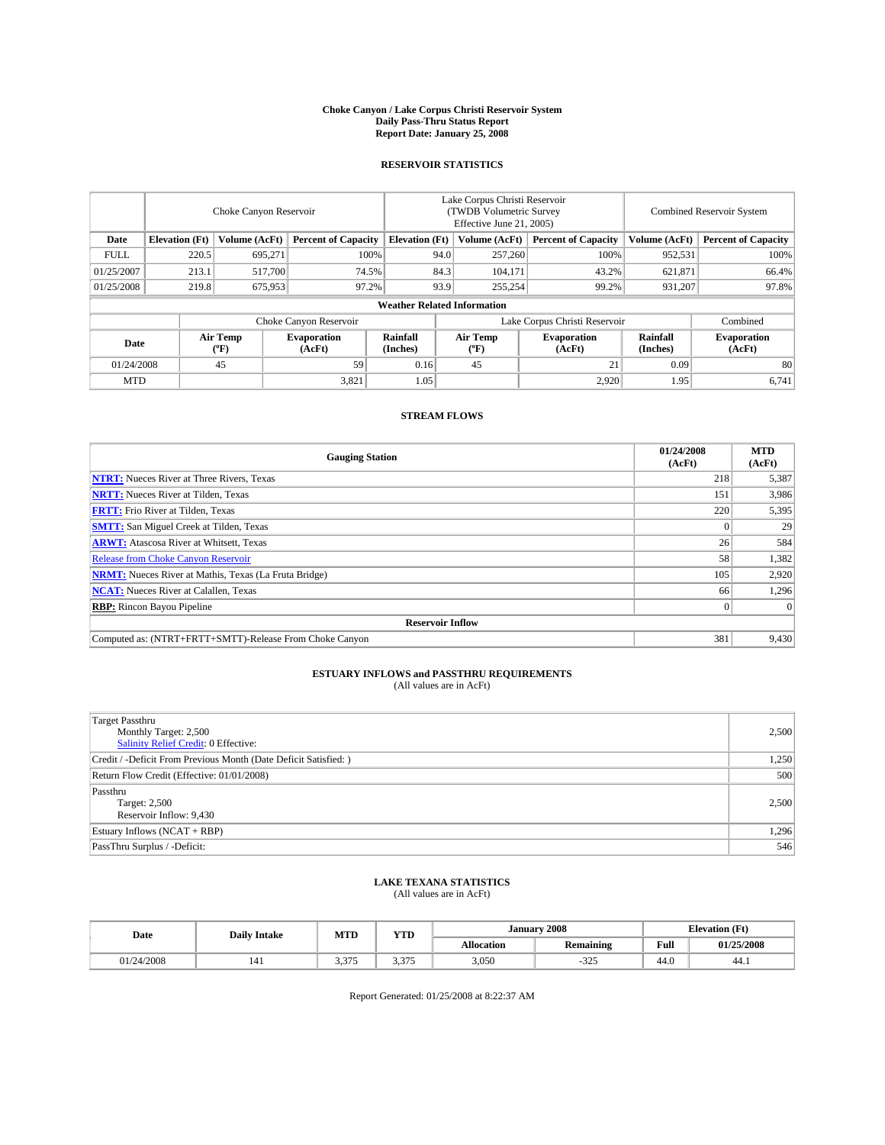### **Choke Canyon / Lake Corpus Christi Reservoir System Daily Pass-Thru Status Report Report Date: January 25, 2008**

### **RESERVOIR STATISTICS**

|             | Choke Canyon Reservoir             |                               |                              |                       | Lake Corpus Christi Reservoir<br>(TWDB Volumetric Survey<br>Effective June 21, 2005) |                  |                              |                      | <b>Combined Reservoir System</b> |  |  |
|-------------|------------------------------------|-------------------------------|------------------------------|-----------------------|--------------------------------------------------------------------------------------|------------------|------------------------------|----------------------|----------------------------------|--|--|
| Date        | <b>Elevation</b> (Ft)              | Volume (AcFt)                 | <b>Percent of Capacity</b>   | <b>Elevation</b> (Ft) |                                                                                      | Volume (AcFt)    | <b>Percent of Capacity</b>   | Volume (AcFt)        | <b>Percent of Capacity</b>       |  |  |
| <b>FULL</b> | 220.5                              | 695.271                       | 100%                         |                       | 94.0                                                                                 | 257,260          | 100%                         | 952,531              | 100%                             |  |  |
| 01/25/2007  | 213.1                              | 517,700                       | 74.5%                        |                       | 84.3                                                                                 | 104.171          | 43.2%                        | 621,871              | 66.4%                            |  |  |
| 01/25/2008  | 219.8                              | 675,953                       | 97.2%                        |                       | 93.9                                                                                 | 255,254          | 99.2%                        | 931.207              | 97.8%                            |  |  |
|             | <b>Weather Related Information</b> |                               |                              |                       |                                                                                      |                  |                              |                      |                                  |  |  |
|             |                                    | Lake Corpus Christi Reservoir |                              |                       |                                                                                      | Combined         |                              |                      |                                  |  |  |
| Date        |                                    | Air Temp<br>(°F)              | <b>Evaporation</b><br>(AcFt) | Rainfall<br>(Inches)  |                                                                                      | Air Temp<br>("F) | <b>Evaporation</b><br>(AcFt) | Rainfall<br>(Inches) | <b>Evaporation</b><br>(AcFt)     |  |  |
| 01/24/2008  |                                    | 45                            | 59                           | 0.16                  |                                                                                      | 45               | 21                           | 0.09                 | 80                               |  |  |
| <b>MTD</b>  |                                    |                               | 3,821                        | 1.05                  |                                                                                      |                  | 2,920                        | 1.95                 | 6,741                            |  |  |

## **STREAM FLOWS**

| <b>Gauging Station</b>                                       | 01/24/2008<br>(AcFt) | <b>MTD</b><br>(AcFt) |
|--------------------------------------------------------------|----------------------|----------------------|
| <b>NTRT:</b> Nueces River at Three Rivers, Texas             | 218                  | 5,387                |
| <b>NRTT:</b> Nueces River at Tilden, Texas                   | 151                  | 3,986                |
| <b>FRTT:</b> Frio River at Tilden, Texas                     | 220                  | 5,395                |
| <b>SMTT:</b> San Miguel Creek at Tilden, Texas               |                      | 29                   |
| <b>ARWT:</b> Atascosa River at Whitsett, Texas               | 26                   | 584                  |
| <b>Release from Choke Canyon Reservoir</b>                   | 58                   | 1,382                |
| <b>NRMT:</b> Nueces River at Mathis, Texas (La Fruta Bridge) | 105                  | 2,920                |
| <b>NCAT:</b> Nueces River at Calallen, Texas                 | 66                   | 1,296                |
| <b>RBP:</b> Rincon Bayou Pipeline                            |                      | $\Omega$             |
| <b>Reservoir Inflow</b>                                      |                      |                      |
| Computed as: (NTRT+FRTT+SMTT)-Release From Choke Canyon      | 381                  | 9.430                |

# **ESTUARY INFLOWS and PASSTHRU REQUIREMENTS**<br>(All values are in AcFt)

| <b>Target Passthru</b><br>Monthly Target: 2,500<br>Salinity Relief Credit: 0 Effective: | 2,500 |
|-----------------------------------------------------------------------------------------|-------|
| Credit / -Deficit From Previous Month (Date Deficit Satisfied: )                        | 1,250 |
| Return Flow Credit (Effective: 01/01/2008)                                              | 500   |
| Passthru<br>Target: 2,500<br>Reservoir Inflow: 9,430                                    | 2.500 |
| Estuary Inflows (NCAT + RBP)                                                            | 1,296 |
| PassThru Surplus / -Deficit:                                                            | 546   |

## **LAKE TEXANA STATISTICS** (All values are in AcFt)

|            |  |                              | YTD<br>MTD<br>Date<br><b>Daily Intake</b> |                   |                  | 2008<br><b>January</b> |            | <b>Elevation</b> (Ft) |  |
|------------|--|------------------------------|-------------------------------------------|-------------------|------------------|------------------------|------------|-----------------------|--|
|            |  |                              |                                           | <b>Allocation</b> | <b>Remaining</b> | Full                   | 01/25/2008 |                       |  |
| 01/24/2008 |  | $\sim$ $\sim$ $\sim$<br>ر. ر | 3,375                                     | 3,050             | 225<br>ى 2 د     | 44.0                   | 44.1       |                       |  |

Report Generated: 01/25/2008 at 8:22:37 AM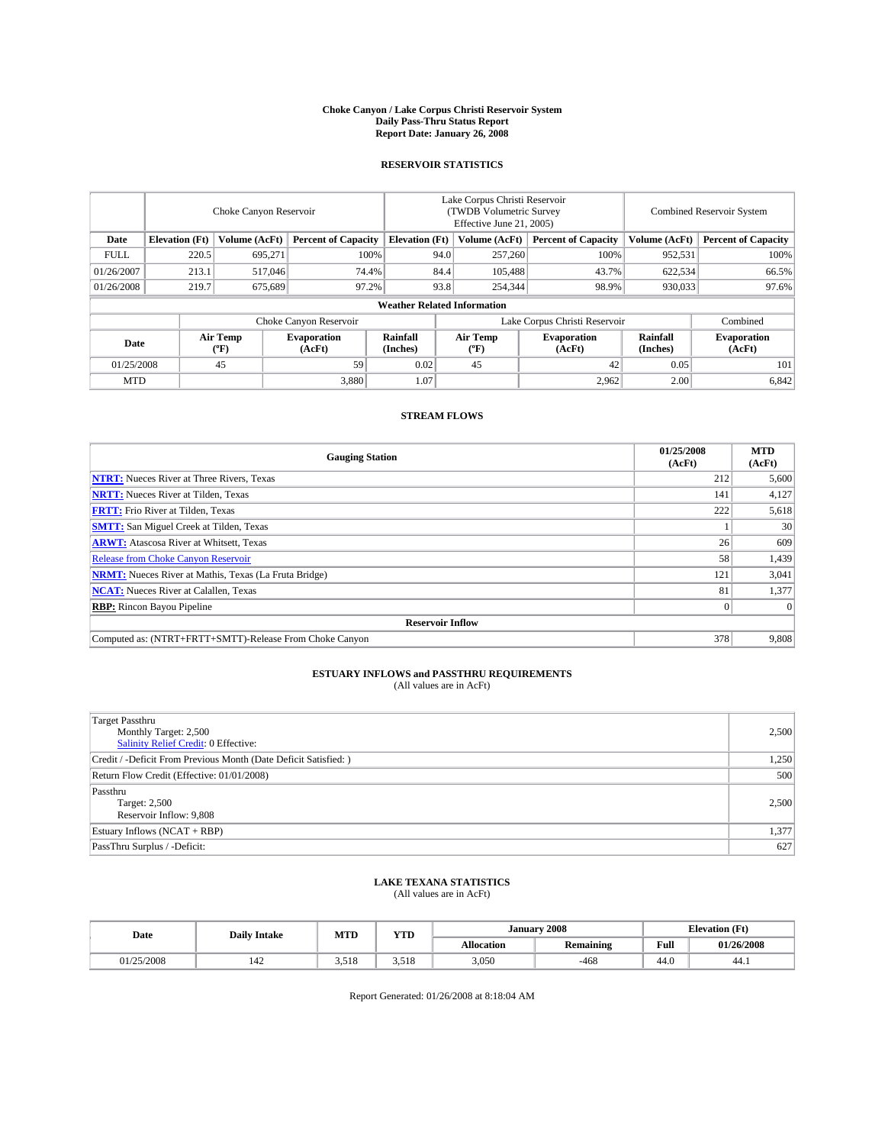### **Choke Canyon / Lake Corpus Christi Reservoir System Daily Pass-Thru Status Report Report Date: January 26, 2008**

### **RESERVOIR STATISTICS**

|             | Choke Canyon Reservoir             |                  |                              |                       | Lake Corpus Christi Reservoir<br>(TWDB Volumetric Survey<br>Effective June 21, 2005) |                                           |                               | Combined Reservoir System |                              |  |
|-------------|------------------------------------|------------------|------------------------------|-----------------------|--------------------------------------------------------------------------------------|-------------------------------------------|-------------------------------|---------------------------|------------------------------|--|
| Date        | <b>Elevation</b> (Ft)              | Volume (AcFt)    | <b>Percent of Capacity</b>   | <b>Elevation</b> (Ft) |                                                                                      | Volume (AcFt)                             | <b>Percent of Capacity</b>    | Volume (AcFt)             | <b>Percent of Capacity</b>   |  |
| <b>FULL</b> | 220.5                              | 695,271          | 100%                         |                       | 94.0                                                                                 | 257,260                                   | 100%                          | 952,531                   | 100%                         |  |
| 01/26/2007  | 213.1                              | 517,046          | 74.4%                        |                       | 84.4                                                                                 | 105,488                                   | 43.7%                         | 622,534                   | 66.5%                        |  |
| 01/26/2008  | 219.7                              | 675,689          | 97.2%                        |                       | 93.8                                                                                 | 254,344                                   | 98.9%                         | 930,033                   | 97.6%                        |  |
|             | <b>Weather Related Information</b> |                  |                              |                       |                                                                                      |                                           |                               |                           |                              |  |
|             |                                    |                  | Choke Canyon Reservoir       |                       |                                                                                      |                                           | Lake Corpus Christi Reservoir |                           | Combined                     |  |
| Date        |                                    | Air Temp<br>(°F) | <b>Evaporation</b><br>(AcFt) | Rainfall<br>(Inches)  |                                                                                      | Air Temp<br>$({}^{\mathrm{o}}\mathrm{F})$ | <b>Evaporation</b><br>(AcFt)  | Rainfall<br>(Inches)      | <b>Evaporation</b><br>(AcFt) |  |
| 01/25/2008  |                                    | 45               | 59                           | 0.02                  |                                                                                      | 45                                        | 42                            | 0.05                      | 101                          |  |
| <b>MTD</b>  |                                    |                  | 3,880                        | 1.07                  |                                                                                      |                                           | 2,962                         | 2.00                      | 6,842                        |  |

### **STREAM FLOWS**

| <b>Gauging Station</b>                                       | 01/25/2008<br>(AcFt) | <b>MTD</b><br>(AcFt) |
|--------------------------------------------------------------|----------------------|----------------------|
| <b>NTRT:</b> Nueces River at Three Rivers, Texas             | 212                  | 5,600                |
| <b>NRTT:</b> Nueces River at Tilden, Texas                   | 141                  | 4,127                |
| <b>FRTT:</b> Frio River at Tilden, Texas                     | 222                  | 5,618                |
| <b>SMTT:</b> San Miguel Creek at Tilden, Texas               |                      | 30                   |
| <b>ARWT:</b> Atascosa River at Whitsett, Texas               | 26                   | 609                  |
| <b>Release from Choke Canyon Reservoir</b>                   | 58                   | 1,439                |
| <b>NRMT:</b> Nueces River at Mathis, Texas (La Fruta Bridge) | 121                  | 3,041                |
| <b>NCAT:</b> Nueces River at Calallen, Texas                 | 81                   | 1,377                |
| <b>RBP:</b> Rincon Bayou Pipeline                            |                      | $\Omega$             |
| <b>Reservoir Inflow</b>                                      |                      |                      |
| Computed as: (NTRT+FRTT+SMTT)-Release From Choke Canyon      | 378                  | 9.808                |

# **ESTUARY INFLOWS and PASSTHRU REQUIREMENTS**<br>(All values are in AcFt)

| <b>Target Passthru</b><br>Monthly Target: 2,500<br>Salinity Relief Credit: 0 Effective: | 2,500 |
|-----------------------------------------------------------------------------------------|-------|
| Credit / -Deficit From Previous Month (Date Deficit Satisfied: )                        | 1,250 |
| Return Flow Credit (Effective: 01/01/2008)                                              | 500   |
| Passthru<br>Target: 2,500<br>Reservoir Inflow: 9,808                                    | 2.500 |
| Estuary Inflows (NCAT + RBP)                                                            | 1,377 |
| PassThru Surplus / -Deficit:                                                            | 627   |

# **LAKE TEXANA STATISTICS** (All values are in AcFt)

| Date       | <b>Daily Intake</b> | <b>MTD</b>    | YTD   | January           | 2008             | <b>Elevation</b> (Ft)   |            |
|------------|---------------------|---------------|-------|-------------------|------------------|-------------------------|------------|
|            |                     |               |       | <b>Allocation</b> | <b>Remaining</b> | Full                    | 01/26/2008 |
| 01/25/2008 | 144                 | 510<br>1.50 د | 3.518 | 3,050             | $-468$           | $\overline{AB}$<br>44.G | -44.1      |

Report Generated: 01/26/2008 at 8:18:04 AM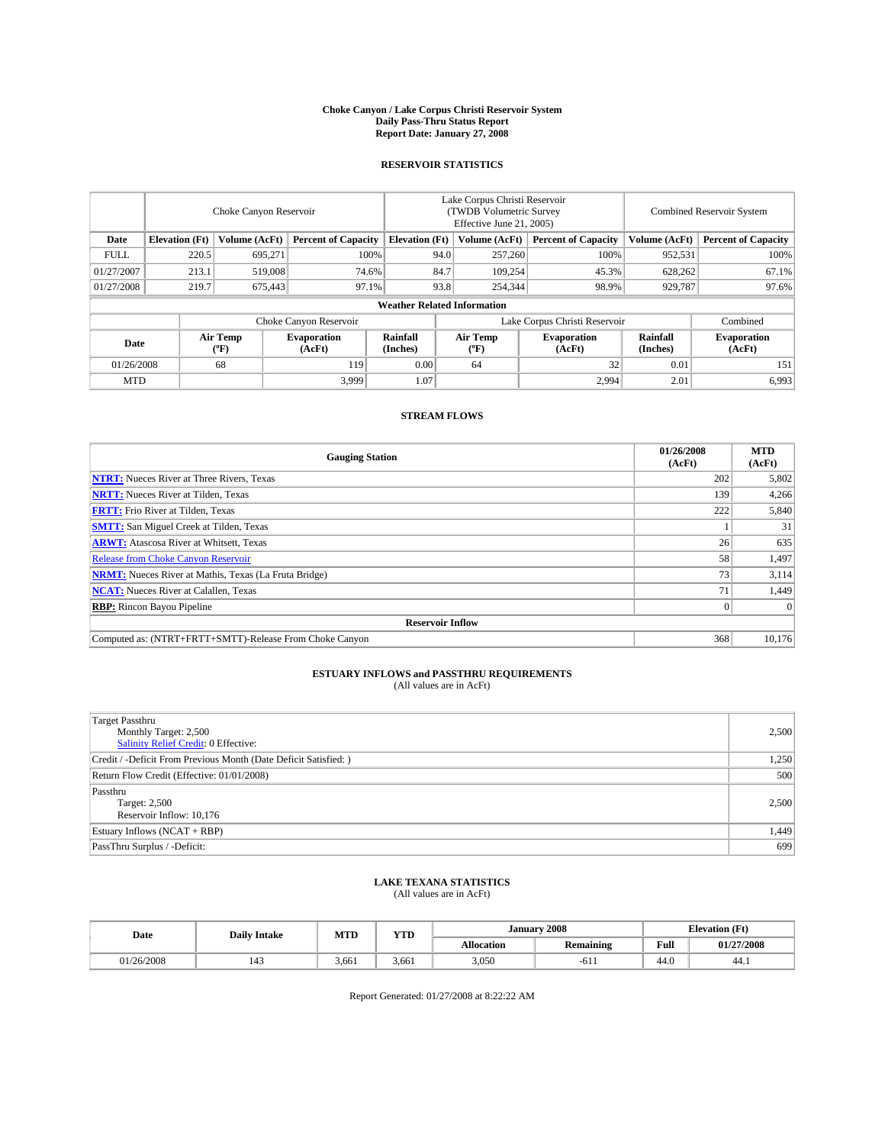### **Choke Canyon / Lake Corpus Christi Reservoir System Daily Pass-Thru Status Report Report Date: January 27, 2008**

### **RESERVOIR STATISTICS**

|             | Choke Canyon Reservoir             |                  |                              |                             | Lake Corpus Christi Reservoir<br>(TWDB Volumetric Survey<br>Effective June 21, 2005) |                  |                              |                      | <b>Combined Reservoir System</b> |  |  |
|-------------|------------------------------------|------------------|------------------------------|-----------------------------|--------------------------------------------------------------------------------------|------------------|------------------------------|----------------------|----------------------------------|--|--|
| Date        | <b>Elevation</b> (Ft)              | Volume (AcFt)    | <b>Percent of Capacity</b>   | <b>Elevation</b> (Ft)       |                                                                                      | Volume (AcFt)    | <b>Percent of Capacity</b>   | Volume (AcFt)        | <b>Percent of Capacity</b>       |  |  |
| <b>FULL</b> | 220.5                              | 695.271          |                              | 100%                        | 94.0                                                                                 | 257,260          | 100%                         | 952,531              | 100%                             |  |  |
| 01/27/2007  | 213.1                              | 519,008          |                              | 74.6%                       | 84.7                                                                                 | 109.254          | 45.3%                        | 628,262              | 67.1%                            |  |  |
| 01/27/2008  | 219.7                              | 675,443          | 97.1%                        |                             | 93.8                                                                                 | 254,344          | 98.9%                        | 929,787              | 97.6%                            |  |  |
|             | <b>Weather Related Information</b> |                  |                              |                             |                                                                                      |                  |                              |                      |                                  |  |  |
|             |                                    |                  | Choke Canyon Reservoir       |                             | Lake Corpus Christi Reservoir                                                        |                  |                              |                      | Combined                         |  |  |
| Date        |                                    | Air Temp<br>(°F) | <b>Evaporation</b><br>(AcFt) | <b>Rainfall</b><br>(Inches) |                                                                                      | Air Temp<br>("F) | <b>Evaporation</b><br>(AcFt) | Rainfall<br>(Inches) | <b>Evaporation</b><br>(AcFt)     |  |  |
| 01/26/2008  |                                    | 68               | 119                          | 0.00                        |                                                                                      | 64               | 32                           | 0.01                 | 151                              |  |  |
| <b>MTD</b>  |                                    |                  | 3,999                        | 1.07                        |                                                                                      |                  | 2.994                        | 2.01                 | 6,993                            |  |  |

### **STREAM FLOWS**

| <b>Gauging Station</b>                                       | 01/26/2008<br>(AcFt) | <b>MTD</b><br>(AcFt) |
|--------------------------------------------------------------|----------------------|----------------------|
| <b>NTRT:</b> Nueces River at Three Rivers, Texas             | 202                  | 5,802                |
| <b>NRTT:</b> Nueces River at Tilden, Texas                   | 139                  | 4,266                |
| <b>FRTT:</b> Frio River at Tilden, Texas                     | 222                  | 5,840                |
| <b>SMTT:</b> San Miguel Creek at Tilden, Texas               |                      | 31                   |
| <b>ARWT:</b> Atascosa River at Whitsett, Texas               | 26                   | 635                  |
| <b>Release from Choke Canyon Reservoir</b>                   | 58                   | 1,497                |
| <b>NRMT:</b> Nueces River at Mathis, Texas (La Fruta Bridge) | 73 <sub>1</sub>      | 3,114                |
| <b>NCAT:</b> Nueces River at Calallen, Texas                 | 71                   | 1,449                |
| <b>RBP:</b> Rincon Bayou Pipeline                            |                      | $\Omega$             |
| <b>Reservoir Inflow</b>                                      |                      |                      |
| Computed as: (NTRT+FRTT+SMTT)-Release From Choke Canyon      | 368                  | 10.176               |

# **ESTUARY INFLOWS and PASSTHRU REQUIREMENTS**<br>(All values are in AcFt)

| <b>Target Passthru</b><br>Monthly Target: 2,500<br>Salinity Relief Credit: 0 Effective: | 2,500 |
|-----------------------------------------------------------------------------------------|-------|
| Credit / -Deficit From Previous Month (Date Deficit Satisfied: )                        | 1,250 |
| Return Flow Credit (Effective: 01/01/2008)                                              | 500   |
| Passthru<br>Target: 2,500<br>Reservoir Inflow: 10,176                                   | 2.500 |
| Estuary Inflows (NCAT + RBP)                                                            | 1,449 |
| PassThru Surplus / -Deficit:                                                            | 699   |

# **LAKE TEXANA STATISTICS** (All values are in AcFt)

| Date       | <b>Daily Intake</b> | <b>MTD</b> | YTD   |                   | January 2008     | <b>Elevation</b> (Ft)   |            |
|------------|---------------------|------------|-------|-------------------|------------------|-------------------------|------------|
|            |                     |            |       | <b>Allocation</b> | <b>Remaining</b> | Full                    | 01/27/2008 |
| 01/26/2008 | . .                 | 3.661      | 3.661 | 3,050             | $-611$           | $\overline{AB}$<br>44.G | -44.1      |

Report Generated: 01/27/2008 at 8:22:22 AM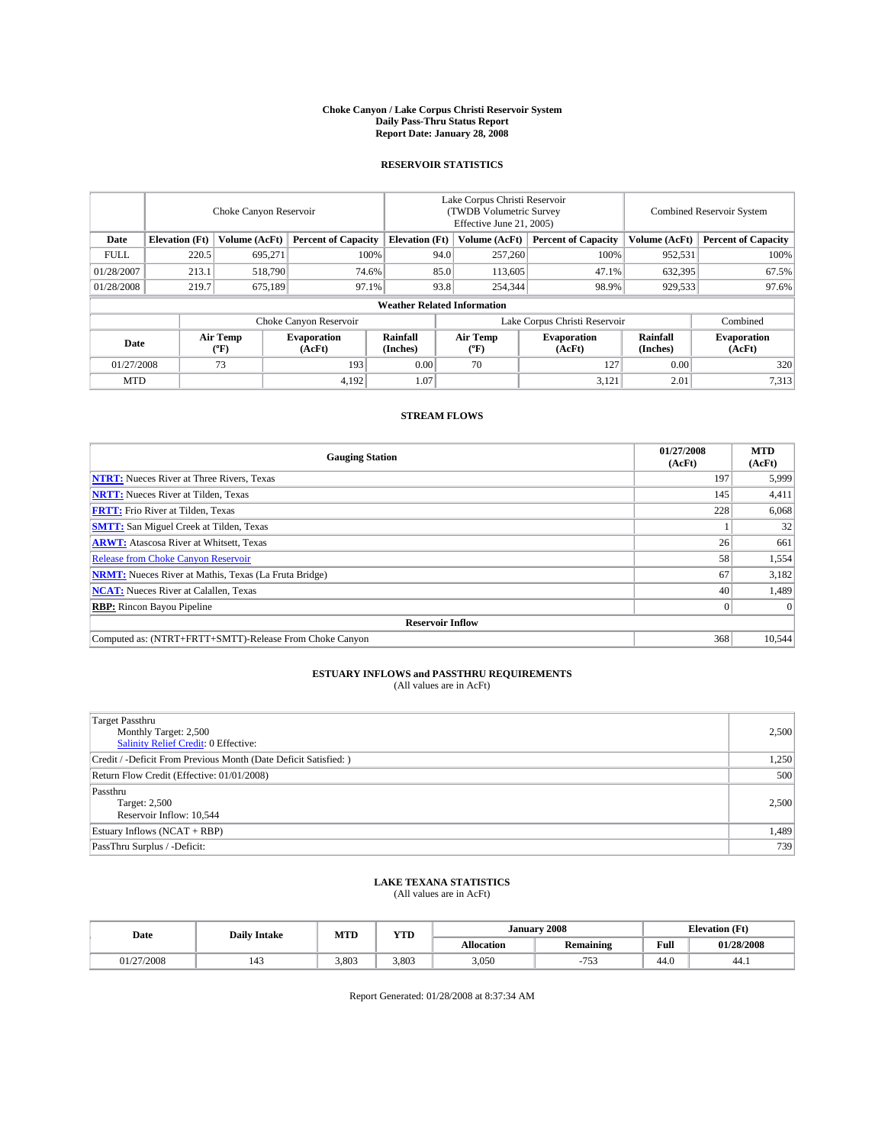### **Choke Canyon / Lake Corpus Christi Reservoir System Daily Pass-Thru Status Report Report Date: January 28, 2008**

### **RESERVOIR STATISTICS**

|             | Choke Canyon Reservoir             |                  |                              |                       | Lake Corpus Christi Reservoir<br>(TWDB Volumetric Survey<br>Effective June 21, 2005) |                                           |                               |                      | Combined Reservoir System    |  |  |
|-------------|------------------------------------|------------------|------------------------------|-----------------------|--------------------------------------------------------------------------------------|-------------------------------------------|-------------------------------|----------------------|------------------------------|--|--|
| Date        | <b>Elevation</b> (Ft)              | Volume (AcFt)    | <b>Percent of Capacity</b>   | <b>Elevation</b> (Ft) |                                                                                      | Volume (AcFt)                             | <b>Percent of Capacity</b>    | Volume (AcFt)        | <b>Percent of Capacity</b>   |  |  |
| <b>FULL</b> | 220.5                              | 695,271          | 100%                         |                       | 94.0                                                                                 | 257,260                                   | 100%                          | 952,531              | 100%                         |  |  |
| 01/28/2007  | 213.1                              | 518,790          | 74.6%                        |                       | 85.0                                                                                 | 113,605                                   | 47.1%                         | 632,395              | 67.5%                        |  |  |
| 01/28/2008  | 219.7                              | 675.189          | 97.1%                        |                       | 93.8                                                                                 | 254,344                                   | 98.9%                         | 929,533              | 97.6%                        |  |  |
|             | <b>Weather Related Information</b> |                  |                              |                       |                                                                                      |                                           |                               |                      |                              |  |  |
|             |                                    |                  | Choke Canyon Reservoir       |                       |                                                                                      |                                           | Lake Corpus Christi Reservoir |                      | Combined                     |  |  |
| Date        |                                    | Air Temp<br>(°F) | <b>Evaporation</b><br>(AcFt) | Rainfall<br>(Inches)  |                                                                                      | Air Temp<br>$({}^{\mathrm{o}}\mathrm{F})$ | <b>Evaporation</b><br>(AcFt)  | Rainfall<br>(Inches) | <b>Evaporation</b><br>(AcFt) |  |  |
| 01/27/2008  |                                    | 73               | 193                          | 0.00                  |                                                                                      | 70                                        | 127                           | 0.00                 | 320                          |  |  |
| <b>MTD</b>  |                                    |                  | 4,192                        | 1.07                  |                                                                                      |                                           | 3,121                         | 2.01                 | 7,313                        |  |  |

## **STREAM FLOWS**

| <b>Gauging Station</b>                                       | 01/27/2008<br>(AcFt) | <b>MTD</b><br>(AcFt) |
|--------------------------------------------------------------|----------------------|----------------------|
| <b>NTRT:</b> Nueces River at Three Rivers, Texas             | 197                  | 5,999                |
| <b>NRTT:</b> Nueces River at Tilden, Texas                   | 145                  | 4,411                |
| <b>FRTT:</b> Frio River at Tilden, Texas                     | 228                  | 6,068                |
| <b>SMTT:</b> San Miguel Creek at Tilden, Texas               |                      | 32                   |
| <b>ARWT:</b> Atascosa River at Whitsett, Texas               | 26                   | 661                  |
| <b>Release from Choke Canyon Reservoir</b>                   | 58                   | 1,554                |
| <b>NRMT:</b> Nueces River at Mathis, Texas (La Fruta Bridge) | 67                   | 3,182                |
| <b>NCAT:</b> Nueces River at Calallen, Texas                 | 40                   | 1,489                |
| <b>RBP:</b> Rincon Bayou Pipeline                            |                      | $\Omega$             |
| <b>Reservoir Inflow</b>                                      |                      |                      |
| Computed as: (NTRT+FRTT+SMTT)-Release From Choke Canyon      | 368                  | 10.544               |

# **ESTUARY INFLOWS and PASSTHRU REQUIREMENTS**<br>(All values are in AcFt)

| <b>Target Passthru</b><br>Monthly Target: 2,500<br>Salinity Relief Credit: 0 Effective: | 2,500 |
|-----------------------------------------------------------------------------------------|-------|
| Credit / -Deficit From Previous Month (Date Deficit Satisfied: )                        | 1,250 |
| Return Flow Credit (Effective: 01/01/2008)                                              | 500   |
| Passthru<br>Target: 2,500<br>Reservoir Inflow: 10,544                                   | 2.500 |
| Estuary Inflows (NCAT + RBP)                                                            | 1,489 |
| PassThru Surplus / -Deficit:                                                            | 739   |

# **LAKE TEXANA STATISTICS** (All values are in AcFt)

| Date     | <b>Daily Intake</b> | <b>MTD</b> | $\mathbf{v}$<br>1 I D | January           | 2008       | <b>Elevation</b> (Ft) |            |
|----------|---------------------|------------|-----------------------|-------------------|------------|-----------------------|------------|
|          |                     |            |                       | <b>Allocation</b> | Remaining  | Full                  | 01/28/2008 |
| /27/2008 |                     | 3.803      | 3.803                 | 3.050             | 75<br>ـر ر | 44.0                  | 44.1       |

Report Generated: 01/28/2008 at 8:37:34 AM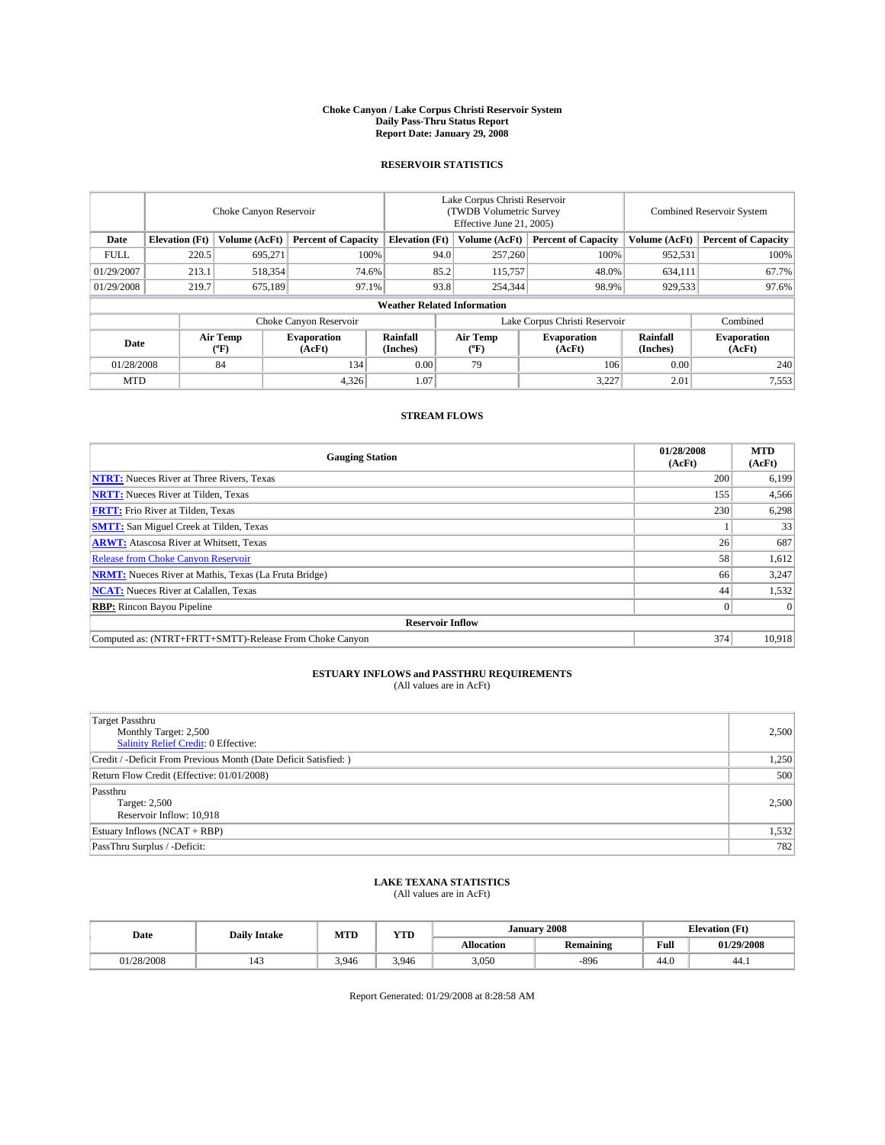### **Choke Canyon / Lake Corpus Christi Reservoir System Daily Pass-Thru Status Report Report Date: January 29, 2008**

### **RESERVOIR STATISTICS**

|             | Choke Canyon Reservoir             |                  |                              |                       | Lake Corpus Christi Reservoir<br>(TWDB Volumetric Survey<br>Effective June 21, 2005) |                  |                               |                      | Combined Reservoir System    |  |  |
|-------------|------------------------------------|------------------|------------------------------|-----------------------|--------------------------------------------------------------------------------------|------------------|-------------------------------|----------------------|------------------------------|--|--|
| Date        | <b>Elevation</b> (Ft)              | Volume (AcFt)    | <b>Percent of Capacity</b>   | <b>Elevation</b> (Ft) |                                                                                      | Volume (AcFt)    | <b>Percent of Capacity</b>    | Volume (AcFt)        | <b>Percent of Capacity</b>   |  |  |
| <b>FULL</b> | 220.5                              | 695,271          |                              | 100%                  | 94.0                                                                                 | 257,260          | 100%                          | 952,531              | 100%                         |  |  |
| 01/29/2007  | 213.1                              | 518,354          | 74.6%                        |                       | 85.2                                                                                 | 115,757          | 48.0%                         | 634,111              | 67.7%                        |  |  |
| 01/29/2008  | 219.7                              | 675,189          | 97.1%                        |                       | 93.8                                                                                 | 254,344          | 98.9%                         | 929,533              | 97.6%                        |  |  |
|             | <b>Weather Related Information</b> |                  |                              |                       |                                                                                      |                  |                               |                      |                              |  |  |
|             |                                    |                  | Choke Canyon Reservoir       |                       |                                                                                      |                  | Lake Corpus Christi Reservoir |                      | Combined                     |  |  |
| Date        |                                    | Air Temp<br>(°F) | <b>Evaporation</b><br>(AcFt) | Rainfall<br>(Inches)  |                                                                                      | Air Temp<br>("F) | <b>Evaporation</b><br>(AcFt)  | Rainfall<br>(Inches) | <b>Evaporation</b><br>(AcFt) |  |  |
| 01/28/2008  |                                    | 84               | 134                          | 0.00                  |                                                                                      | 79               | 106                           | 0.00                 | 240                          |  |  |
| <b>MTD</b>  |                                    |                  | 4,326                        | 1.07                  |                                                                                      |                  | 3,227                         | 2.01                 | 7,553                        |  |  |

### **STREAM FLOWS**

| <b>Gauging Station</b>                                       | 01/28/2008<br>(AcFt) | <b>MTD</b><br>(AcFt) |
|--------------------------------------------------------------|----------------------|----------------------|
| <b>NTRT:</b> Nueces River at Three Rivers, Texas             | 200                  | 6,199                |
| <b>NRTT:</b> Nueces River at Tilden, Texas                   | 155                  | 4,566                |
| <b>FRTT:</b> Frio River at Tilden, Texas                     | 230                  | 6,298                |
| <b>SMTT:</b> San Miguel Creek at Tilden, Texas               |                      | 33                   |
| <b>ARWT:</b> Atascosa River at Whitsett, Texas               | 26                   | 687                  |
| <b>Release from Choke Canyon Reservoir</b>                   | 58                   | 1,612                |
| <b>NRMT:</b> Nueces River at Mathis, Texas (La Fruta Bridge) | 66                   | 3,247                |
| <b>NCAT:</b> Nueces River at Calallen, Texas                 | 44                   | 1,532                |
| <b>RBP:</b> Rincon Bayou Pipeline                            |                      | $\Omega$             |
| <b>Reservoir Inflow</b>                                      |                      |                      |
| Computed as: (NTRT+FRTT+SMTT)-Release From Choke Canyon      | 374                  | 10.918               |

# **ESTUARY INFLOWS and PASSTHRU REQUIREMENTS**<br>(All values are in AcFt)

| <b>Target Passthru</b><br>Monthly Target: 2,500<br>Salinity Relief Credit: 0 Effective: | 2,500 |
|-----------------------------------------------------------------------------------------|-------|
| Credit / -Deficit From Previous Month (Date Deficit Satisfied: )                        | 1,250 |
| Return Flow Credit (Effective: 01/01/2008)                                              | 500   |
| Passthru<br>Target: 2,500<br>Reservoir Inflow: 10,918                                   | 2.500 |
| Estuary Inflows (NCAT + RBP)                                                            | 1,532 |
| PassThru Surplus / -Deficit:                                                            | 782   |

# **LAKE TEXANA STATISTICS** (All values are in AcFt)

| Date       | <b>Daily Intake</b> | <b>MTD</b> | $\mathbf{v}$<br>1 I D | January           | 2008             | <b>Elevation</b> (Ft) |            |
|------------|---------------------|------------|-----------------------|-------------------|------------------|-----------------------|------------|
|            |                     |            |                       | <b>Allocation</b> | <b>Remaining</b> | Full                  | 01/29/2008 |
| 01/28/2008 |                     | 3.946      | 3.946                 | 3.050             | $-896$           | 44.0                  | 44.1       |

Report Generated: 01/29/2008 at 8:28:58 AM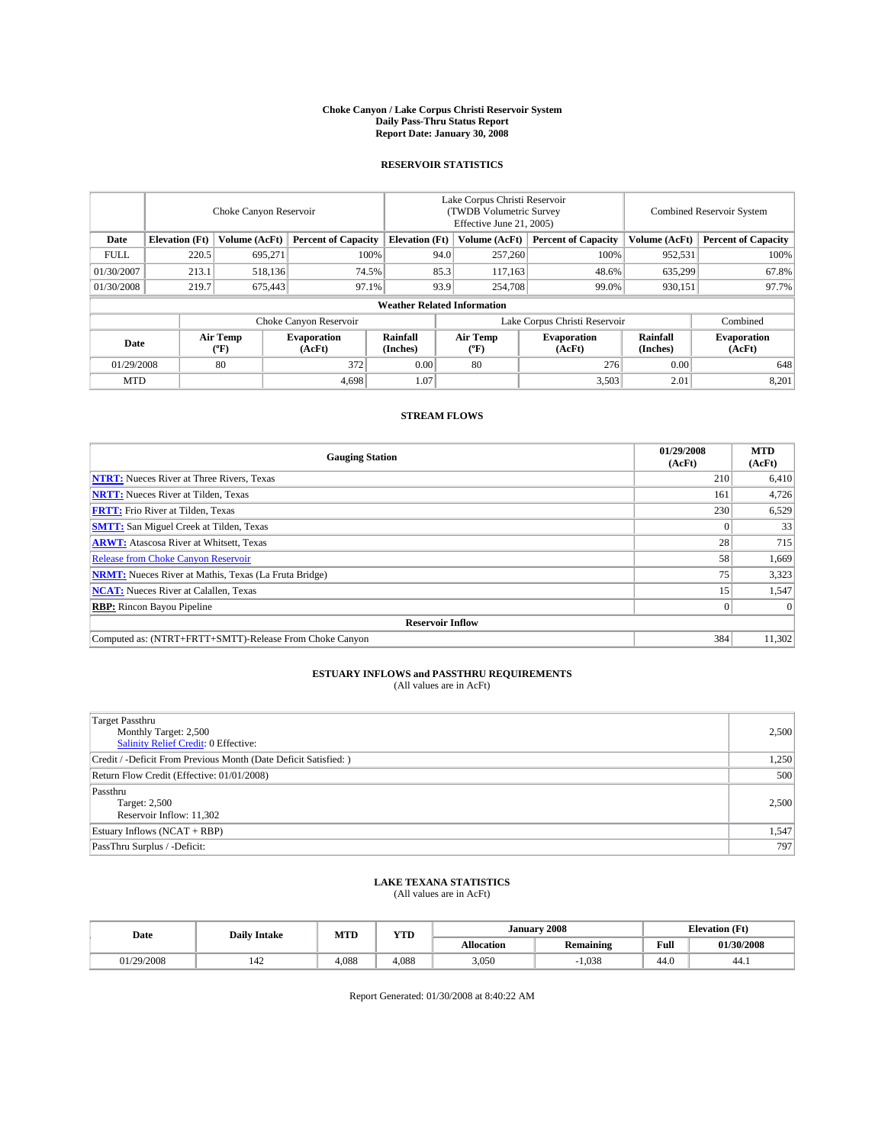### **Choke Canyon / Lake Corpus Christi Reservoir System Daily Pass-Thru Status Report Report Date: January 30, 2008**

### **RESERVOIR STATISTICS**

|             | Choke Canyon Reservoir             |                  |                              |                       | Lake Corpus Christi Reservoir<br>(TWDB Volumetric Survey<br>Effective June 21, 2005) |                                           |                              | Combined Reservoir System |                              |  |
|-------------|------------------------------------|------------------|------------------------------|-----------------------|--------------------------------------------------------------------------------------|-------------------------------------------|------------------------------|---------------------------|------------------------------|--|
| Date        | <b>Elevation</b> (Ft)              | Volume (AcFt)    | <b>Percent of Capacity</b>   | <b>Elevation</b> (Ft) |                                                                                      | Volume (AcFt)                             | <b>Percent of Capacity</b>   | Volume (AcFt)             | <b>Percent of Capacity</b>   |  |
| <b>FULL</b> | 220.5                              | 695,271          | 100%                         |                       | 94.0                                                                                 | 257,260                                   | 100%                         | 952,531                   | 100%                         |  |
| 01/30/2007  | 213.1                              | 518,136          | 74.5%                        |                       | 85.3                                                                                 | 117,163                                   | 48.6%                        | 635,299                   | 67.8%                        |  |
| 01/30/2008  | 219.7                              | 675,443          | 97.1%                        |                       | 93.9                                                                                 | 254,708                                   | 99.0%                        | 930,151                   | 97.7%                        |  |
|             | <b>Weather Related Information</b> |                  |                              |                       |                                                                                      |                                           |                              |                           |                              |  |
|             |                                    |                  | Choke Canyon Reservoir       |                       | Lake Corpus Christi Reservoir                                                        |                                           |                              |                           | Combined                     |  |
| Date        |                                    | Air Temp<br>(°F) | <b>Evaporation</b><br>(AcFt) | Rainfall<br>(Inches)  |                                                                                      | Air Temp<br>$({}^{\mathrm{o}}\mathrm{F})$ | <b>Evaporation</b><br>(AcFt) | Rainfall<br>(Inches)      | <b>Evaporation</b><br>(AcFt) |  |
| 01/29/2008  |                                    | 80               | 372                          | 0.00                  |                                                                                      | 80                                        | 276                          | 0.00                      | 648                          |  |
| <b>MTD</b>  |                                    |                  | 4,698                        | 1.07                  |                                                                                      |                                           | 3,503                        | 2.01                      | 8,201                        |  |

## **STREAM FLOWS**

| <b>Gauging Station</b>                                       | 01/29/2008<br>(AcFt) | <b>MTD</b><br>(AcFt) |
|--------------------------------------------------------------|----------------------|----------------------|
| <b>NTRT:</b> Nueces River at Three Rivers, Texas             | 210                  | 6,410                |
| <b>NRTT:</b> Nueces River at Tilden, Texas                   | 161                  | 4,726                |
| <b>FRTT:</b> Frio River at Tilden, Texas                     | 230                  | 6,529                |
| <b>SMTT:</b> San Miguel Creek at Tilden, Texas               |                      | 33                   |
| <b>ARWT:</b> Atascosa River at Whitsett, Texas               | 28                   | 715                  |
| <b>Release from Choke Canyon Reservoir</b>                   | 58                   | 1,669                |
| <b>NRMT:</b> Nueces River at Mathis, Texas (La Fruta Bridge) | 75                   | 3,323                |
| <b>NCAT:</b> Nueces River at Calallen, Texas                 | 15                   | 1,547                |
| <b>RBP:</b> Rincon Bayou Pipeline                            |                      | $\Omega$             |
| <b>Reservoir Inflow</b>                                      |                      |                      |
| Computed as: (NTRT+FRTT+SMTT)-Release From Choke Canyon      | 384                  | 11,302               |

# **ESTUARY INFLOWS and PASSTHRU REQUIREMENTS**<br>(All values are in AcFt)

| <b>Target Passthru</b><br>Monthly Target: 2,500<br>Salinity Relief Credit: 0 Effective: | 2,500 |
|-----------------------------------------------------------------------------------------|-------|
| Credit / -Deficit From Previous Month (Date Deficit Satisfied: )                        | 1,250 |
| Return Flow Credit (Effective: 01/01/2008)                                              | 500   |
| Passthru<br>Target: 2,500<br>Reservoir Inflow: 11,302                                   | 2.500 |
| Estuary Inflows (NCAT + RBP)                                                            | 1,547 |
| PassThru Surplus / -Deficit:                                                            | 797   |

# **LAKE TEXANA STATISTICS** (All values are in AcFt)

| Date       | <b>Daily Intake</b> |       | <b>MTD</b><br>$\mathbf{v}$<br>1 I D |                   | January          | 2008 |            | <b>Elevation</b> (Ft) |
|------------|---------------------|-------|-------------------------------------|-------------------|------------------|------|------------|-----------------------|
|            |                     |       |                                     | <b>Allocation</b> | <b>Remaining</b> | Full | 01/30/2008 |                       |
| 01/29/2008 | 14Z                 | 4.088 | 4.088                               | 3,050             | .038             | 44.0 | 44.1       |                       |

Report Generated: 01/30/2008 at 8:40:22 AM